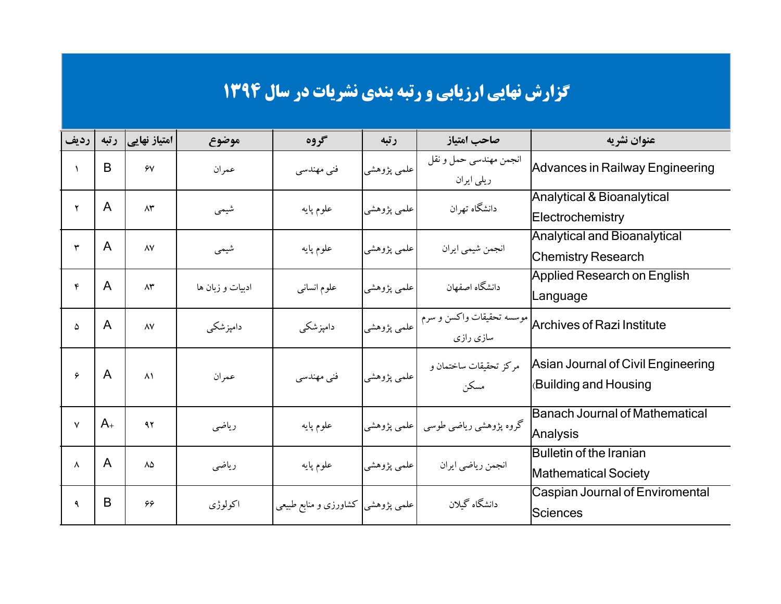|              |              |                      |                  |                                    |             | <b>گزارش نهایی ارزیابی و رتبه بندی نشریات در سال ۱۳۹۴</b> |                                                                   |
|--------------|--------------|----------------------|------------------|------------------------------------|-------------|-----------------------------------------------------------|-------------------------------------------------------------------|
| رديف         | رتبه         | امتیاز نهایی         | موضوع            | گروه                               | رتبه        | صاحب امتياز                                               | عنوان نشريه                                                       |
| $\lambda$    | B            | $\gamma$             | عمران            | فنی مهندسی                         | علمي پژوهشي | انجمن مهندسي حمل و نقل<br>ریلی ایران                      | Advances in Railway Engineering                                   |
| ۲            | A            | $\Lambda \mathsf{r}$ | شيمي             | علوم پايه                          | علمي پژوهشي | دانشگاه تهران                                             | Analytical & Bioanalytical<br>Electrochemistry                    |
| ٣            | A            | $\lambda V$          | شيمي             | علوم پايه                          | علمي پژوهشي | انجمن شيمي ايران                                          | Analytical and Bioanalytical<br><b>Chemistry Research</b>         |
| ۴            | A            | $\Lambda \mathsf{r}$ | ادبیات و زبان ها | علوم انسانبي                       | علمی پژوهشی | دانشگاه اصفهان                                            | <b>Applied Research on English</b><br>Language                    |
| ۵            | A            | $\lambda V$          | دامیزشکی         | دامپزشکی                           | علمي پژوهشي | موسسه تحقیقات واکسن و سرم<br>سازی رازی                    | <b>Archives of Razi Institute</b>                                 |
| ۶            | $\mathsf{A}$ | $\lambda$            | عمران            | فنی مهندسی                         | علمي پژوهشي | مركز تحقيقات ساختمان و<br>مسكن                            | Asian Journal of Civil Engineering<br><b>Building and Housing</b> |
| $\mathsf{V}$ | $A_{+}$      | ۹۲                   | رياضي            | علوم پايه                          |             | گروه پژوهشی ریاضی طوسی  علمی پژوهشی                       | Banach Journal of Mathematical<br>Analysis                        |
| $\lambda$    | $\mathsf{A}$ | ٨۵                   | رياضي            | علوم پايه                          | علمی پژوهشی | انجمن رياضي ايران                                         | Bulletin of the Iranian<br><b>Mathematical Society</b>            |
| ٩            | B            | 66                   | اكولوژى          | علمی پژوهشی  کشاورزی و منابع طبیعی |             | دانشگاه گبلان                                             | <b>Caspian Journal of Enviromental</b><br><b>Sciences</b>         |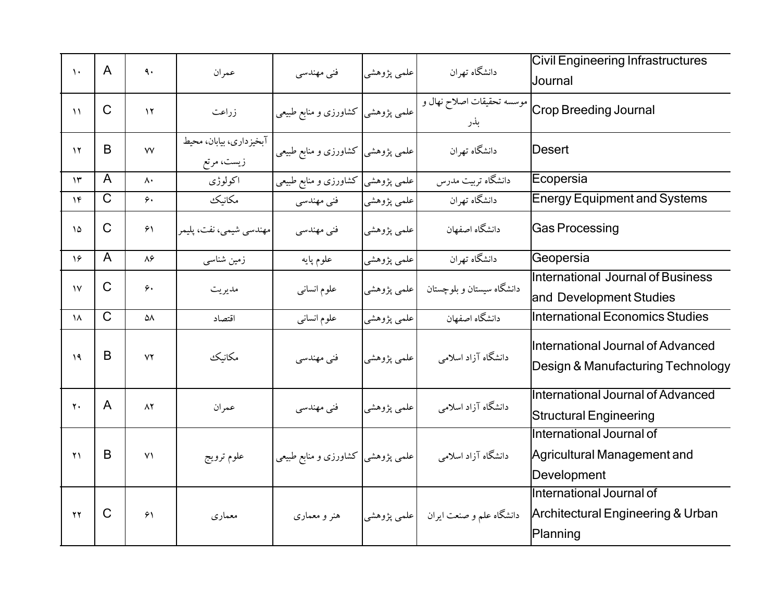| $\lambda$      | A            | ٩.                     | عمران                                 | فنی مهندسی                         | علمي پژوهشي | دانشگاه تهران                           | <b>Civil Engineering Infrastructures</b><br>Journal                                  |
|----------------|--------------|------------------------|---------------------------------------|------------------------------------|-------------|-----------------------------------------|--------------------------------------------------------------------------------------|
| $\mathcal{N}$  | $\mathsf{C}$ | $\gamma$               | زراعت                                 | علمی پژوهشی کشاورزی و منابع طبیعی  |             | موسسه تحقيقات اصلاح نهال و<br>بذر       | Crop Breeding Journal                                                                |
| $\gamma$       | B            | $\mathsf{V}\mathsf{V}$ | آبخیزداری، بیابان، محیط<br>زیست، مرتع | علمی پژوهشی کشاورزی و منابع طبیعی  |             | دانشگاه تهران                           | <b>Desert</b>                                                                        |
| $\mathcal{N}$  | A            | $\Lambda$              | اكولوژي                               | علمی پژوهشی کشاورزی و منابع طبیعی  |             | دانشگاه تربیت مدرس                      | Ecopersia                                                                            |
| $\gamma$ ۴     | $\mathsf{C}$ | $\gamma$               | مكانيك                                | فنی مهندسی                         | علمي پژوهشي | دانشگاه تهران                           | <b>Energy Equipment and Systems</b>                                                  |
| $\Delta$       | $\mathsf{C}$ | 51                     | مهندسي شيمي، نفت، پليمر               | فنی مهندسی                         | علمي پژوهشي | دانشگاه اصفهان                          | <b>Gas Processing</b>                                                                |
| ۱۶             | A            | $\lambda$ ۶            | زمین شناسی                            | علوم پايه                          | علمي پژوهشي | دانشگاه تهران                           | Geopersia                                                                            |
| $\mathcal{N}$  | $\mathsf{C}$ | $\hat{\mathbf{y}}$     | مديريت                                | علوم انسانى                        | علمي پژوهشي | دانشگاه سیستان و بلوچستان               | International Journal of Business<br>and Development Studies                         |
| ۱۸             | $\mathsf C$  | ۵۸                     | اقتصاد                                | علوم انسانى                        | علمي پژوهشي | دانشگاه اصفهان                          | International Economics Studies                                                      |
| $\mathcal{A}$  | B            | YY                     | مكانيك                                | فنی مهندسی                         | علمی پژوهشی | دانشگاه آزاد اسلامی                     | International Journal of Advanced<br>Design & Manufacturing Technology               |
| $\mathbf{y}$   | $\mathsf{A}$ | $\Lambda$              | عمران                                 | فنی مهندسی                         | علمي پژوهشي | دانشگاه آزاد اسلامی                     | International Journal of Advanced<br><b>Structural Engineering</b>                   |
| $\gamma$       | B            | Y <sub>1</sub>         | علوم ترويج                            | علمی پژوهشی  کشاورزی و منابع طبیعی |             | دانشگاه آزاد اسلامی                     | International Journal of<br>Agricultural Management and<br>Development               |
| $\gamma\gamma$ | $\mathsf{C}$ | $\mathcal{F}\setminus$ | معماري                                | هنر و معماری                       |             | دانشگاه علم و صنعت ایران هم علمی پژوهشی | International Journal of<br><b>Architectural Engineering &amp; Urban</b><br>Planning |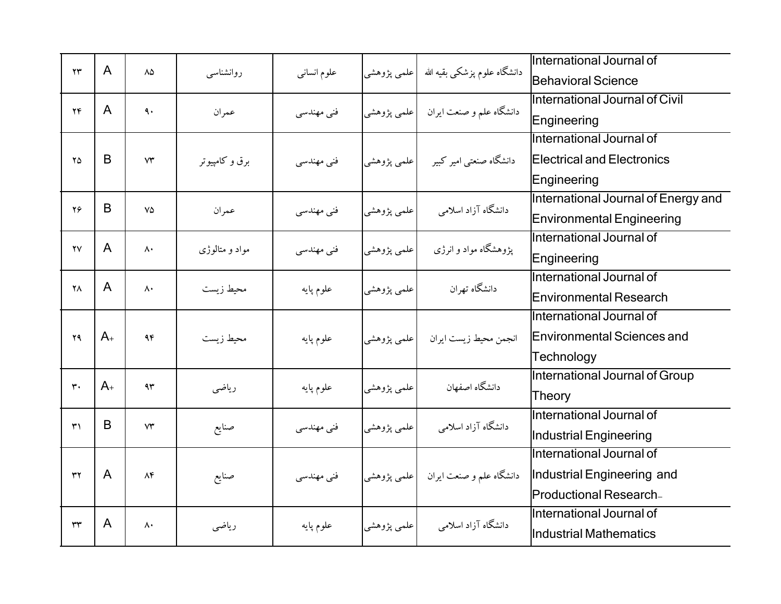| $\mathsf{Y}\mathsf{Y}$ | $\mathsf{A}$   |               |                |             |             |                                           | International Journal of            |
|------------------------|----------------|---------------|----------------|-------------|-------------|-------------------------------------------|-------------------------------------|
|                        |                | ٨۵            | روانشناسبي     | علوم انسانى |             | دانشگاه علوم پزشکی بقیه الله  علمی پژوهشی | Behavioral Science                  |
| $\mathbf{Y}\mathbf{F}$ | $\mathsf{A}$   | ٩.            |                |             |             |                                           | International Journal of Civil      |
|                        |                |               | عمران          | فنی مهندسی  |             | دانشگاه علم و صنعت ایران په اعلمي پژوهشي  | Engineering                         |
|                        |                |               |                |             |             |                                           | International Journal of            |
| $\mathsf{Y}\Delta$     | B              | $V^*$         | برق و کامپیوتر | فنی مهندسی  |             | دانشگاه صنعتی امیر کبیر مسلملمی پژوهشی    | <b>Electrical and Electronics</b>   |
|                        |                |               |                |             |             |                                           | Engineering                         |
| $Y\mathcal{L}$         | B              | ٧۵            |                |             |             | دانشگاه آزاد اسلامی                       | International Journal of Energy and |
|                        |                |               | عمران          | فنی مهندسی  | علمي پژوهشي |                                           | <b>Environmental Engineering</b>    |
| $\mathsf{Y}\mathsf{V}$ | $\mathsf{A}$   |               |                |             |             |                                           | International Journal of            |
|                        |                | $\wedge\cdot$ | مواد و متالوژی | فنی مهندسی  | علمي پژوهشي | یژوهشگاه مواد و انرژی                     | Engineering                         |
| ۲Λ                     | $\mathsf{A}$   | $\Lambda$     |                |             |             | دانشگاه تهران                             | International Journal of            |
|                        |                |               | محيط زيست      | علوم پايه   | علمي پژوهشي |                                           | Environmental Research              |
|                        |                |               |                |             |             |                                           | International Journal of            |
| $\mathbf{Y}$           | $A_{+}$        | 95            | محيط زيست      | علوم پايه   | علمی پژوهشی | انجمن محيط زيست ايران                     | <b>Environmental Sciences and</b>   |
|                        |                |               |                |             |             |                                           | Technology                          |
| $\mathbf{r}$ .         | $A_{+}$        | 95            |                |             |             |                                           | International Journal of Group      |
|                        |                |               | رياضي          | علوم پايه   | علمي پژوهشي | دانشگاه اصفهان                            | Theory                              |
| $\mathsf{r}'$          | B              | $V^*$         |                |             |             |                                           | International Journal of            |
|                        |                |               | صنايع          | فنی مهندسی  | علمي پژوهشي | دانشگاه آزاد اسلامی                       | Industrial Engineering              |
|                        |                |               |                |             |             |                                           | International Journal of            |
| $\tau\tau$             | $\overline{A}$ | $\Lambda f$   | صنايع          | فنی مهندسی  |             | دانشگاه علم و صنعت ایران  علمی پژوهشی     | Industrial Engineering and          |
|                        |                |               |                |             |             |                                           | Productional Research-              |
| ٣٣                     | A              | $\mathsf{A}$  |                |             |             | دانشگاه آزاد اسلامی                       | International Journal of            |
|                        |                |               | رياضى          | علوم پايه   | علمي پژوهشي |                                           | Industrial Mathematics              |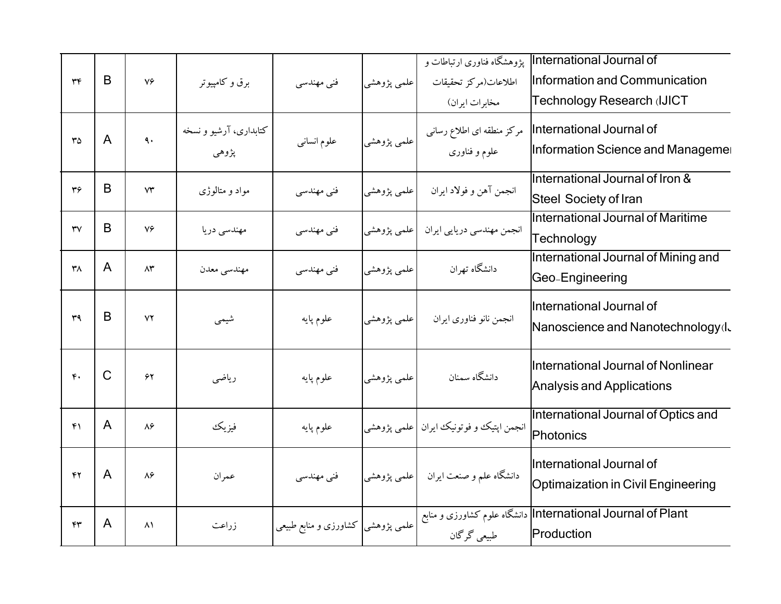|                        |               |                        |                        |                                   |                            | یژوهشگاه فناوری ارتباطات و               | International Journal of                                    |
|------------------------|---------------|------------------------|------------------------|-----------------------------------|----------------------------|------------------------------------------|-------------------------------------------------------------|
| $\tau$                 | B             | $V \in$                | برق و کامپیوتر         | فنی مهندسی                        | علمي پژوهشي                | اطلاعات(مركز تحقيقات                     | Information and Communication<br>Technology Research (IJICT |
|                        |               |                        |                        |                                   |                            | مخابرات ایران)                           |                                                             |
| $r\circ$               | A             | $\ddot{\mathbf{a}}$ .  | کتابداری، آرشیو و نسخه | علوم انسانبي                      | علمی پژوهشی <mark> </mark> | مرکز منطقه ای اطلاع رسانی                | International Journal of                                    |
|                        |               |                        | پژوهي                  |                                   |                            | علوم و فناوري                            | Information Science and Manageme                            |
|                        | B             |                        |                        |                                   |                            |                                          | International Journal of Iron &                             |
| $\mathbf{r}$           |               | $\mathsf{Y}\mathsf{Y}$ | مواد و متالوژی         | فنی مهندسی                        | علمی پژوهشی                | انجمن آهن و فولاد ايران                  | <b>Steel Society of Iran</b>                                |
| $\mathsf{r}\mathsf{v}$ | B             | ٧۶                     | مهندسي دريا            | فنی مهندسی                        | علمی پژوهشی                | انجمن مهندسي دريايي ايران                | International Journal of Maritime                           |
|                        |               |                        |                        |                                   |                            |                                          | Technology                                                  |
| $\mathsf{r}_\Lambda$   | A             | $\Lambda^{\star}$      | مهندسي معدن            | فنی مهندسی                        | علمي پژوهشي                | دانشگاه تهران                            | International Journal of Mining and                         |
|                        |               |                        |                        |                                   |                            |                                          | Geo-Engineering                                             |
|                        |               |                        |                        |                                   |                            |                                          | International Journal of                                    |
| r <sub>q</sub>         | B             | ٧٢                     | شيمى                   | علوم پايه                         | علمي پژوهشي                | انجمن نانو فناوري ايران                  | Nanoscience and Nanotechnology (I.                          |
|                        |               |                        |                        |                                   |                            |                                          | International Journal of Nonlinear                          |
| $\mathfrak{r}$ .       | $\mathcal{C}$ | ۶۲                     | رياضي                  | علوم پايه                         | علمي پژوهشي                | دانشگاه سمنان                            | <b>Analysis and Applications</b>                            |
|                        |               |                        |                        |                                   |                            |                                          | International Journal of Optics and                         |
| $f \cap$               | A             | $\lambda$ ۶            | فيزيك                  | علوم پايه                         |                            | انجمن اپتیک و فوتونیک ایران  علمی پژوهشی | Photonics                                                   |
|                        |               |                        |                        |                                   |                            |                                          |                                                             |
| $\mathbf{r}$           | $\mathsf{A}$  | ۸۶                     | عمران                  | فنی مهندسی                        |                            | دانشگاه علم و صنعت ایران مع اعلمی پژوهشی | International Journal of                                    |
|                        |               |                        |                        |                                   |                            |                                          | <b>Optimaization in Civil Engineering</b>                   |
| ۴۳                     | A             | $\Lambda$ \            |                        |                                   |                            |                                          | International Journal of Plant دانشگاه علوم کشاورزی و منابع |
|                        |               |                        | زراعت                  | علمی پژوهشی کشاورزی و منابع طبیعی |                            | طبیعی گرگان                              | Production                                                  |
|                        |               |                        |                        |                                   |                            |                                          |                                                             |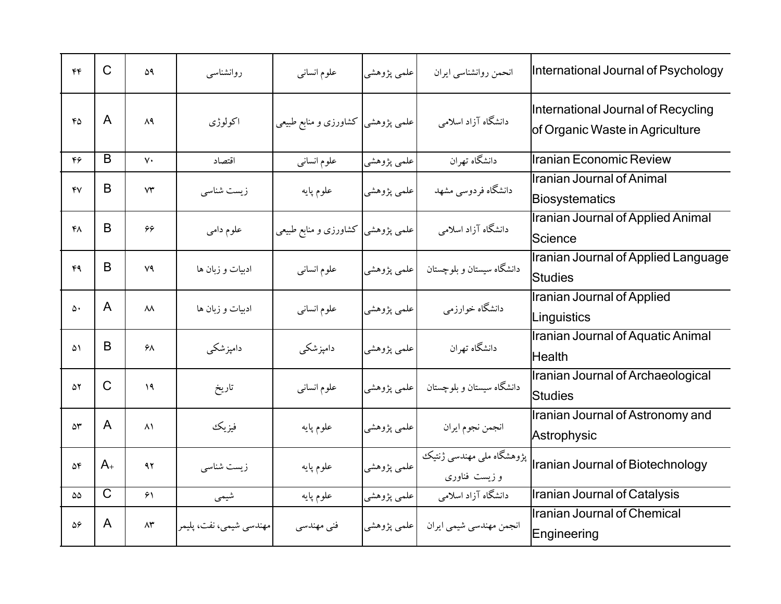| $\mathfrak{r}\mathfrak{r}$ | $\mathsf{C}$ | ۵۹                     | روانشناسبي              | علوم انسانبي                       | علمي پژوهشي | انحمن روانشناسی ایران                     | International Journal of Psychology                                                     |
|----------------------------|--------------|------------------------|-------------------------|------------------------------------|-------------|-------------------------------------------|-----------------------------------------------------------------------------------------|
| ۴۵                         | $\mathsf{A}$ | $\Lambda$ ٩            | اكولوژى                 | علمی پژوهشی  کشاورزی و منابع طبیعی |             | دانشگاه آزاد اسلامی                       | International Journal of Recycling<br>of Organic Waste in Agriculture                   |
| ۴۶                         | B            | $\mathsf{v}\cdot$      | اقتصاد                  | علوم انسانبي                       | علمي پژوهشي | دانشگاه تهران                             | llranian Economic Review                                                                |
| YV                         | B            | $\forall \tau$         | زیست شناسی              | علوم پايه                          | علمي پژوهشي | دانشگاه فردوسی مشهد                       | Ilranian Journal of Animal<br>Biosystematics                                            |
| ۴۸                         | B            | 66                     | علوم دامى               | علمی پژوهشی  کشاورزی و منابع طبیعی |             | دانشگاه آزاد اسلامی                       | <b>Iranian Journal of Applied Animal</b><br>Science                                     |
| ۴٩                         | B            | ٧٩                     | ادبیات و زبان ها        | علوم انسانبي                       |             | دانشگاه سیستان و بلوچستان  علمی پژوهشی    | Iranian Journal of Applied Language<br><b>Studies</b>                                   |
| ۵۰                         | $\mathsf{A}$ | $\lambda\lambda$       | ادبیات و زبان ها        | علوم انسانى                        | علمي پژوهشي | دانشگاه خوارزمي                           | <b>Iranian Journal of Applied</b><br>Linguistics                                        |
| ۵۱                         | B            | ۶۸                     | دامیزشکی                | دامپزشکی                           | علمي پژوهشي | دانشگاه تهران                             | Iranian Journal of Aquatic Animal<br><b>Health</b>                                      |
| ۵۲                         | $\mathsf{C}$ | ۱۹                     | تاريخ                   | علوم انسانى                        |             | دانشگاه سیستان و بلوچستان     علمی پژوهشی | Iranian Journal of Archaeological<br><b>Studies</b>                                     |
| $\Delta \mathsf{r}$        | $\mathsf{A}$ | $\lambda$              | فيزيك                   | علوم پايه                          | علمي پژوهشي | انجمن نجوم ايران                          | Iranian Journal of Astronomy and<br>Astrophysic                                         |
| $\Delta \mathfrak{F}$      | $A_{+}$      | ۹۲                     | زیست شناسی              | علوم پايه                          | علمي پژوهشي | و زیست فناوری                             | بژوهشگاه ملی مهندسی ژنتیک<br>Iranian Journal of Biotechnology بژوهشگاه ملی مهندسی ژنتیک |
| ۵۵                         | $\mathsf{C}$ | $\mathcal{F}\setminus$ | شيمى                    | علوم پايه                          | علمي پژوهشي | دانشگاه آزاد اسلامی                       | Iranian Journal of Catalysis                                                            |
| ۵۶                         | A            | $\Lambda \mathsf{r}$   | مهندسي شيمي، نفت، پليمر | فنی مهندسی                         |             | انجمن مهندسي شيمي ايران لمعلمي پژوهشي     | Iranian Journal of Chemical<br>Engineering                                              |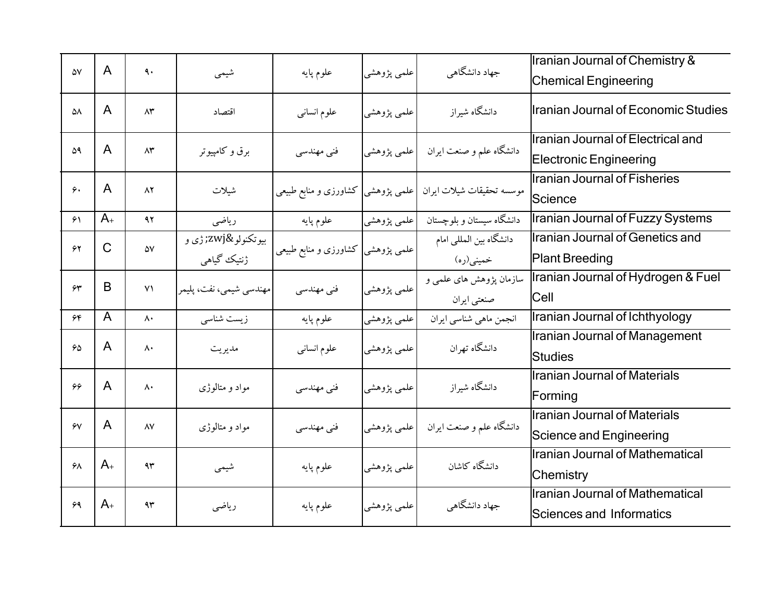|                        | A            |                                         |                                |                                    |             |                                                               | Iranian Journal of Chemistry &                                     |
|------------------------|--------------|-----------------------------------------|--------------------------------|------------------------------------|-------------|---------------------------------------------------------------|--------------------------------------------------------------------|
| $\Delta \rm{V}$        |              | ٩.                                      | شيمى                           | علوم پايه                          | علمي پژوهشي | جهاد دانشگاهی                                                 | <b>Chemical Engineering</b>                                        |
| ۵٨                     | A            | ۸۳                                      | اقتصاد                         | علوم انسانبي                       | علمي پژوهشي | دانشگاه شیراز                                                 | Iranian Journal of Economic Studies                                |
| ۵۹                     | A            | $\Lambda \mathfrak{r}$                  | برق و کامپیوتر                 | فنی مهندسی                         | علمي پژوهشي | دانشگاه علم و صنعت ایران                                      | Iranian Journal of Electrical and<br><b>Electronic Engineering</b> |
| ۶.                     | A            | $\Lambda$ ٢                             | شيلات                          |                                    |             | موسسه تحقیقات شیلات ایران  علمی پژوهشی  کشاورزی و منابع طبیعی | Iranian Journal of Fisheries<br>Science                            |
| $\mathcal{F}\setminus$ | $A_{+}$      | 47                                      | رياضى                          | علوم پايه                          | علمي پژوهشي | دانشگاه سیستان و بلوچستان                                     | Iranian Journal of Fuzzy Systems                                   |
| 55                     | $\mathsf{C}$ | ۵۷                                      | بيوتكنولو‍ ژي و<br>ژنتیک گیاهی | علمی پژوهشی  کشاورزی و منابع طبیعی |             | دانشگاه بین المللی امام<br>خمینی(ره)                          | Iranian Journal of Genetics and<br><b>Plant Breeding</b>           |
| $\gamma$               | B            | Y <sub>1</sub>                          | مهندسي شيمي، نفت، پليمر        | فنی مهندسی                         | علمي پژوهشي | سازمان پژوهش های علمی و<br>صنعتي ايران                        | Iranian Journal of Hydrogen & Fuel<br>Cell                         |
| ۶۴                     | A            | $\boldsymbol{\wedge}\boldsymbol{\cdot}$ | زیست شناسی                     | علوم پايه                          | علمي پژوهشي | انجمن ماهي شناسي ايران                                        | Iranian Journal of Ichthyology                                     |
| 50                     | $\mathsf{A}$ | $\mathsf{A}$                            | مديريت                         | علوم انسانى                        | علمي پژوهشي | دانشگاه تهران                                                 | <b>Iranian Journal of Management</b><br>Studies                    |
| ۶۶                     | A            | $\mathsf{A}$                            | مواد و متالوژی                 | فنی مهندسی                         | علمي پژوهشي | دانشگاه شیراز                                                 | <b>Iranian Journal of Materials</b><br>Forming                     |
| $\gamma$               | A            | $\Lambda\mathrm{V}$                     | مواد و متالوژی                 | فنی مهندسی                         | علمي پژوهشي | دانشگاه علم و صنعت ایران                                      | <b>Ilranian Journal of Materials</b><br>Science and Engineering    |
| $5\lambda$             | $A_{+}$      | ۹۳                                      | شيمى                           | علوم پايه                          | علمي پژوهشي | دانشگاه کاشان                                                 | Iranian Journal of Mathematical<br>Chemistry                       |
| ۶۹                     | $A_{+}$      | ۹۳                                      | رياضى                          | علوم پايه                          | علمي پژوهشي | جهاد دانشگاهی                                                 | Iranian Journal of Mathematical<br><b>Sciences and Informatics</b> |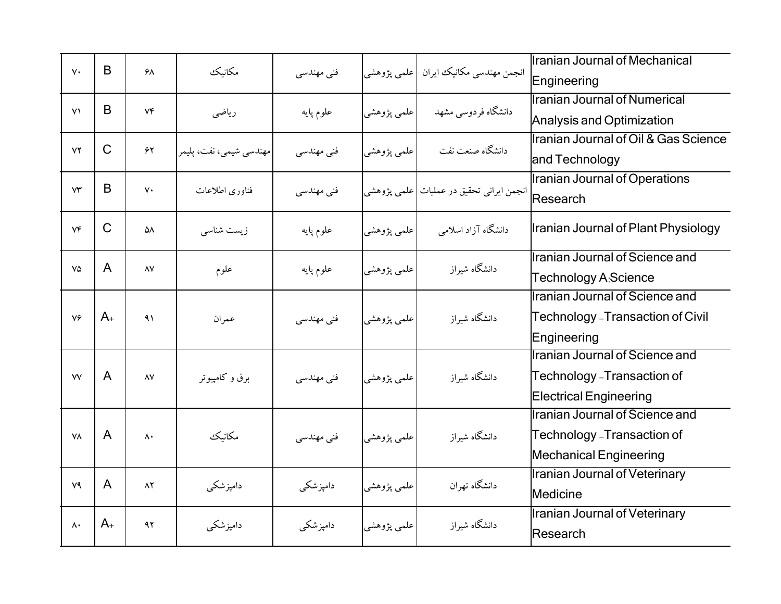| $V \cdot$              | B            | ۶λ                | مكانيك                  | فنی مهندسی |             | انجمن مهندسي مكانيك ايران  علمي پژوهشي     | <b>Iranian Journal of Mechanical</b><br>Engineering                                             |
|------------------------|--------------|-------------------|-------------------------|------------|-------------|--------------------------------------------|-------------------------------------------------------------------------------------------------|
| Y <sub>1</sub>         | B            | $V \mathfrak{F}$  | رياضى                   | علوم پايه  | علمي پژوهشي | دانشگاه فردوسی مشهد                        | Ilranian Journal of Numerical<br>Analysis and Optimization                                      |
| YY                     | $\mathsf{C}$ | $\bm{\hat{\tau}}$ | مهندسی شیمی، نفت، پلیمر | فنی مهندسی | علمي پژوهشي | دانشگاه صنعت نفت                           | Iranian Journal of Oil & Gas Science<br>and Technology                                          |
| $\mathsf{Y}\mathsf{Y}$ | B            | $\mathsf{v}\cdot$ | فناوري اطلاعات          | فنی مهندسی |             | انجمن ايراني تحقيق در عمليات   علمي پژوهشي | Iranian Journal of Operations<br>Research                                                       |
| $V \mathfrak{F}$       | $\mathsf{C}$ | ۵٨                | زیست شناسی              | علوم پايه  | علمي پژوهشي | دانشگاه آزاد اسلامی                        | Iranian Journal of Plant Physiology                                                             |
| $V\Delta$              | $\mathsf{A}$ | $\lambda V$       | علوم                    | علوم پايه  | علمي پژوهشي | دانشگاه شیراز                              | Iranian Journal of Science and<br><b>Technology A:Science</b>                                   |
| $V \hat{z}$            | $A_{+}$      | $\lambda$         | عمران                   | فنی مهندسی | علمي پژوهشي | دانشگاه شیراز                              | Iranian Journal of Science and<br>Technology - Transaction of Civil<br>Engineering              |
| VV                     | A            | $\wedge \vee$     | برق و کامپیوتر          | فنی مهندسی | علمي پژوهشي | دانشگاه شیراز                              | Ilranian Journal of Science and<br>Technology - Transaction of<br><b>Electrical Engineering</b> |
| <b>YA</b>              | $\mathsf{A}$ | $\Lambda$         | مكانيك                  | فنی مهندسی | علمي پژوهشي | دانشگاه شیراز                              | Iranian Journal of Science and<br>Technology - Transaction of<br><b>Mechanical Engineering</b>  |
| ٧٩                     | A            | $\Lambda$ ٢       | دامپزشکی                | دامیزشکی   | علمي پژوهشي | دانشگاه تهران                              | <b>Iranian Journal of Veterinary</b><br>Medicine                                                |
| $\mathsf{A}$           | $A_{+}$      | 97                | دامپزشکی                | دامپزشکی   | علمي پژوهشي | دانشگاه شیراز                              | <b>Iranian Journal of Veterinary</b><br>Research                                                |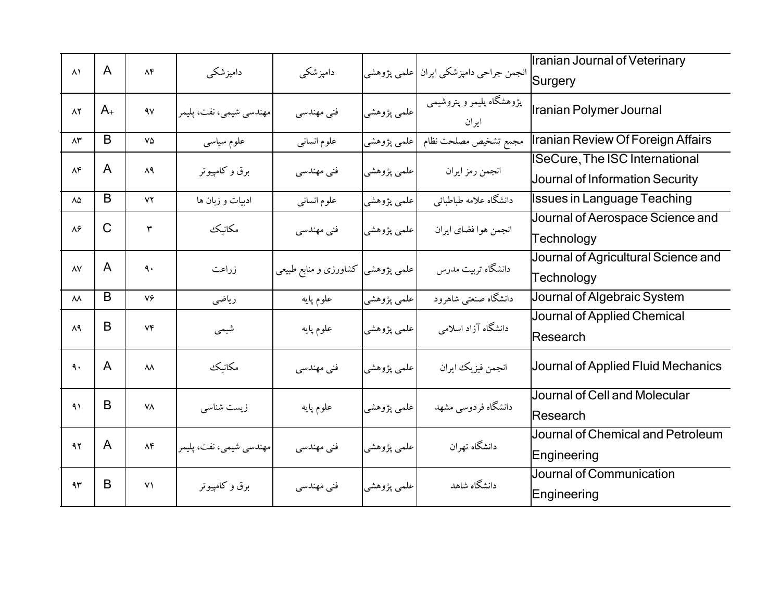| $\lambda$              | $\mathsf{A}$ | $\Lambda \mathfrak{F}$ |                         |                                    |             |                                          | Iranian Journal of Veterinary                                            |
|------------------------|--------------|------------------------|-------------------------|------------------------------------|-------------|------------------------------------------|--------------------------------------------------------------------------|
|                        |              |                        | دامپزشکی                | دامپزشکی                           |             | انجمن جراحي دامپزشكي ايران   علمي پژوهشي | Surgery                                                                  |
| $\lambda$ ٢            | $A_{+}$      | 4V                     | مهندسي شيمي، نفت، پليمر | فنی مهندسی                         | علمي پژوهشي | پژوهشگاه پلیمر و پتروشیمی<br>ایر ان      | Iranian Polymer Journal                                                  |
| $\wedge\!\tau$         | B            | $V\Delta$              | علوم سياسى              | علوم انسانى                        | علمی پژوهشی | مجمع تشخيص مصلحت نظام                    | Iranian Review Of Foreign Affairs                                        |
| $\Lambda \mathfrak{F}$ | $\mathsf{A}$ | ۸۹                     | برق و کامپیوتر          | فنی مهندسی                         | علمي پژوهشي | انجمن رمز ايران                          | <b>ISeCure, The ISC International</b><br>Journal of Information Security |
| ٨۵                     | B            | YY                     | ادبیات و زبان ها        | علوم انسانبي                       | علمي پژوهشي | دانشگاه علامه طباطبائي                   | <b>Issues in Language Teaching</b>                                       |
| $\lambda$ ۶            | $\mathsf{C}$ | ٣                      | مكانيك                  | فنی مهندسی                         | علمي پژوهشي | انجمن هوا فضاى ايران                     | Journal of Aerospace Science and<br>Technology                           |
| $\lambda\mathrm{V}$    | $\mathsf{A}$ | $\ddot{\mathbf{a}}$ .  | زراعت                   | علمی پژوهشی  کشاورزی و منابع طبیعی |             | دانشگاه تربیت مدرس                       | Journal of Agricultural Science and<br>Technology                        |
| $\lambda\lambda$       | B            | ٧۶                     | رياضي                   | علوم پايه                          | علمي پژوهشي | دانشگاه صنعتبی شاهرود                    | Journal of Algebraic System                                              |
| ۸۹                     | B            | $V\mathfrak{F}$        | شيمي                    | علوم پايه                          | علمي پژوهشي | دانشگاه آزاد اسلامی                      | Journal of Applied Chemical<br>Research                                  |
| ٩.                     | $\mathsf{A}$ | $\lambda\lambda$       | مكانيك                  | فنی مهندسی                         | علمي پژوهشي | انجمن فيزيك ايران                        | Journal of Applied Fluid Mechanics                                       |
| $\lambda$              | B            | ٧٨                     | زیست شناسی              | علوم پايه                          | علمي پژوهشي | دانشگاه فردوسی مشهد                      | Journal of Cell and Molecular<br>Research                                |
| 47                     | $\mathsf{A}$ | $\Lambda \mathfrak{F}$ | مهندسي شيمي، نفت، پليمر | فنی مهندسی                         | علمي پژوهشي | دانشگاه تهران                            | Journal of Chemical and Petroleum<br>Engineering                         |
| 4r                     | B            | $Y\setminus$           | برق و کامپیوتر          | فنی مهندسی                         | علمي پژوهشي | دانشگاه شاهد                             | Journal of Communication<br>Engineering                                  |
|                        |              |                        |                         |                                    |             |                                          |                                                                          |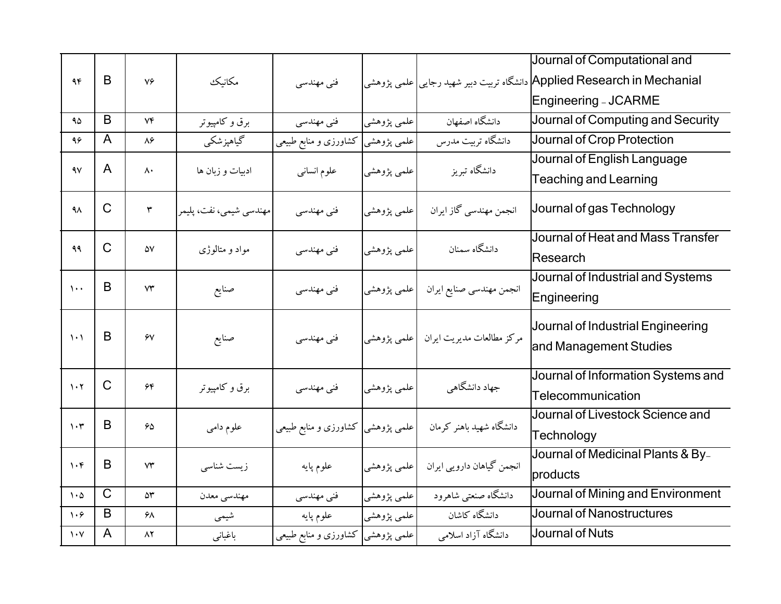| 96                              | B              | $V \infty$             | مكانيك                  | فنی مهندسی                         |             |                                                             | Journal of Computational and<br>Applied Research in Mechanial دانشگاه تربیت دبیر شهید رجایی علمی پژوهشی<br>Engineering - JCARME |
|---------------------------------|----------------|------------------------|-------------------------|------------------------------------|-------------|-------------------------------------------------------------|---------------------------------------------------------------------------------------------------------------------------------|
| ۹۵                              | B              | $V\mathfrak{F}$        | برق و کامپیوتر          | فنی مهندسی                         | علمي پژوهشي | دانشگاه اصفهان                                              | Journal of Computing and Security                                                                                               |
| 95                              | $\mathsf{A}$   | $\lambda \hat{r}$      | گیاهپزشکی               | علمی پژوهشی کشاورزی و منابع طبیعی  |             | دانشگاه تربیت مدرس                                          | Journal of Crop Protection                                                                                                      |
| ۹٧                              | $\mathsf{A}$   | $\mathsf{A}\cdot$      | ادبیات و زبان ها        | علوم انساني                        | علمي پژوهشي | دانشگاه تبریز                                               | Journal of English Language<br><b>Teaching and Learning</b>                                                                     |
| $4\lambda$                      | $\mathsf{C}$   | $\pmb{\upgamma}$       | مهندسی شیمی، نفت، پلیمر | فنی مهندسی                         | علمي پژوهشي | انجمن مهندسی گاز ایران                                      | Journal of gas Technology                                                                                                       |
| ۹۹                              | $\mathsf{C}$   | ۵۷                     | مواد و متالوژی          | فنی مهندسی                         | علمي پژوهشي | دانشگاه سمنان                                               | Journal of Heat and Mass Transfer<br><b>Research</b>                                                                            |
| $\lambda$                       | B              | $\mathsf{Y}\mathsf{Y}$ | صنايع                   | فنی مهندسی                         |             | انجمن مهندسی صنایع ایران  علمی پژوهشی                       | Journal of Industrial and Systems<br>Engineering                                                                                |
| $\mathcal{N}$                   | B              | $\gamma$               | صنايع                   | فنی مهندسی                         |             | مرکز مطالعات مدیریت ایران  علمی پژوهشی                      | Journal of Industrial Engineering<br>and Management Studies                                                                     |
| $\mathcal{N}$                   | $\mathsf{C}$   | $\hat{\tau}$           | برق و کامپیوتر          | فنی مهندسی                         | علمي پژوهشي | جهاد دانشگاهی                                               | Journal of Information Systems and<br>Telecommunication                                                                         |
| $\mathcal{N}$                   | B              | 65                     | علوم دامي               |                                    |             | دانشگاه شهید باهنر کرمان معلمی پژوهشی کشاورزی و منابع طبیعی | Journal of Livestock Science and<br>Technology                                                                                  |
| $\mathcal{N}$                   | B              | $\mathsf{Y}\mathsf{Y}$ | زیست شناسی              | علوم پايه                          | علمی پژوهشی | انجمن گیاهان دارویی ایران                                   | Journal of Medicinal Plants & By-<br>products                                                                                   |
| $\mathcal{N} \cdot \mathcal{O}$ | $\overline{C}$ | $\Delta \Upsilon$      | مهندسي معدن             | فنی مهندسی                         | علمي پژوهشي | دانشگاه صنعتبي شاهرود                                       | Journal of Mining and Environment                                                                                               |
| $\mathcal{N} \cdot \mathcal{F}$ | B              | ۶۸                     | شیمی                    | علوم پايه                          | علمی پژوهشی | دانشگاه کاشان                                               | Journal of Nanostructures                                                                                                       |
| $\mathcal{N}$                   | $\mathsf{A}$   | $\Lambda$ ٢            | باغباني                 | علمی پژوهشی  کشاورزی و منابع طبیعی |             | دانشگاه آزاد اسلامی                                         | Journal of Nuts                                                                                                                 |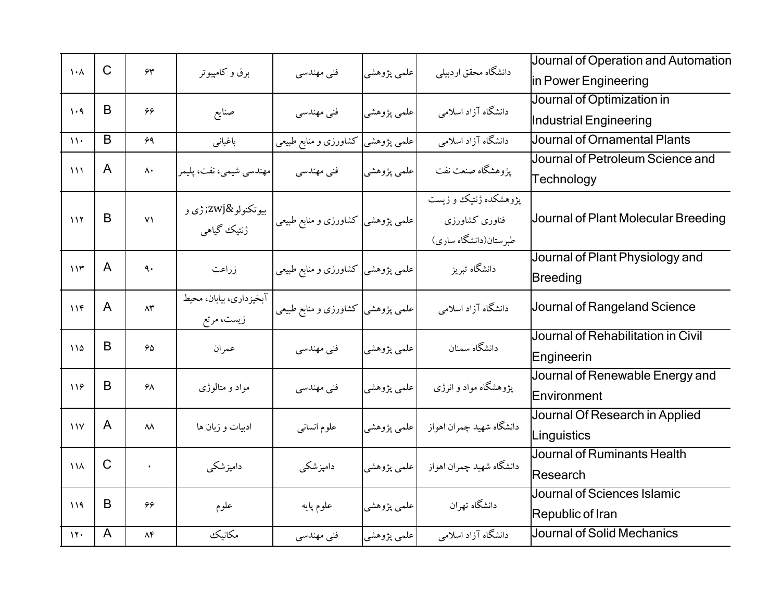| $\mathcal{N}$                   | $\mathsf{C}$ | $\gamma$ ۳              | برق و کامپیوتر          | فنی مهندسی                        | علمي پژوهشي | دانشگاه محقق اردبیلی     | Journal of Operation and Automation |
|---------------------------------|--------------|-------------------------|-------------------------|-----------------------------------|-------------|--------------------------|-------------------------------------|
|                                 |              |                         |                         |                                   |             |                          | in Power Engineering                |
| $\mathcal{N} \cdot \mathcal{A}$ | B            | ۶۶                      | صنايع                   | فنی مهندسی                        | علمي پژوهشي | دانشگاه آزاد اسلامی      | Journal of Optimization in          |
|                                 |              |                         |                         |                                   |             |                          | Industrial Engineering              |
| $\mathcal{N}$                   | B            | 59                      | باغباني                 | علمی پژوهشی کشاورزی و منابع طبیعی |             | دانشگاه آزاد اسلامی      | Journal of Ornamental Plants        |
| $\frac{1}{2}$                   | A            | $\mathsf{\Lambda}\cdot$ |                         |                                   |             | يژوهشگاه صنعت نفت        | Journal of Petroleum Science and    |
|                                 |              |                         | مهندسي شيمي، نفت، پليمر | فنی مهندسی                        | علمي پژوهشي |                          | Technology                          |
|                                 |              |                         | بيوتكنولو‍ ژې و         |                                   |             | یژوهشکده ژنتیک و زیست    |                                     |
| 117                             | B            | Y <sub>1</sub>          |                         | علمی پژوهشی کشاورزی و منابع طبیعی |             | فناورى كشاورزى           | Journal of Plant Molecular Breeding |
|                                 |              |                         | ژنتیک گیاهی             |                                   |             | طبر ستان(دانشگاه ساری)   |                                     |
|                                 | $\mathsf{A}$ |                         |                         |                                   |             |                          | Journal of Plant Physiology and     |
| 115                             |              | $\ddot{\mathsf{a}}$ .   | زراعت                   | علمی پژوهشی کشاورزی و منابع طبیعی |             | دانشگاه تبریز            | <b>Breeding</b>                     |
|                                 | $\mathsf{A}$ | $\wedge\!\tau$          | آبخیزداری، بیابان، محیط |                                   |             |                          | Journal of Rangeland Science        |
| 11F                             |              |                         | زیست، مرتع              | علمی پژوهشی کشاورزی و منابع طبیعی |             | دانشگاه آزاد اسلامی      |                                     |
|                                 | B            |                         |                         |                                   |             |                          | Journal of Rehabilitation in Civil  |
| 110                             |              | 50                      | عمران                   | فنی مهندسی                        | علمي پژوهشي | دانشگاه سمنان            | Engineerin                          |
|                                 |              |                         |                         |                                   |             |                          | Journal of Renewable Energy and     |
| 119                             | B            | ۶۸                      | مواد و متالوژی          | فنی مهندسی                        | علمي پژوهشي | یژوهشگاه مواد و انرژی    | Environment                         |
|                                 |              |                         |                         |                                   |             |                          | Journal Of Research in Applied      |
| $\sqrt{V}$                      | $\mathsf{A}$ | $\lambda\lambda$        | ادبیات و زبان ها        | علوم انساني                       | علمي پژوهشي | دانشگاه شهيد چمران اهواز | Linguistics                         |
|                                 |              |                         |                         |                                   |             |                          | <b>Journal of Ruminants Health</b>  |
| $\lambda$                       | $\mathsf{C}$ | $\bullet$               | دامپزشکی                | دامپزشکی                          | علمي پژوهشي | دانشگاه شهيد چمران اهواز | Research                            |
|                                 |              |                         |                         |                                   |             |                          | Journal of Sciences Islamic         |
| 119                             | B            | 66                      | علوم                    | علوم پايه                         | علمی پژوهشی | دانشگاه تهران            | Republic of Iran                    |
| 11.                             | $\mathsf{A}$ | $\Lambda f$             | مكانيك                  | فنی مهندسی                        | علمی پژوهشی | دانشگاه آزاد اسلامی      | <b>Journal of Solid Mechanics</b>   |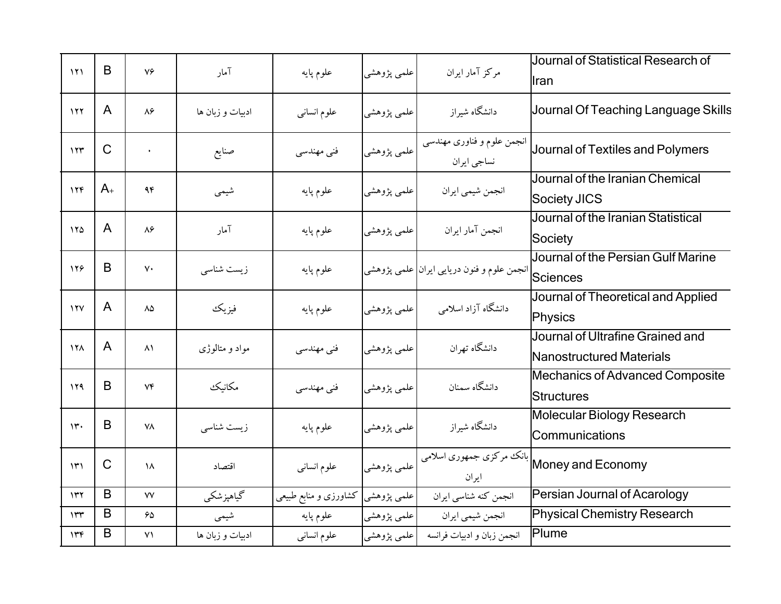| 151           | B            | ٧۶                     | آمار             | علوم پايه                          | علمي پژوهشي | مركز آمار ايران                                           | Journal of Statistical Research of<br>llran                  |
|---------------|--------------|------------------------|------------------|------------------------------------|-------------|-----------------------------------------------------------|--------------------------------------------------------------|
| 177           | $\mathsf{A}$ | $\lambda$ ۶            | ادبیات و زبان ها | علوم انسانى                        | علمی پژوهشی | دانشگاه شیراز                                             | Journal Of Teaching Language Skills                          |
| 157           | $\mathsf{C}$ |                        | صنايع            | فنی مهندسی                         | علمي پژوهشي | انجمن علوم و فناوری مهندسی<br>نساجي ايران                 | Journal of Textiles and Polymers                             |
| 156           | $A_{+}$      | 95                     | شيمي             | علوم پايه                          | علمي پژوهشي | انجمن شيمي ايران                                          | Journal of the Iranian Chemical<br>Society JICS              |
| 170           | $\mathsf{A}$ | $\lambda$ ۶            | آمار             | علوم پايه                          | علمی پژوهشی | انجمن آمار ايران                                          | Journal of the Iranian Statistical<br>Society                |
| 128           | B            | $\mathsf{v}\cdot$      | زیست شناسی       | علوم پايه                          |             | انجمن علوم و فنون دریایی ایران <mark> </mark> علمی پژوهشی | Journal of the Persian Gulf Marine<br><b>Sciences</b>        |
| 17V           | $\mathsf{A}$ | $\Lambda\Delta$        | فيزيك            | علوم پايه                          | علمی پژوهشی | دانشگاه آزاد اسلامی                                       | Journal of Theoretical and Applied<br>Physics                |
| <b>174</b>    | $\mathsf{A}$ | $\lambda$              | مواد و متالوژی   | فنی مهندسی                         | علمي پژوهشي | دانشگاه تهران                                             | Journal of Ultrafine Grained and<br>Nanostructured Materials |
| 119           | B            | Vf                     | مكانيك           | فنی مهندسی                         | علمي پژوهشي | دانشگاه سمنان                                             | <b>Mechanics of Advanced Composite</b><br><b>Structures</b>  |
| $\mathcal{W}$ | B            | ٧٨                     | زیست شناسی       | علوم پايه                          | علمي پژوهشي | دانشگاه شیراز                                             | Molecular Biology Research<br>Communications                 |
| $\mathcal{W}$ | $\mathsf{C}$ | $\lambda$              | اقتصاد           | علوم انسانى                        | علمي پژوهشي | بانک مرکزی جمهوری اسلامی<br>ايران                         | Money and Economy                                            |
| 117           | B            | $\mathsf{VV}$          | گیاهپزشکی        | علمی پژوهشی  کشاورزی و منابع طبیعی |             | انجمن كنه شناسي ايران                                     | Persian Journal of Acarology                                 |
| ۱۳۳           | B            | ۶۵                     | شیمی             | علوم پايه                          | علمي پژوهشي | انجمن شيمي ايران                                          | <b>Physical Chemistry Research</b>                           |
| 146           | B            | $\mathsf{V}\mathsf{V}$ | ادبیات و زبان ها | علوم انساني                        | علمی پژوهشی | انجمن زبان و ادبیات فرانسه                                | Plume                                                        |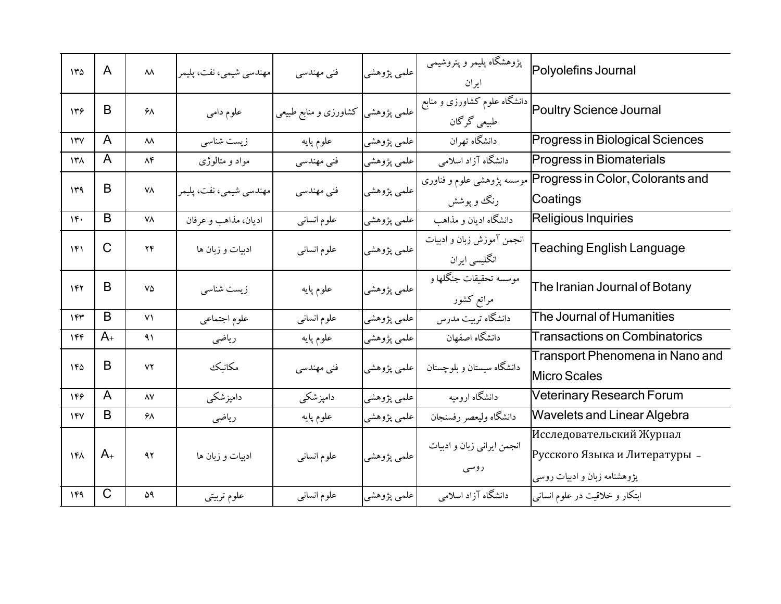| 150                                 | A              | $\lambda\lambda$ | مهندسی شیمی، نفت، پلیمر | فنی مهندسی                        | علمي پژوهشي  | پژوهشگاه پلیمر و پتروشیمی<br>ايران          | Polyolefins Journal                                                                       |
|-------------------------------------|----------------|------------------|-------------------------|-----------------------------------|--------------|---------------------------------------------|-------------------------------------------------------------------------------------------|
| ۱۳۶                                 | B              | ۶۸               | علوم دامي               | علمی پژوهشی کشاورزی و منابع طبیعی |              | دانشگاه علوم کشاورزی و منابع<br>طبیعی گرگان | Poultry Science Journal                                                                   |
| $\mathsf{Y}^{\mathsf{r}}\mathsf{V}$ | A              | $\lambda\lambda$ | زیست شناسی              | علوم پايه                         | علمی پژوهشی' | دانشگاه تهران                               | <b>Progress in Biological Sciences</b>                                                    |
| $\lambda$                           | A              | $\Lambda f$      | مواد و متالوژی          | فنی مهندسی                        | علمی پژوهشی  | دانشگاه آزاد اسلامی                         | Progress in Biomaterials                                                                  |
| 149                                 | B              | ٧٨               | مهندسي شيمي، نفت، پليمر | فنی مهندسی                        | علمي پژوهشي  | رنگ و پوشش                                  | Progress in Color, Colorants and موسسه پژوهشی علوم و فناوری<br>Coatings                   |
| $1 -$                               | B              | ٧٨               | اديان، مذاهب و عرفان    | علوم انسانى                       | علمی پژوهشی  | دانشگاه ادیان و مذاهب                       | Religious Inquiries                                                                       |
| 141                                 | $\mathsf{C}$   | $Y\mathfrak{F}$  | ادبیات و زبان ها        | علوم انسانى                       | علمي پژوهشي  | انجمن آموزش زبان و ادبیات<br>انگلیسی ایران  | <b>Teaching English Language</b>                                                          |
| 147                                 | B              | ٧۵               | زیست شناسی              | علوم پايه                         | علمي پژوهشي  | موسسه تحقيقات جنگلها و<br>مراتع كشور        | The Iranian Journal of Botany                                                             |
| 157                                 | B              | Y <sub>1</sub>   | علوم اجتماعي            | علوم انسانى                       | علمي پژوهشي  | دانشگاه تربیت مدرس                          | The Journal of Humanities                                                                 |
| 144                                 | $A_{+}$        | 41               | رياضى                   | علوم پايه                         | علمی پژوهشی  | دانشگاه اصفهان                              | <b>Transactions on Combinatorics</b>                                                      |
| ١۴۵                                 | B              | ٧٢               | مكانيك                  | فنی مهندسی                        | علمی پژوهشی  | دانشگاه سیستان و بلوچستان                   | Transport Phenomena in Nano and<br><b>Micro Scales</b>                                    |
| 148                                 | $\overline{A}$ | $\wedge \vee$    | دامپزشکی                | دامپزشکی                          | علمی پژوهشی  | دانشگاه ارومیه                              | <b>Veterinary Research Forum</b>                                                          |
| 14V                                 | B              | ۶۸               | رياضي                   | علوم پايه                         | علمي پژوهشي  | دانشگاه وليعصر رفسنجان                      | <b>Wavelets and Linear Algebra</b>                                                        |
| ۱۴۸                                 | $A_{+}$        | 47               | ادبیات و زبان ها        | علوم انسانى                       | علمي پژوهشي  | انجمن ايراني زبان و ادبيات<br>روسی          | Исследовательский Журнал<br>Русского Языка и Литературы -<br>پژوهشنامه زبان و ادبیات روسی |
| 149                                 | $\mathsf{C}$   | ۵۹               | علوم تربيتي             | علوم انسانبي                      | علمی پژوهشی  | دانشگاه آزاد اسلامی                         | ابتکار و خلاقیت در علوم انسانی                                                            |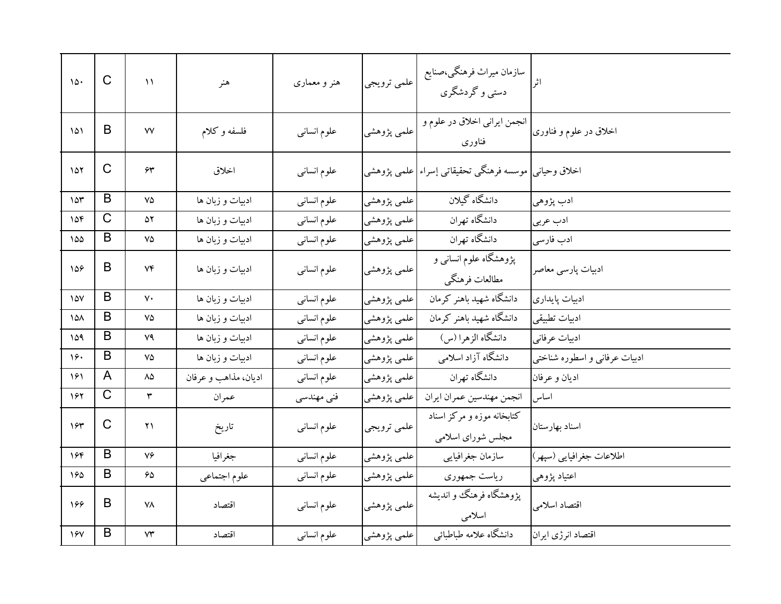| 10.               | $\mathsf{C}$          | $\lambda$              | هنر                  | هنر و معماری | علمي ترويجي | سازمان ميراث فرهنگي،صنايع<br>دستی و گردشگری               | اثر                           |
|-------------------|-----------------------|------------------------|----------------------|--------------|-------------|-----------------------------------------------------------|-------------------------------|
| ۱۵۱               | B                     | ٧V                     | فلسفه وكلام          | علوم انسانى  | علمي پژوهشي | انجمن ايراني اخلاق در علوم و<br>فناورى                    | اخلاق در علوم و فناوری        |
| ۱۵۲               | $\mathsf C$           | ۶۳                     | اخلاق                | علوم انسانى  |             | اخلاق وحیانی  موسسه فرهنگی تحقیقاتی إسراء علمی پژوهشی     |                               |
| 10 <sup>4</sup>   | B                     | ٧۵                     | ادبیات و زبان ها     | علوم انسانى  | علمي پژوهشي | دانشگاه گبلان                                             | ادب پژوهي                     |
| 104               | $\overline{\text{C}}$ | ۵۲                     | ادبیات و زبان ها     | علوم انسانى  | علمي پژوهشي | دانشگاه تهران                                             | ادب عربي                      |
| 100               | B                     | ٧۵                     | ادبیات و زبان ها     | علوم انسانى  | علمي پژوهشي | دانشگاه تهران                                             | ادب فارسى                     |
| 158               | B                     | ۷۴                     | ادبیات و زبان ها     | علوم انسانى  | علمي پژوهشي | ۔<br>پژوهشگاه علوم انسان <sub>ی</sub> و<br>مطالعات فرهنگي | ادبیات پارسی معاصر            |
| $\sqrt{\Delta V}$ | B                     | ٧٠                     | ادبیات و زبان ها     | علوم انسانى  | علمي پژوهشي | دانشگاه شهید باهنر کرمان                                  | ادبيات پايداري                |
| ۱۵۸               | B                     | ٧۵                     | ادبیات و زبان ها     | علوم انساني  | علمي پژوهشي | دانشگاه شهید باهنر کرمان                                  | ادبيات تطبيقي                 |
| ۱۵۹               | B                     | ۷۹                     | ادبیات و زبان ها     | علوم انسانى  | علمي پژوهشي | دانشگاه الزهرا (س)                                        | ادبيات عرفاني                 |
| 16.               | B                     | ٧۵                     | ادبیات و زبان ها     | علوم انساني  | علمي پژوهشي | دانشگاه آزاد اسلامی                                       | ادبیات عرفانی و اسطوره شناختی |
| 161               | A                     | ۸۵                     | اديان، مذاهب و عرفان | علوم انسانى  | علمي پژوهشي | دانشگاه تهران                                             | اديان و عرفان                 |
| 167               | $\overline{\text{C}}$ | ٣                      | عمران                | فنی مهندسی   | علمي پژوهشي | انجمن مهندسين عمران ايران                                 | اساس                          |
| 184               | C                     | ۲۱                     | تاريخ                | علوم انسانى  | علمي ترويجي | کتابخانه موزه و مرکز اسناد<br>مجلس شورای اسلامی           | اسناد بهارستان                |
| ۱۶۴               | B                     | ٧۶                     | جغرافيا              | علوم انساني  | علمي پژوهشي | سازمان جغرافيايي                                          | اطلاعات جغرافيايي (سپهر)      |
| 160               | B                     | 65                     | علوم اجتماعي         | علوم انسانى  | علمي پژوهشي | رياست جمهوري                                              | اعتياد پژوهي                  |
| 166               | B                     | ۷٨                     | اقتصاد               | علوم انسانى  | علمي پژوهشي | پژوهشگاه فرهنگ و اندیشه<br>اسلامى                         | اقتصاد اسلامی                 |
| 15V               | B                     | $\mathsf{Y}\mathsf{Y}$ | اقتصاد               | علوم انساني  | علمي پژوهشي | دانشگاه علامه طباطبائي                                    | اقتصاد انرژى ايران            |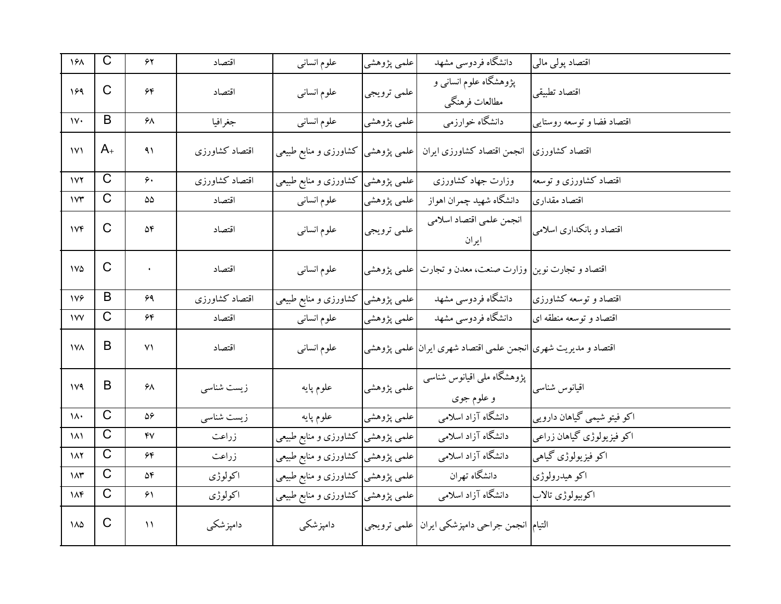| ۱۶۸                    | $\mathsf C$           | ۶۲                     | اقتصاد         | علوم انسانى                        | علمي پژوهشي | دانشگاه فردوسی مشهد                                           | اقتصاد پولی مالی            |
|------------------------|-----------------------|------------------------|----------------|------------------------------------|-------------|---------------------------------------------------------------|-----------------------------|
| 189                    | C                     | ۶۴                     | اقتصاد         | علوم انسانى                        | علمي ترويجي | پژوهشگاه علوم انسانی و<br>مطالعات فرهنگي                      | اقتصاد تطبيقي               |
| $\mathsf{v}$           | B                     | ۶۸                     | جغرافيا        | علوم انسانى                        | علمي پژوهشي | دانشگاه خوارزمي                                               | اقتصاد فضا و توسعه روستايي  |
| $\mathsf{IV}$          | $A_{+}$               | ۹۱                     | اقتصاد كشاورزى | علمی پژوهشی کشاورزی و منابع طبیعی  |             | انجمن اقتصاد كشاورزى ايران                                    | اقتصاد كشاورزى              |
| 157                    | $\mathsf C$           | ۶۰                     | اقتصاد كشاورزى | علمی پژوهشی کشاورزی و منابع طبیعی  |             | وزارت جهاد كشاورزى                                            | اقتصاد كشاورزى وتوسعه       |
| $\mathsf{v}\mathsf{r}$ | $\mathsf C$           | ۵۵                     | اقتصاد         | علوم انسانى                        | علمي پژوهشي | دانشگاه شهيد چمران اهواز                                      | اقتصاد مقدارى               |
| V                      | $\mathsf{C}$          | ۵۴                     | اقتصاد         | علوم انسانى                        | علمي ترويجي | انجمن علمي اقتصاد اسلامي<br>ايران                             | اقتصاد و بانکداری اسلامی    |
| 1 <sub>V</sub>         | C                     | ٠                      | اقتصاد         | علوم انسانى                        |             | اقتصاد و تجارت نوین  وزارت صنعت، معدن و تجارت علمی پژوهشی     |                             |
| 179                    | B                     | ۶۹                     | اقتصاد كشاورزى | علمی پژوهشی کشاورزی و منابع طبیعی  |             | دانشگاه فردوسی مشهد                                           | اقتصاد و توسعه کشاورزی      |
| ١V٧                    | $\overline{\text{C}}$ | ۶۴                     | اقتصاد         | علوم انسانى                        | علمي پژوهشي | دانشگاه فردوسی مشهد                                           | اقتصاد و توسعه منطقه ای     |
| <b>IVA</b>             | B                     | $\mathsf{V}\mathsf{V}$ | اقتصاد         | علوم انسانى                        |             | اقتصاد و مدیریت شهری انجمن علمی اقتصاد شهری ایران علمی پژوهشی |                             |
| 1 <sup>y</sup>         | B                     | ۶۸                     | زیست شناسی     | علوم پايه                          | علمی پژوهشی | پژوهشگاه ملی اقیانوس شناسی<br>و علوم جوی                      | اقيانوس شناسى               |
| ۱۸۰                    | $\overline{\text{C}}$ | $\Delta \varphi$       | زیست شناسی     | علوم پايه                          | علمي پژوهشي | دانشگاه آزاد اسلامی                                           | اکو فیتو شیمی گیاهان دارویی |
| ۱۸۱                    | $\overline{\text{C}}$ | ۴٧                     | زراعت          | علمی پژوهشی کشاورزی و منابع طبیعی  |             | دانشگاه آزاد اسلامی                                           | اکو فیزیولوژی گیاهان زراعی  |
| ۱۸۲                    | C                     | ۶۴                     | زراعت          | علمی پژوهشی  کشاورزی و منابع طبیعی |             | دانشگاه آزاد اسلامی                                           | اکو فیزیولوژی گیاهی         |
| $\lambda x$            | C                     | ۵۴                     | اكولوژى        | علمی پژوهشی کشاورزی و منابع طبیعی  |             | دانشگاه تهران                                                 | اکو هیدرولوژی               |
| $\mathcal{M}$          | $\mathsf{C}$          | $\mathcal{F}\setminus$ | اكولوژى        | علمی پژوهشی کشاورزی و منابع طبیعی  |             | دانشگاه آزاد اسلامی                                           | اكوبيولوژي تالاب            |
| $\lambda\Delta$        | C                     | $\mathcal{N}$          | دامپزشکی       | دامپزشکی                           |             | التيام  انجمن جراحي دامپزشكي ايران علمي ترويجي                |                             |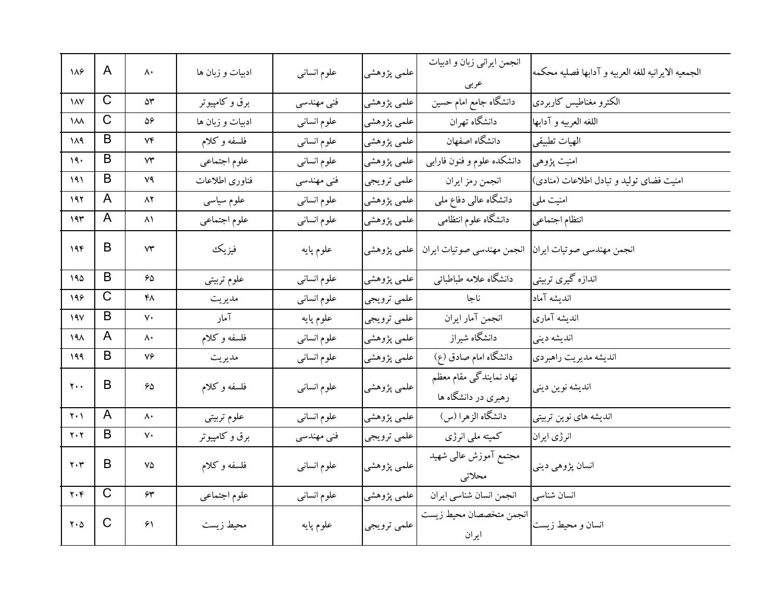| 188                           | A            | ۸۰                | ادبیات و زبان ها | علوم انسانى | علمي پژوهشي | انجمن ايراني زبان و ادبيات<br>عربى             | الجمعيه الايرانيه للغه العربيه و آدابها فصليه محكمه |
|-------------------------------|--------------|-------------------|------------------|-------------|-------------|------------------------------------------------|-----------------------------------------------------|
| $\lambda$                     | C            | ۵٣                | برق و کامپیوتر   | فنی مهندسی  | علمي پژوهشي | دانشگاه جامع امام حسین                         | الكترو مغناطيس كاربردي                              |
| $\mathcal{M}$                 | C            | ۵۶                | ادبیات و زبان ها | علوم انسانى | علمي پژوهشي | دانشگاه تهران                                  | اللغه العربيه و آدابها                              |
| ۱۸۹                           | B            | ٧۴                | فلسفه وكلام      | علوم انسانى | علمي پژوهشي | دانشگاه اصفهان                                 | الهيات تطبيقي                                       |
| ۱۹۰                           | B            | ٧٣                | علوم اجتماعي     | علوم انسانى | علمي پژوهشي | دانشکده علوم و فنون فارابی                     | امنیت پژوهی                                         |
| 191                           | B            | ٧٩                | فناورى اطلاعات   | فنی مهندسی  | علمي ترويجي | انجمن رمز ايران                                | امنیت فضای تولید و تبادل اطلاعات (منادی)            |
| ۱۹۲                           | A            | ۸۲                | علوم سياسى       | علوم انسانى | علمي پژوهشي | دانشگاه عالی دفاع ملی                          | امنیت ملی                                           |
| 195                           | A            | ۸۱                | علوم اجتماعي     | علوم انسانى | علمي پژوهشي | دانشگاه علوم انتظامی                           | انتظام اجتماعي                                      |
| 19F                           | B            | ٧٣                | فيزيك            | علوم پايه   | علمي پژوهشي | انجمن مهندسي صوتيات ايران                      | انجمن مهندسي صوتيات ايران                           |
| ۱۹۵                           | B            | ۶۵                | علوم تربيتي      | علوم انسانى | علمي پژوهشي | دانشگاه علامه طباطبائبي                        | اندازه گیری تربیتی                                  |
| 198                           | $\mathsf C$  | ۴۸                | مديريت           | علوم انسانى | علمي ترويجي | ناجا                                           | انديشه آماد                                         |
| ۱۹۷                           | B            | $\mathsf{v}\cdot$ | آمار             | علوم پايه   | علمي ترويجي | انجمن آمار ايران                               | انديشه آمارى                                        |
| ۱۹۸                           | A            | ۸۰                | فلسفه وكلام      | علوم انسانى | علمي پژوهشي | دانشگاه شیراز                                  | انديشه ديني                                         |
| 199                           | B            | ٧۶                | مديريت           | علوم انسانى | علمي پژوهشي | دانشگاه امام صادق (ع)                          | انديشه مديريت راهبردي                               |
| $y \cdot \cdot$               | B            | 65                | فلسفه وكلام      | علوم انسانى | علمي پژوهشي | نهاد نمایندگی مقام معظم<br>رهبری در دانشگاه ها | انديشه نوين ديني                                    |
| ۲۰۱                           | A            | ۸۰                | علوم تربيتي      | علوم انسانى | علمي پژوهشي | دانشگاه الزهرا (س)                             | اندیشه های نوین تربیتی                              |
| $Y \cdot Y$                   | B            | $\mathsf{v}\cdot$ | برق و کامپیوتر   | فنی مهندسی  | علمي ترويجي | کمیته ملی انرژی                                | انرژی ایران                                         |
| $\mathbf{y} \cdot \mathbf{y}$ | B            | ٧۵                | فلسفه وكلام      | علوم انسانى | علمي پژوهشي | مجتمع آموزش عالىي شهيد<br>محلاتي               | انسان پژوهی دینی                                    |
| $Y \cdot Y$                   | $\mathsf{C}$ | $\bm{\hat{\tau}}$ | علوم اجتماعي     | علوم انسانى | علمي پژوهشي | انجمن انسان شناسي ايران                        | انسان شناسي                                         |
| $Y \cdot \Delta$              | C            | ۶۱                | محيط زيست        | علوم پايه   | علمي ترويجي | انجمن متخصصان محيط زيست<br>ايران               | انسان و محیط زیست                                   |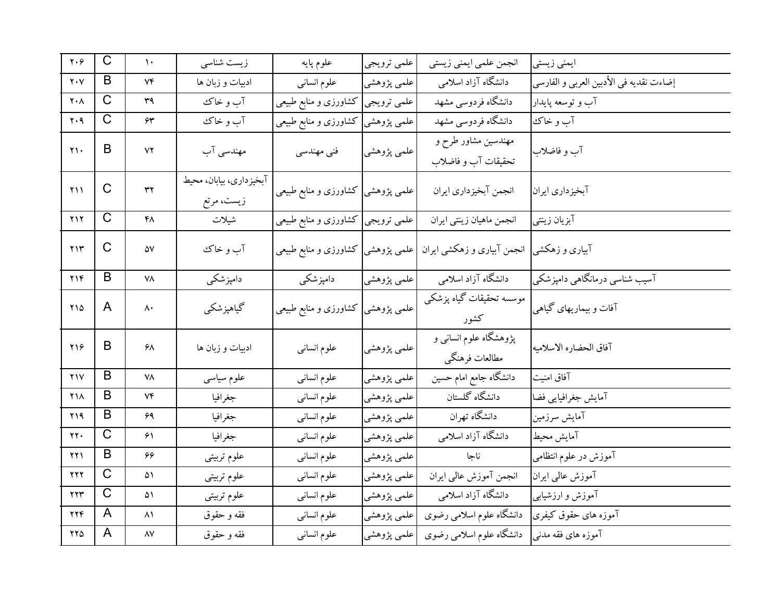| $\mathbf{y} \cdot \mathbf{y}$            | $\mathsf C$  | $\mathcal{N}$       | زیست شناسی                            | علوم پايه                          | علمي ترويجي | انجمن علمي ايمني زيستي                     | ایمنی زیستی                             |
|------------------------------------------|--------------|---------------------|---------------------------------------|------------------------------------|-------------|--------------------------------------------|-----------------------------------------|
| $\mathbf{y} \cdot \mathbf{y}$            | B            | Vf                  | ادبیات و زبان ها                      | علوم انسانى                        | علمي پژوهشي | دانشگاه آزاد اسلامی                        | إضاءت نقديه في الأدبين العربي و الفارسي |
| $\mathbf{Y}\boldsymbol{\cdot}\mathbf{A}$ | C            | ٣٩                  | آب و خاک                              | علمی ترویجی  کشاورزی و منابع طبیعی |             | دانشگاه فردوسی مشهد                        | آب و توسعه پایدار                       |
| $\mathbf{y} \cdot \mathbf{q}$            | C            | ۶۳                  | آب و خاک                              | علمی پژوهشی  کشاورزی و منابع طبیعی |             | دانشگاه فردوسی مشهد                        | آب و خاك                                |
| $\gamma \wedge$                          | B            | ۷۲                  | مهندسی آب                             | فنی مهندسی                         | علمي پژوهشي | مهندسین مشاور طرح و<br>تحقيقات آب و فاضلاب | آب و فاضلاب                             |
| ۲۱۱                                      | $\mathsf{C}$ | $\tau\tau$          | آبخیزداری، بیابان، محیط<br>زيست، مرتع | علمی پژوهشی کشاورزی و منابع طبیعی  |             | انجمن آبخيزداري ايران                      | آبخيزداري ايران                         |
| $Y \setminus Y$                          | $\mathsf C$  | ۴۸                  | شيلات                                 | علمی ترویجی کشاورزی و منابع طبیعی  |             | انجمن ماهيان زينتي ايران                   | آبزيان زينتي                            |
| ۲۱۳                                      | C            | ۵۷                  | آب و خاک                              | علمی پژوهشی  کشاورزی و منابع طبیعی |             | آبیاری و زهکشی  انجمن آبیاری و زهکشی ایران |                                         |
| YY                                       | B            | ٧٨                  | دامپزشکی                              | دامیز شکمی                         | علمي پژوهشي | دانشگاه آزاد اسلامی                        | آسیب شناسی درمانگاهی دامپزشکی           |
| $Y \setminus \Delta$                     | A            | $\wedge\cdot$       | گياهپزشكي                             | علمی پژوهشی کشاورزی و منابع طبیعی  |             | موسسه تحقیقات گیاه پزشکی<br>كشور           | آفات و بیماریهای گیاهی                  |
| ۲۱۶                                      | B            | ۶۸                  | ادبیات و زبان ها                      | علوم انسانى                        | علمي پژوهشي | پژوهشگاه علوم انسانی و<br>مطالعات فرهنگي   | آفاق الحضاره الاسلاميه                  |
| Y <sub>1</sub> Y                         | B            | ۷۸                  | علوم سياسى                            | علوم انسانى                        | علمي پژوهشي | دانشگاه جامع امام حسین                     | آفاق امنيت                              |
| <b>Y14</b>                               | B            | ۷۴                  | جغرافيا                               | علوم انسانى                        | علمي پژوهشي | دانشگاه گلستان                             | آمايش جغرافيايي فضا                     |
| ۲۱۹                                      | B            | ۶۹                  | جغرافيا                               | علوم انسانى                        | علمي پژوهشي | دانشگاه تهران                              | آمايش سرزمين                            |
| ۲۲.                                      | $\mathsf{C}$ | ۶۱                  | جغرافيا                               | علوم انسانى                        | علمي پژوهشي | دانشگاه آزاد اسلامی                        | آمايش محيط                              |
| 221                                      | B            | ۶۶                  | علوم تربيتي                           | علوم انسانى                        | علمي پژوهشي | ناجا                                       | آموزش در علوم انتظامى                   |
| <b>YYY</b>                               | $\mathsf{C}$ | ۵۱                  | علوم تربيتي                           | علوم انسانى                        | علمي پژوهشي | انجمن آموزش عالبي ايران                    | آموزش عالی ایران                        |
| ۲۲۳                                      | $\mathsf C$  | ۵۱                  | علوم تربيتي                           | علوم انسانى                        | علمي پژوهشي | دانشگاه آزاد اسلامی                        | آموزش و ارزشیابی                        |
| 224                                      | A            | ۸۱                  | فقه و حقوق                            | علوم انسانى                        | علمي پژوهشي | دانشگاه علوم اسلامی رضوی                   | آموزه های حقوق کیفری                    |
| $YY\Delta$                               | A            | $\Lambda\mathrm{V}$ | فقه و حقوق                            | علوم انسانبي                       | علمي پژوهشي | دانشگاه علوم اسلامی رضوی                   | آموزه های فقه مدنبی                     |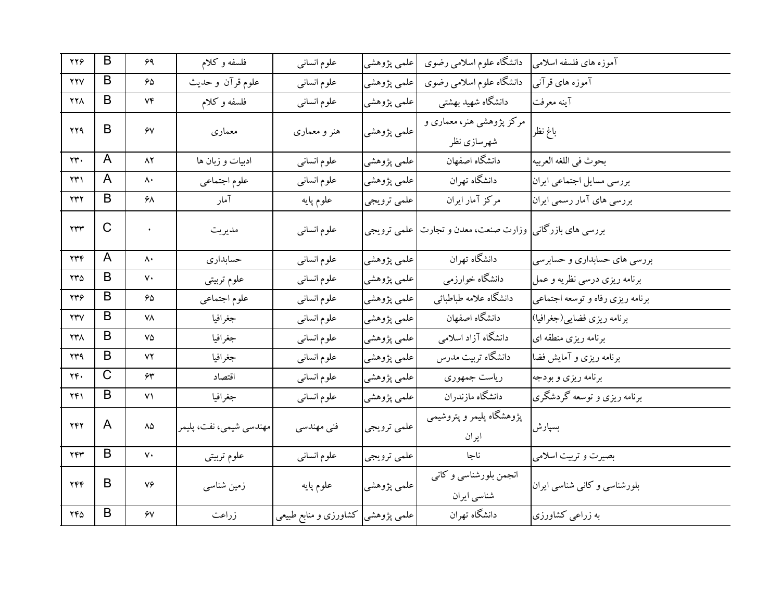| ۲۲۶                    | B            | ۶۹              | فلسفه وكلام             | علوم انسانى                        | علمي پژوهشي | دانشگاه علوم اسلامی رضوی                                 | آموزه های فلسفه اسلامی           |
|------------------------|--------------|-----------------|-------------------------|------------------------------------|-------------|----------------------------------------------------------|----------------------------------|
| <b>YYV</b>             | B            | ۶۵              | علوم قرآن وحديث         | علوم انسانى                        | علمي پژوهشي | دانشگاه علوم اسلامی رضوی                                 | آموزه های قرآنبی                 |
| <b>771</b>             | B            | ۷۴              | فلسفه وكلام             | علوم انسانى                        | علمي پژوهشي | دانشگاه شهید بهشتی                                       | آينه معرفت                       |
| ۲۲۹                    | B            | ۶V              | معماري                  |                                    | علمي پژوهشي | مرکز پژوهشی هنر، معماری و                                |                                  |
|                        |              |                 |                         | هنر و معماری                       |             | شهرسازي نظر                                              | باغ نظر                          |
| ٢٣٠                    | A            | $\lambda$ ٢     | ادبیات و زبان ها        | علوم انسانى                        | علمي پژوهشي | دانشگاه اصفهان                                           | بحوث في اللغه العربيه            |
| $\Upsilon$             | A            | $\mathsf{A}$    | علوم اجتماعي            | علوم انسانى                        | علمي پژوهشي | دانشگاه تهران                                            | بررسي مسايل اجتماعي ايران        |
| $\gamma \gamma \gamma$ | B            | ۶۸              | آمار                    | علوم پايه                          | علمي ترويجي | مرکز آمار ایران                                          | بررسی های آمار رسمی ایران        |
| $\tau\tau\tau$         | $\mathsf{C}$ |                 | مديريت                  | علوم انسانى                        |             | بررسی های بازرگانی  وزارت صنعت، معدن و تجارت علمی ترویجی |                                  |
|                        |              |                 |                         |                                    |             |                                                          |                                  |
| $\gamma \gamma \gamma$ | A            | ۸۰              | حسابداري                | علوم انسانى                        | علمي پژوهشي | دانشگاه تهران                                            | بررسی های حسابداری و حسابرسی     |
| ۲۳۵                    | B            | ٧٠              | علوم تربيتي             | علوم انسانى                        | علمي پژوهشي | دانشگاه خوارزمي                                          | برنامه ریزی درسی نظریه و عمل     |
| ۲۳۶                    | B            | 65              | علوم اجتماعي            | علوم انسانى                        | علمي پژوهشي | دانشگاه علامه طباطبائي                                   | برنامه ریزی رفاه و توسعه اجتماعی |
| YYV                    | B            | ۷۸              | جغرافيا                 | علوم انسانى                        | علمي پژوهشي | دانشگاه اصفهان                                           | برنامه ريزي فضايي(جغرافيا)       |
| ۲۳۸                    | B            | ٧۵              | جغرافيا                 | علوم انسانى                        | علمي پژوهشي | دانشگاه آزاد اسلامی                                      | برنامه ریزی منطقه ای             |
| ۲۳۹                    | B            | ۷۲              | جغرافيا                 | علوم انسانى                        | علمي پژوهشي | دانشگاه تربیت مدرس                                       | برنامه ریزی و آمایش فضا          |
| ٢۴٠                    | $\mathsf{C}$ | ۶۳              | اقتصاد                  | علوم انسانى                        | علمي پژوهشي | رياست جمهوري                                             | برنامه ریزی و بودجه              |
| ۲۴۱                    | B            | ۷۱              | جغرافيا                 | علوم انسانى                        | علمي پژوهشي | دانشگاه مازندران                                         | برنامه ریزی و توسعه گردشگری      |
| 247                    | A            | $\Lambda\Delta$ | مهندسي شيمي، نفت، پليمر | فنی مهندسی                         | علمي ترويجي | پژوهشگاه پلیمر و پتروشیمی                                | بسپارش                           |
|                        |              |                 |                         |                                    |             | ايران                                                    |                                  |
| ٢۴٣                    | B            | $V \cdot$       | علوم تربيتي             | علوم انسانى                        | علمي ترويجي | ناجا                                                     | بصیرت و تربیت اسلامی             |
| <b>٢۴۴</b>             | B            | ٧۶              | زمین شناسی              | علوم پايه                          | علمي پژوهشي | انجمن بلورشناسی و کانبی                                  | بلورشناسی و کانی شناسی ایران     |
|                        |              |                 |                         |                                    |             | شناسی ایران                                              |                                  |
| ٢۴٥                    | B            | ۶٧              | زراعت                   | علمی پژوهشی  کشاورزی و منابع طبیعی |             | دانشگاه تهران                                            | به زراعی کشاورزی                 |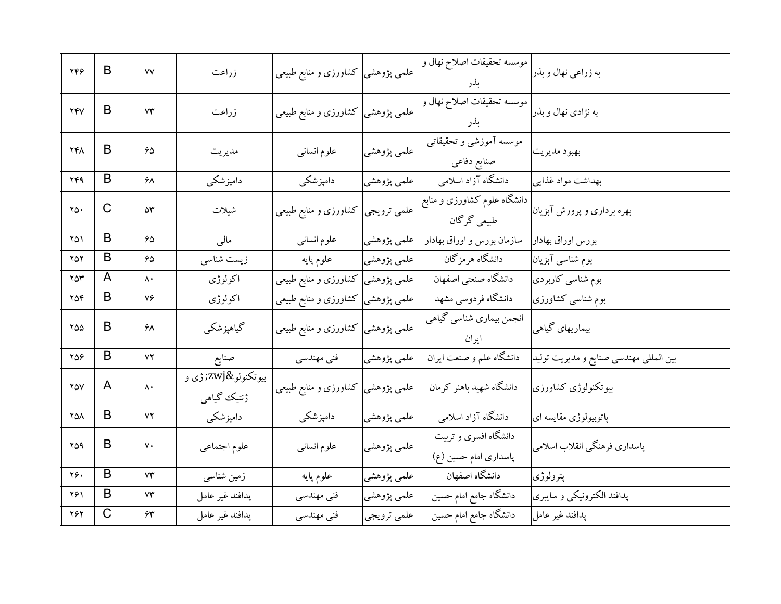| 749                     | B | $\mathsf{v}\mathsf{v}$ | زراعت                          | علمی پژوهشی  کشاورزی و منابع طبیعی |             | موسسه تحقيقات اصلاح نهال و<br>بذر              | به زراعی نهال و بذر                    |
|-------------------------|---|------------------------|--------------------------------|------------------------------------|-------------|------------------------------------------------|----------------------------------------|
| <b>TFV</b>              | B | ۷۳                     | زراعت                          | علمی پژوهشی  کشاورزی و منابع طبیعی |             | موسسه تحقيقات اصلاح نهال و<br>بذر              | به نژادی نهال و بذر                    |
| <b>741</b>              | B | ۶۵                     | مديريت                         | علوم انسانى                        | علمي پژوهشي | موسسه آموزشي و تحقیقاتی<br>صنايع دفاعي         | بهبود مديريت                           |
| 249                     | B | ۶۸                     | دامیزشکی                       | دامپزشکی                           | علمي پژوهشي | دانشگاه آزاد اسلامی                            | بهداشت مواد غذايبي                     |
| $\mathsf{Y}\Delta\cdot$ | C | ۵۳                     | شيلات                          | كشاورزى و منابع طبيعي              | علمي ترويجي | دانشگاه علوم کشاورزی و منابع<br>طبیعی گرگان    | بهره برداری و پرورش آبزیان             |
| ۲۵۱                     | B | $60^{\circ}$           | مالى                           | علوم انسانى                        | علمي پژوهشي | سازمان بورس و اوراق بهادار                     | بورس اوراق بهادار                      |
| $Y\Delta Y$             | B | $\mathcal{S}\Delta$    | زیست شناسی                     | علوم پايه                          | علمي پژوهشي | دانشگاه هرمزگان                                | بوم شناسی آبزیان                       |
| ۲۵۳                     | A | ۸۰                     | اكولوژى                        | علمی پژوهشی کشاورزی و منابع طبیعی  |             | دانشگاه صنعتي اصفهان                           | بوم شناسی کاربردی                      |
| ۲۵۴                     | B | $V \infty$             | اكولوژى                        | علمی پژوهشی کشاورزی و منابع طبیعی  |             | دانشگاه فردوسی مشهد                            | بوم شناسی کشاورزی                      |
| ۲۵۵                     | B | ۶۸                     | گیاهپزشکی                      | علمی پژوهشی کشاورزی و منابع طبیعی  |             | انجمن بیماری شناسی گیاهی<br>ايران              | بیماریهای گیاهی                        |
| ۲۵۶                     | B | YY                     | صنايع                          | فنی مهندسی                         | علمي پژوهشي | دانشگاه علم و صنعت ایران                       | بین المللی مهندسی صنایع و مدیریت تولید |
| $Y\Delta V$             | A | $\mathsf{A} \cdot$     | بيوتكنولو‍ ژې و<br>ژنتیک گیاهی | کشاورزی و منابع طبیعی              | علمی پژوهشی | دانشگاه شهید باهنر کرمان                       | بيوتكنولوژي كشاورزي                    |
| 751                     | B | ۷۲                     | دامپزشکی                       | دامپزشکی                           | علمی پژوهشی | دانشگاه آزاد اسلامی                            | پاتوبیولوژی مقایسه ای                  |
| ۲۵۹                     | B | $\mathsf{v}\cdot$      | علوم اجتماعي                   | علوم انسانى                        | علمي پژوهشي | دانشگاه افسری و تربیت<br>پاسداری امام حسین (ع) | پاسداري فرهنگي انقلاب اسلامي           |
| ۲۶.                     | B | $\mathsf{Y}\mathsf{Y}$ | زمین شناسی                     | علوم پايه                          | علمي پژوهشي | دانشگاه اصفهان                                 | پترولوژي                               |
| ۲۶۱                     | B | ۷۳                     | پدافند غير عامل                | فنی مهندسی                         | علمي پژوهشي | دانشگاه جامع امام حسین                         | پدافند الكترونيكي و سايبري             |
| ۲۶۲                     | C | ۶۳                     | پدافند غير عامل                | فنی مهندسی                         | علمي ترويجي | دانشگاه جامع امام حسین                         | پدافند غير عامل                        |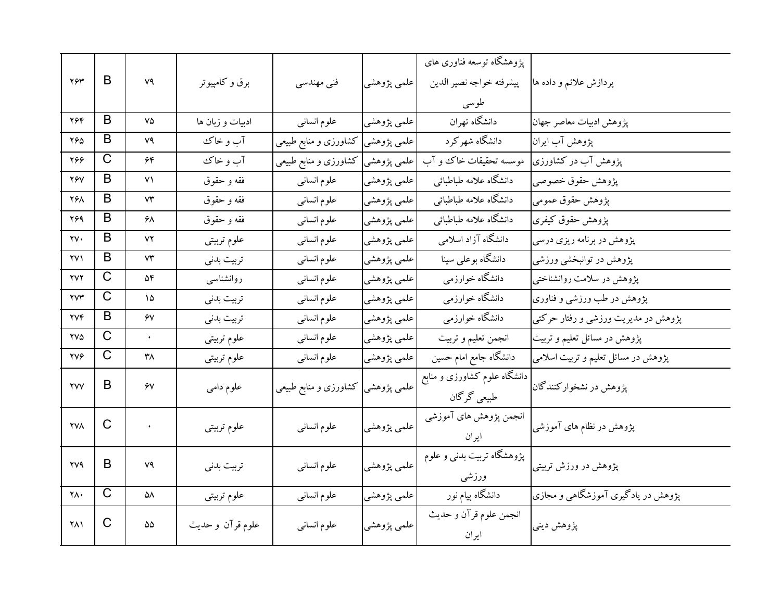| ٢۶٣                  | B                     | ٧٩        | برق و کامپیوتر   | فنی مهندسی                           | علمي پژوهشي | پژوهشگاه توسعه فناوری های<br>پيشرفته خواجه نصير الدين<br>طوسى | پردازش علائم و داده ها                      |
|----------------------|-----------------------|-----------|------------------|--------------------------------------|-------------|---------------------------------------------------------------|---------------------------------------------|
| ۲۶۴                  | B                     | ٧۵        | ادبیات و زبان ها | علوم انسانى                          | علمي پژوهشي | دانشگاه تهران                                                 | پژوهش ادبیات معاصر جهان                     |
| ۲۶۵                  | B                     | ۷۹        | آب و خاک         | علمی پژوهشی کشاورزی و منابع طبیعی    |             | دانشگاه شهر کر د                                              | پژوهش آب ایران                              |
| 288                  | C                     | ۶۴        | آب و خاک         | علمی پژوهشی کشاورزی و منابع طبیعی    |             | موسسه تحقیقات خاک و آب                                        | پژوهش آب در کشاورزی                         |
| <b>79V</b>           | B                     | ۷۱        | فقه و حقوق       | علوم انسانى                          | علمي پژوهشي | دانشگاه علامه طباطبائي                                        | پژوهش حقوق خصوصي                            |
| 268                  | B                     | ۷۳        | فقه و حقوق       | علوم انسانى                          | علمي پژوهشي | دانشگاه علامه طباطبائي                                        | پژوهش حقوق عمومي                            |
| 269                  | B                     | ۶۸        | فقه و حقوق       | علوم انسانى                          | علمي پژوهشي | دانشگاه علامه طباطبائي                                        | پژوهش حقوق کیفری                            |
| ۲۷۰                  | B                     | ۷۲        | علوم تربيتي      | علوم انسانى                          | علمي پژوهشي | دانشگاه آزاد اسلامی                                           | پژوهش در برنامه ریزی درسی                   |
| ۲۷۱                  | B                     | ۷۳        | تربيت بدنى       | علوم انسانى                          | علمي پژوهشي | دانشگاه بوعلی سینا                                            | پژوهش در توانبخشی ورزشی                     |
| <b>YVY</b>           | $\mathsf C$           | ۵۴        | روانشناسبي       | علوم انسانى                          | علمي پژوهشي | دانشگاه خوارزمي                                               | پژوهش در سلامت روانشناختی                   |
| <b>YVY</b>           | C                     | ۱۵        | تربيت بدنى       | علوم انسانى                          | علمي پژوهشي | دانشگاه خوارزمی                                               | پژوهش در طب ورزشی و فناوری                  |
| <b>TVF</b>           | B                     | ۶٧        | تربيت بدنى       | علوم انسانى                          | علمي پژوهشي | دانشگاه خوارزمي                                               | پژوهش در مدیریت ورزشی و رفتار حرکتی         |
| <b>YV4</b>           | $\overline{\text{C}}$ | $\bullet$ | علوم تربيتي      | علوم انسانى                          | علمي پژوهشي | انجمن تعليم و تربيت                                           | پژوهش در مسائل تعلیم و تربیت <mark>.</mark> |
| <b>TVG</b>           | $\overline{C}$        | ۳۸        | علوم تربيتي      | علوم انسانى                          | علمي پژوهشي | دانشگاه جامع امام حسین                                        | پژوهش در مسائل تعلیم و تربیت اسلامی         |
| $\gamma\gamma\gamma$ | B                     | ۶V        | علوم دامي        | علمی پژوهشی  کشاورزی و منابع طبیعی ا |             | دانشگاه علوم کشاورزی و منابع<br>طبیعی گرگان                   | پژوهش در نشخوارکنندگان                      |
| <b>YVA</b>           | $\mathsf{C}$          | $\bullet$ | علوم تربيتي      | علوم انسانى                          | علمي پژوهشي | انجمن پژوهش های آموزشی<br>ايران                               | پژوهش در نظام های آموزشی                    |
| <b>TV9</b>           | B                     | ٧٩        | تربيت بدني       | علوم انسانى                          | علمي پژوهشي | پژوهشگاه تربیت بدنبی و علوم<br>ورزشى                          | پژوهش در ورزش تربیتی                        |
| ۲۸۰                  | $\mathsf{C}$          | ۵۸        | علوم تربيتي      | علوم انسانى                          | علمي پژوهشي | دانشگاه پیام نور                                              | پژوهش در یادگیری آموزشگاهی و مجازی          |
| ۲۸۱                  | C                     | ۵۵        | علوم قرآن و حديث | علوم انسانى                          | علمي پژوهشي | انجمن علوم قرآن و حديث<br>ايران                               | پژوهش ديني                                  |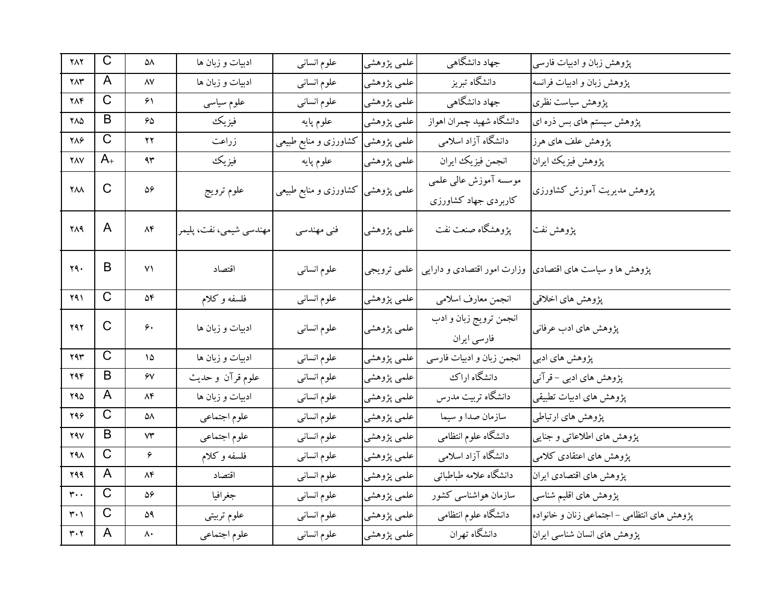| $Y\wedge Y$                   | $\mathsf C$           | ۵۸                                      | ادبیات و زبان ها        | علوم انساني                       | علمي پژوهشي | جهاد دانشگاهی                                  | پژوهش زبان و ادبیات فارسی                                 |
|-------------------------------|-----------------------|-----------------------------------------|-------------------------|-----------------------------------|-------------|------------------------------------------------|-----------------------------------------------------------|
| ۲۸۳                           | A                     | $\Lambda\mathrm{V}$                     | ادبیات و زبان ها        | علوم انسانى                       | علمي پژوهشي | دانشگاه تبریز                                  | پژوهش زبان و ادبیات فرانسه                                |
| ۲۸۴                           | $\mathsf C$           | ۶۱                                      | علوم سياسى              | علوم انسانى                       | علمي پژوهشي | جهاد دانشگاهی                                  | پژوهش سیاست نظری                                          |
| ٢٨٥                           | B                     | 65                                      | فيزيك                   | علوم پايه                         | علمي پژوهشي | دانشگاه شهيد چمران اهواز                       | پژوهش سیستم های بس ذره ای                                 |
| ۲۸۶                           | $\overline{\text{C}}$ | ۲۲                                      | زراعت                   | کشاورزی و منابع طبیعی             | علمي پژوهشي | دانشگاه آزاد اسلامی                            | پژوهش علف های هرز                                         |
| <b>YAV</b>                    | $A_{+}$               | ۹۳                                      | فيزيك                   | علوم پايه                         | علمي پژوهشي | انجمن فيزيك ايران                              | پژوهش فيزيك ايران                                         |
| $Y\wedge\wedge$               | C                     | ۵۶                                      | علوم ترويج              | علمی پژوهشی کشاورزی و منابع طبیعی |             | موسسه آموزش عالىي علمى<br>کاربردی جهاد کشاورزی | پژوهش مدیریت آموزش کشاورزی                                |
| ۲۸۹                           | A                     | $\wedge \mathfrak{r}$                   | مهندسي شيمي، نفت، پليمر | فنی مهندسی                        | علمي پژوهشي | پژوهشگاه صنعت نفت                              | پژوهش نفت                                                 |
| 79.                           | B                     | ۷۱                                      | اقتصاد                  | علوم انسانبي                      | علمي ترويجي |                                                | پژوهش ها و سیاست های اقتصادی  وزارت امور اقتصادی و دارایی |
| 291                           | C                     | ۵۴                                      | فلسفه و کلام            | علوم انسانى                       | علمي پژوهشي | انجمن معارف اسلامي                             | پژوهش های اخلاقی                                          |
| ۲۹۲                           | C                     | ۶۰                                      | ادبیات و زبان ها        | علوم انسانى                       | علمی پژوهشی | انجمن ترويج زبان و ادب<br>فارسي ايران          | پژوهش های ادب عرفانی                                      |
| ۲۹۳                           | $\mathsf{C}$          | ۱۵                                      | ادبیات و زبان ها        | علوم انسانى                       | علمي پژوهشي | انجمن زبان و ادبیات فارسی                      | پژوهش های ادبی                                            |
| ۲۹۴                           | B                     | ۶٧                                      | علوم قرآن وحديث         | علوم انسانى                       | علمي پژوهشي | دانشگاه اراك                                   | پژوهش های ادبی - قرآنی                                    |
| ۲۹۵                           | A                     | ۸۴                                      | ادبیات و زبان ها        | علوم انسانى                       | علمي پژوهشي | دانشگاه تربیت مدرس                             | پژوهش های ادبیات تطبیقی                                   |
| ۲۹۶                           | C                     | ۵۸                                      | علوم اجتماعي            | علوم انسانى                       | علمي پژوهشي | سازمان صدا و سیما                              | پژوهش های ارتباطی                                         |
| 29V                           | B                     | ۷۳                                      | علوم اجتماعي            | علوم انسانى                       | علمي پژوهشي | دانشگاه علوم انتظامی                           | پژوهش های اطلاعاتی و جنایی                                |
| <b>898</b>                    | $\mathsf C$           | ۶                                       | فلسفه وكلام             | علوم انسانى                       | علمي پژوهشي | دانشگاه آزاد اسلامی                            | پژوهش های اعتقادی کلامی                                   |
| 299                           | A                     | ۸۴                                      | اقتصاد                  | علوم انسانى                       | علمي پژوهشي | دانشگاه علامه طباطبائي                         | پژوهش های اقتصادی ایران                                   |
| $\mathbf{r}$ .                | $\overline{C}$        | ۵۶                                      | جغرافيا                 | علوم انسانى                       | علمي پژوهشي | سازمان هواشناسی کشور                           | پژوهش های اقلیم شناسی                                     |
| $\mathbf{r} \cdot \mathbf{v}$ | $\overline{C}$        | ۵۹                                      | علوم تربيتي             | علوم انسانى                       | علمي پژوهشي | دانشگاه علوم انتظامی                           | پژوهش های انتظامی –اجتماعی زنان و خانواده                 |
| $\mathbf{r}\cdot\mathbf{r}$   | A                     | $\boldsymbol{\wedge}\boldsymbol{\cdot}$ | علوم اجتماعي            | علوم انسانى                       | علمي پژوهشي | دانشگاه تهران                                  | پژوهش های انسان شناسی ایران                               |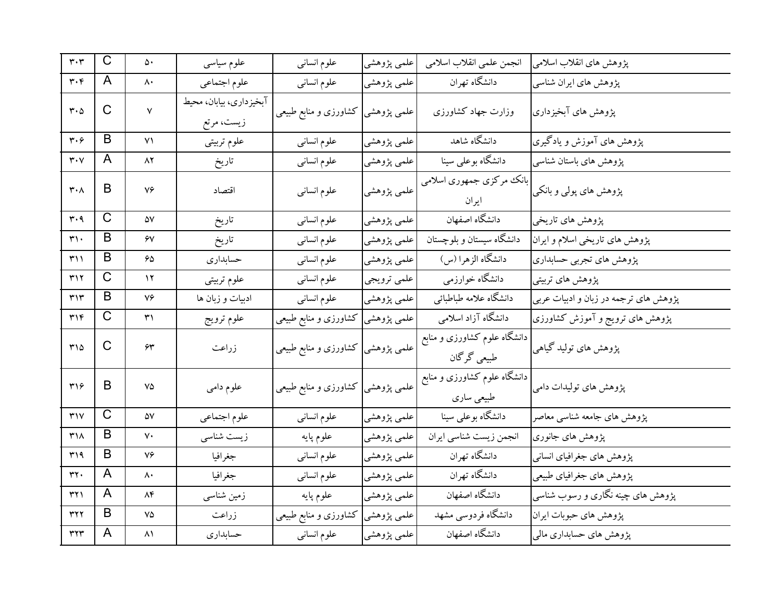| $\mathbf{r}\cdot\mathbf{r}$      | $\mathsf{C}$ | ۵۰           | علوم سياسى                            | علوم انسانى                        | علمي پژوهشي | انجمن علمي انقلاب اسلامي                    | پژوهش های انقلاب اسلامی               |
|----------------------------------|--------------|--------------|---------------------------------------|------------------------------------|-------------|---------------------------------------------|---------------------------------------|
| $\mathbf{r} \cdot \mathbf{r}$    | A            | ۸۰           | علوم اجتماعي                          | علوم انسانى                        | علمي پژوهشي | دانشگاه تهران                               | پژوهش های ایران شناسی                 |
| $\mathbf{r} \cdot \mathbf{r}$    | $\mathsf{C}$ | $\mathsf{v}$ | آبخیزداری، بیابان، محیط<br>زيست، مرتع | كشاورزى و منابع طبيعي              | علمي پژوهشي | وزارت جهاد كشاورزى                          | پژوهش های آبخیزداری                   |
| $\mathbf{r} \cdot \mathbf{r}$    | B            | ۷۱           | علوم تربيتي                           | علوم انسانى                        | علمي پژوهشي | دانشگاه شاهد                                | پژوهش های آموزش و یادگیری             |
| $\mathbf{r}\cdot\mathbf{v}$      | A            | ۸۲           | تاريخ                                 | علوم انسانى                        | علمي پژوهشي | دانشگاه بوعلی سینا                          | پژوهش های باستان شناسی                |
| $\mathbf{r} \cdot \mathbf{v}$    | B            | ٧۶           | اقتصاد                                | علوم انسانى                        | علمي پژوهشي | بانک مرکزی جمهوری اسلامی<br>ايران           | پژوهش های پولی و بانکی                |
| $\mathbf{r} \cdot \mathbf{q}$    | $\mathsf{C}$ | ۵۷           | تاريخ                                 | علوم انسانى                        | علمي پژوهشي | دانشگاه اصفهان                              | پژوهش های تاریخی                      |
| $\mathsf{r}\cdot$                | B            | ۶٧           | تاريخ                                 | علوم انسانى                        | علمي پژوهشي | دانشگاه سیستان و بلوچستان                   | پژوهش های تاریخی اسلام و ایران        |
| ۳۱۱                              | B            | 65           | حسابداري                              | علوم انسانى                        | علمي پژوهشي | دانشگاه الزهرا (س)                          | پژوهش های تجربی حسابداری              |
| ٣١٢                              | $\mathsf{C}$ | ۱۲           | علوم تربيتي                           | علوم انسانى                        | علمي ترويجي | دانشگاه خوارزمي                             | پژوهش های تربیتی                      |
| ٣١٣                              | B            | ٧٦           | ادبیات و زبان ها                      | علوم انسانى                        | علمي پژوهشي | دانشگاه علامه طباطبائي                      | پژوهش های ترجمه در زبان و ادبیات عربی |
| $\mathbf{r}$                     | $\mathsf{C}$ | ۳۱           | علوم ترويج                            | علمی پژوهشی کشاورزی و منابع طبیعی  |             | دانشگاه آزاد اسلامی                         | پژوهش های ترویج و آموزش کشاورزی       |
| $r\wedge\Delta$                  | $\mathsf{C}$ | ۶۳           | زراعت                                 | علمی پژوهشی کشاورزی و منابع طبیعی  |             | دانشگاه علوم کشاورزی و منابع<br>طبیعی گرگان | پژوهش های تولید گیاهی                 |
| ٣١۶                              | B            | ٧۵           | علوم دامي                             | علمی پژوهشی  کشاورزی و منابع طبیعی |             | دانشگاه علوم کشاورزی و منابع<br>طبیعی ساری  | پژوهش های تولیدات دامی                |
| $\mathbf{r}$                     | $\mathsf{C}$ | ۵۷           | علوم اجتماعي                          | علوم انسانى                        | علمي پژوهشي | دانشگاه بوعلی سینا                          | پژوهش های جامعه شناسبی معاصر          |
| $\mathsf{r}\wedge$               | B            | ٧٠           | زیست شناسی                            | علوم پايه                          | علمي پژوهشي | انجمن زيست شناسي ايران                      | پژوهش های جانوری                      |
| ۳۱۹                              | B            | ٧۶           | جغرافيا                               | علوم انسانى                        | علمي پژوهشي | دانشگاه تهران                               | پژوهش های جغرافیای انسانی             |
| rr.                              | A            | ۸۰           | جغرافيا                               | علوم انسانى                        | علمي پژوهشي | دانشگاه تهران                               | پژوهش های جغرافیای طبیعی              |
| ۳۲۱                              | A            | ۸۴           | زمین شناسی                            | علوم پايه                          | علمي پژوهشي | دانشگاه اصفهان                              | پژوهش های چینه نگاری و رسوب شناسی     |
| rr7                              | B            | ٧۵           | زراعت                                 | علمی پژوهشی کشاورزی و منابع طبیعی  |             | دانشگاه فردوسی مشهد                         | پژوهش های حبوبات ایران                |
| $\mathsf{r}\mathsf{r}\mathsf{r}$ | A            | ۸۱           | حسابداري                              | علوم انسانى                        | علمي پژوهشي | دانشگاه اصفهان                              | پژوهش های حسابداری مالی               |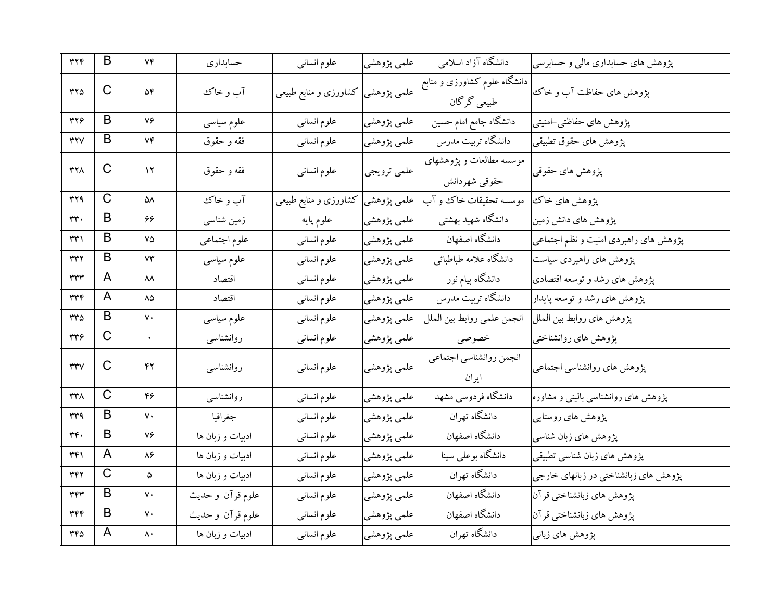| ٣٢۴                              | B           | Vf            | حسابداري         | علوم انسانى                        | علمي پژوهشي | دانشگاه آزاد اسلامی                         | پژوهش های حسابداری مالی و حسابرسی     |
|----------------------------------|-------------|---------------|------------------|------------------------------------|-------------|---------------------------------------------|---------------------------------------|
| ٣٢٥                              | C           | ۵۴            | آب و خاک         | علمی پژوهشی  کشاورزی و منابع طبیعی |             | دانشگاه علوم کشاورزی و منابع<br>طبیعی گرگان | پژوهش های حفاظت آب و خاک              |
| ٣٢۶                              | B           | ٧۶            | علوم سياسى       | علوم انسانى                        | علمي پژوهشي | دانشگاه جامع امام حسین                      | پژوهش های حفاظتی–امنیتی               |
| ۳۲۷                              | B           | ۷۴            | فقه و حقوق       | علوم انسانبي                       | علمي پژوهشي | دانشگاه تربیت مدرس                          | پژوهش های حقوق تطبیقی                 |
| <b>٣٢٨</b>                       | C           | ۱۲            | فقه و حقوق       | علوم انسانى                        | علمي ترويجي | موسسه مطالعات و پژوهشهای<br>حقوقي شهردانش   | پژوهش های حقوقی                       |
| ۳۲۹                              | C           | ۵۸            | آب و خاک         | کشاورزی و منابع طبیعی              | علمي پژوهشي | موسسه تحقیقات خاک و آب                      | پژوهش های خاک                         |
| ۳۳۰                              | B           | 66            | زمین شناسی       | علوم پايه                          | علمي پژوهشي | دانشگاه شهید بهشتی                          | پژوهش های دانش زمین                   |
| ۳۳۱                              | B           | ٧۵            | علوم اجتماعي     | علوم انسانى                        | علمي پژوهشي | دانشگاه اصفهان                              | پژوهش های راهبردی امنیت و نظم اجتماعی |
| ٣٣٢                              | B           | ٧٣            | علوم سياسى       | علوم انسانى                        | علمي پژوهشي | دانشگاه علامه طباطبائي                      | پژوهش های راهبردی سیاست               |
| ٣٣٣                              | A           | ᄊ             | اقتصاد           | علوم انسانى                        | علمي پژوهشي | دانشگاه پیام نور                            | پژوهش های رشد و توسعه اقتصادی         |
| ٣٣٤                              | A           | ۸۵            | اقتصاد           | علوم انسانى                        | علمي پژوهشي | دانشگاه تربیت مدرس                          | پژوهش های رشد و توسعه پایدار          |
| ۳۳۵                              | B           | ٧٠            | علوم سياسى       | علوم انسانى                        | علمي پژوهشي | انجمن علمي روابط بين الملل                  | پژوهش های روابط بین الملل             |
| ٣٣۶                              | C           | $\bullet$     | روانشناسى        | علوم انسانى                        | علمي پژوهشي | خصوصي                                       | پژوهش های روانشناختبی                 |
| $\mathsf{r}\mathsf{r}\mathsf{v}$ | C           | ۴۲            | روانشناسبي       | علوم انسانى                        | علمي پژوهشي | انجمن روانشناسي اجتماعي<br>ايران            | پژوهش های روانشناسی اجتماعی           |
| ۳۳۸                              | $\mathsf C$ | ۴۶            | روانشناسبي       | علوم انسانى                        | علمي پژوهشي | دانشگاه فردوسی مشهد                         | پژوهش های روانشناسی بالینی و مشاوره   |
| ۳۳۹                              | B           | ٧٠            | جغرافيا          | علوم انسانى                        | علمي پژوهشي | دانشگاه تهران                               | پژوهش های روستایی                     |
| ٣۴٠                              | B           | ٧۶            | ادبیات و زبان ها | علوم انسانى                        | علمي پژوهشي | دانشگاه اصفهان                              | پژوهش های زبان شناسی                  |
| ۳۴۱                              | A           | ۸۶            | ادبیات و زبان ها | علوم انسانى                        | علمي پژوهشي | دانشگاه بوعلی سینا                          | پژوهش های زبان شناسی تطبیقی           |
| ٣٤٢                              | C           | ۵             | ادبیات و زبان ها | علوم انسانى                        | علمي پژوهشي | دانشگاه تهران                               | پژوهش های زبانشناختی در زبانهای خارجی |
| ٣٤٣                              | B           | ٧٠            | علوم قرآن وحديث  | علوم انسانى                        | علمي پژوهشي | دانشگاه اصفهان                              | پژوهش های زبانشناختی قرآن             |
| ٣۴۴                              | B           | ٧٠            | علوم قرآن و حديث | علوم انسانى                        | علمي پژوهشي | دانشگاه اصفهان                              | پژوهش های زبانشناختی قرآن             |
| $rr\rho$                         | A           | $\wedge\cdot$ | ادبیات و زبان ها | علوم انسانى                        | علمي پژوهشي | دانشگاه تهران                               | پژوهش های زبانی                       |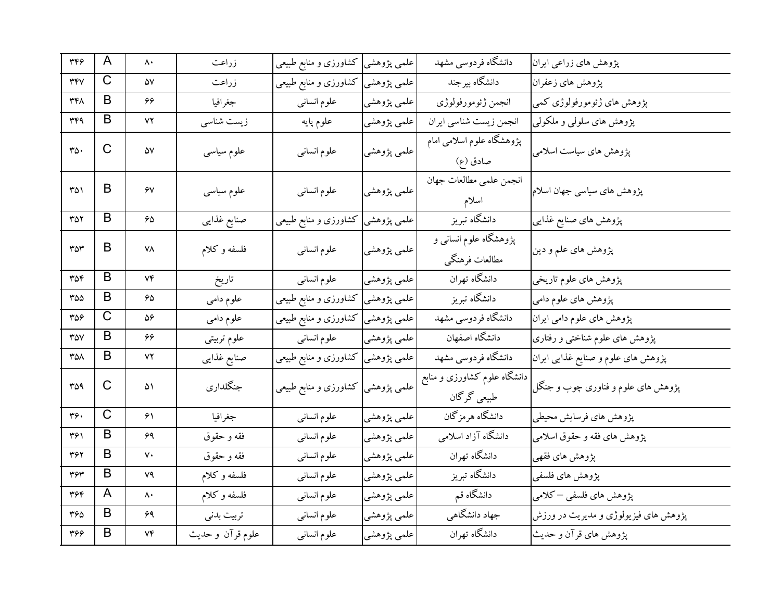| 374        | A            | $\mathsf{\Lambda}\cdot$ | زراعت            | كشاورزى و منابع طبيعى             | علمي پژوهشي | دانشگاه فردوسی مشهد                         | پژوهش های زراعی ایران                |
|------------|--------------|-------------------------|------------------|-----------------------------------|-------------|---------------------------------------------|--------------------------------------|
| <b>٣۴٧</b> | C            | ۵۷                      | زراعت            | کشاورزی و منابع طبیعی             | علمي پژوهشي | دانشگاه بیرجند                              | پژوهش های زعفران                     |
| ٣۴٨        | B            | 66                      | جغرافيا          | علوم انسانى                       | علمي پژوهشي | انجمن ژئومورفولوژي                          | پژوهش های ژئومورفولوژی کمی           |
| 444        | B            | ۷۲                      | زیست شناسی       | علوم پايه                         | علمي پژوهشي | انجمن زيست شناسي ايران                      | پژوهش های سلولی و ملکولی             |
| $r_0$ .    | $\mathsf{C}$ | ۵۷                      | علوم سياسى       | علوم انسانى                       | علمي پژوهشي | پژوهشگاه علوم اسلامی امام<br>صادق (ع)       | پژوهش های سیاست اسلامی               |
| ۳۵۱        | B            | $\gamma$                | علوم سیاسی       | علوم انسانى                       | علمي پژوهشي | انجمن علمي مطالعات جهان<br>اسلام            | پژوهش های سیاسی جهان اسلام           |
| ۳۵۲        | B            | $\hat{\mathbf{z}}$      | صنايع غذايبي     | کشاورزی و منابع طبیعی             | علمي پژوهشي | دانشگاه تبریز                               | پژوهش های صنایع غذایبی               |
| ۳۵۳        | B            | ۷۸                      | فلسفه وكلام      | علوم انسانى                       | علمي پژوهشي | پژوهشگاه علوم انسانی و<br>مطالعات فرهنگي    | پژوهش های علم و دین                  |
| ٣۵۴        | B            | $V \mathfrak{F}$        | تاريخ            | علوم انسانى                       | علمی پژوهشی | دانشگاه تهران                               | پژوهش های علوم تاریخی                |
| ۳۵۵        | B            | 65                      | علوم دامي        | کشاورزی و منابع طبیعی             | علمي پژوهشي | دانشگاه تبریز                               | پژوهش های علوم دامی                  |
| ۳۵۶        | C            | 56                      | علوم دامي        | کشاورزی و منابع طبیعی             | علمي پژوهشي | دانشگاه فردوسی مشهد                         | پژوهش های علوم دامی ایران            |
| ٣۵٧        | B            | 66                      | علوم تربيتي      | علوم انسانبي                      | علمي پژوهشي | دانشگاه اصفهان                              | پژوهش های علوم شناختی و رفتاری       |
| ۳۵۸        | B            | ۷۲                      | صنايع غذايبي     | علمی پژوهشی کشاورزی و منابع طبیعی |             | دانشگاه فردوسی مشهد                         | پژوهش های علوم و صنایع غذایی ایران   |
| 309        | C            | ۵۱                      | جنگلداري         | علمی پژوهشی کشاورزی و منابع طبیعی |             | دانشگاه علوم کشاورزی و منابع<br>طبیعی گرگان | پژوهش های علوم و فناوری چوب و جنگل   |
| ۳۶۰        | $\mathsf C$  | ۶۱                      | جغرافيا          | علوم انسانى                       | علمي پژوهشي | دانشگاه هرمزگان                             | پژوهش هاي فرسايش محيطي               |
| ۳۶۱        | B            | 69                      | فقه و حقوق       | علوم انسانى                       | علمي پژوهشي | دانشگاه آزاد اسلامی                         | پژوهش های فقه و حقوق اسلامی          |
| 362        | B            | ٧٠                      | فقه و حقوق       | علوم انسانى                       | علمي پژوهشي | دانشگاه تهران                               | پژوهش های فقهی                       |
| ٣۶٣        | B            | ٧٩                      | فلسفه وكلام      | علوم انسانى                       | علمي پژوهشي | دانشگاه تبریز                               | پژوهش های فلسفی                      |
| 344        | A            | ۸۰                      | فلسفه وكلام      | علوم انسانى                       | علمي پژوهشي | دانشگاه قم                                  | پژوهش های فلسفی –کلامی               |
| ۳۶۵        | B            | ۶۹                      | تربيت بدنى       | علوم انسانى                       | علمي پژوهشي | جهاد دانشگاهی                               | پژوهش های فیزیولوژی و مدیریت در ورزش |
| ٣٦٦        | B            | ٧۴                      | علوم قرآن و حديث | علوم انسانى                       | علمي پژوهشي | دانشگاه تهران                               | پژوهش های قرآن و حدیث                |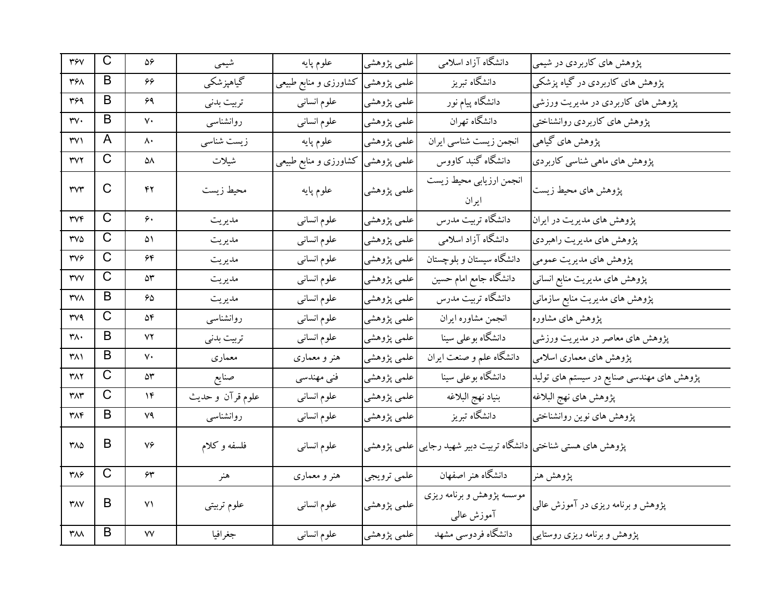| <b>٣۶٧</b>                     | C            | $\Delta \hat{z}$  | شيمى             | علوم پايه             | علمي پژوهشي | دانشگاه آزاد اسلامی                                             | پژوهش های کاربردی در شیمی                 |
|--------------------------------|--------------|-------------------|------------------|-----------------------|-------------|-----------------------------------------------------------------|-------------------------------------------|
| 368                            | B            | 66                | گیاهپزشکی        | کشاورزی و منابع طبیعی | علمي پژوهشي | دانشگاه تبریز                                                   | پژوهش های کاربردی در گیاه پزشکی           |
| ٣۶٩                            | B            | ۶۹                | تربيت بدنى       | علوم انسانى           | علمي پژوهشي | دانشگاه پیام نور                                                | پژوهش های کاربردی در مدیریت ورزشی         |
| rv.                            | B            | ٧٠                | روانشناسبي       | علوم انسانى           | علمي پژوهشي | دانشگاه تهران                                                   | پژوهش های کاربردی روانشناختی              |
| ۳۷۱                            | A            | ۸۰                | زیست شناسی       | علوم پايه             | علمي پژوهشي | انجمن زيست شناسي ايران                                          | پژوهش های گیاهی                           |
| ۳۷۲                            | C            | ۵۸                | شيلات            | کشاورزی و منابع طبیعی | علمی پژوهشی | دانشگاه گنبد کاووس                                              | پژوهش های ماهی شناسی کاربردی              |
| rvr                            | C            | ۴۲                | محيط زيست        | علوم پايه             | علمي پژوهشي | انجمن ارزيابي محيط زيست<br>ايران                                | پژوهش های محیط زیست                       |
| <b>TVF</b>                     | $\mathsf{C}$ | ۶۰                | مديريت           | علوم انسانى           | علمي پژوهشي | دانشگاه تربیت مدرس                                              | پژوهش های مدیریت در ایران                 |
| <b>TVA</b>                     | C            | ۵۱                | مديريت           | علوم انسانى           | علمي پژوهشي | دانشگاه آزاد اسلامی                                             | پژوهش های مدیریت راهبردی                  |
| 374                            | C            | ۶۴                | مديريت           | علوم انسانى           | علمي پژوهشي | دانشگاه سیستان و بلوچستان                                       | پژوهش هاي مديريت عمومي                    |
| rwv                            | $\mathsf C$  | ۵٣                | مديريت           | علوم انسانى           | علمي پژوهشي | دانشگاه جامع امام حسین                                          | پژوهش های مدیریت منابع انسانی             |
| <b>TVA</b>                     | B            | 65                | مديريت           | علوم انسانى           | علمي پژوهشي | دانشگاه تربیت مدرس                                              | پژوهش های مدیریت منابع سازمانی            |
| <b>TV9</b>                     | $\mathsf C$  | ۵۴                | روانشناسبي       | علوم انسانى           | علمي پژوهشي | انجمن مشاوره ايران                                              | پژوهش های مشاوره                          |
| ۳۸۰                            | B            | ۷۲                | تربيت بدني       | علوم انسانى           | علمي پژوهشي | دانشگاه بوعلی سینا                                              | پژوهش های معاصر در مدیریت ورزشی           |
| ۳۸۱                            | B            | ٧٠                | معمارى           | هنر و معماری          | علمي پژوهشي | دانشگاه علم و صنعت ایران                                        | پژوهش های معماری اسلامی                   |
| ۳۸۲                            | C            | ۵۳                | صنايع            | فنی مهندسی            | علمي پژوهشي | دانشگاه بوعلی سینا                                              | پژوهش های مهندسی صنایع در سیستم های تولید |
| ٣٨٣                            | $\mathsf C$  | ۱۴                | علوم قرآن و حديث | علوم انسانى           | علمي پژوهشي | بنياد نهج البلاغه                                               | پژوهش های نهج البلاغه                     |
| ۳۸۴                            | B            | ۷۹                | روانشناسبي       | علوم انسانى           | علمي پژوهشي | دانشگاه تبریز                                                   | پژوهش های نوین روانشناختی                 |
| $Y\wedge\Delta$                | B            | ٧۶                | فلسفه وكلام      | علوم انسانى           |             | پژوهش های هستی شناختی دانشگاه تربیت دبیر شهید رجایی علمی پژوهشی |                                           |
| ٣٨۶                            | C            | $\bm{\hat{\tau}}$ | هنر              | هنر و معماری          | علمي ترويجي | دانشگاه هنر اصفهان                                              | پژوهش هنر                                 |
| $\mathsf{r}_{\mathsf{AV}}$     | B            | ۷۱                | علوم تربيتي      | علوم انسانى           | علمي پژوهشي | موسسه پژوهش و برنامه ریزی<br>آموزش عالمی                        | پژوهش و برنامه ریزی در آموزش عالمی        |
| $\mathsf{r} \wedge \mathsf{r}$ | B            | ٧٧                | جغرافيا          | علوم انسانى           | علمي پژوهشي | دانشگاه فردوسی مشهد                                             | پژوهش و برنامه ریزی روستایی               |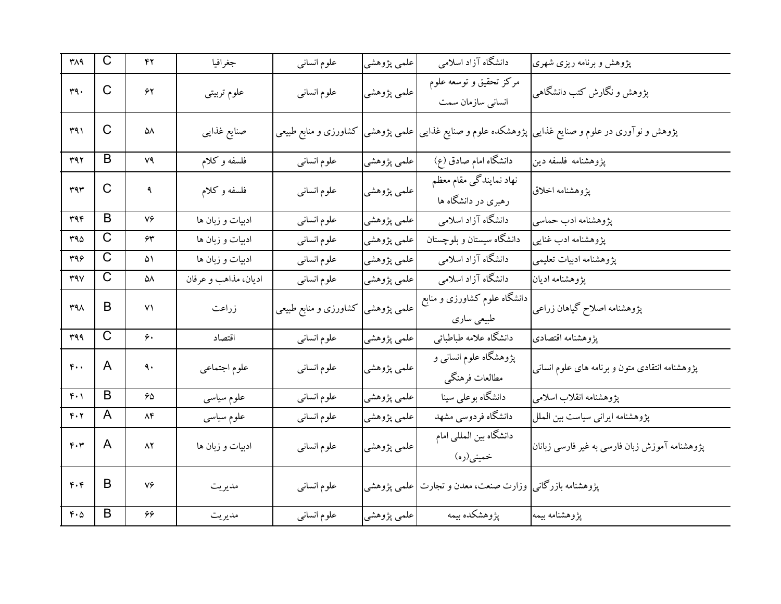| ۳۸۹                                                   | $\mathsf{C}$          | ۴۲                     | جغرافيا              | علوم انسانى           | علمي پژوهشي | دانشگاه آزاد اسلامی                                      | پژوهش و برنامه ریزی شهری                                         |
|-------------------------------------------------------|-----------------------|------------------------|----------------------|-----------------------|-------------|----------------------------------------------------------|------------------------------------------------------------------|
| ۳۹.                                                   | C                     | ۶۲                     | علوم تربيتي          | علوم انسانى           | علمي پژوهشي | مرکز تحقیق و توسعه علوم<br>انسانی سازمان سمت             | پژوهش و نگارش کتب دانشگاهی                                       |
| 491                                                   | $\mathsf C$           | ۵۸                     | صنايع غذايبي         | کشاورزی و منابع طبیعی | علمي پژوهشي |                                                          | پژوهش و نوآوری در علوم و صنایع غذایی پژوهشکده علوم و صنایع غذایی |
| ٣٩٢                                                   | B                     | ۷۹                     | فلسفه وكلام          | علوم انسانى           | علمي پژوهشي | دانشگاه امام صادق (ع)                                    | پژوهشنامه فلسفه دین                                              |
| 444                                                   | C                     | ٩                      | فلسفه و کلام         | علوم انسانى           | علمي پژوهشي | نهاد نمایندگی مقام معظم<br>رهبری در دانشگاه ها           | پژوهشنامه اخلاق                                                  |
| ۳۹۴                                                   | B                     | ٧۶                     | ادبیات و زبان ها     | علوم انسانى           | علمي پژوهشي | دانشگاه آزاد اسلامی                                      | پژوهشنامه ادب حماسي                                              |
| 40                                                    | $\mathsf C$           | $\bm{\hat{\tau}}$      | ادبیات و زبان ها     | علوم انسانى           | علمي پژوهشي | دانشگاه سیستان و بلوچستان                                | پژوهشنامه ادب غنایی                                              |
| ٣٩۶                                                   | $\overline{\text{C}}$ | ۵۱                     | ادبیات و زبان ها     | علوم انسانى           | علمي پژوهشي | دانشگاه آزاد اسلامی                                      | پژوهشنامه ادبیات تعلیمی                                          |
| $\mathsf{r}\mathsf{a}\mathsf{v}$                      | С                     | ۵۸                     | اديان، مذاهب و عرفان | علوم انسانى           | علمي پژوهشي | دانشگاه آزاد اسلامی                                      | پژوهشنامه اديان                                                  |
| $M^4$                                                 | B                     | ۷۱                     | زراعت                | کشاورزی و منابع طبیعی | علمي پژوهشي | دانشگاه علوم کشاورزی و منابع<br>طبیعی ساری               | پژوهشنامه اصلاح گیاهان زراعی                                     |
| 499                                                   | $\overline{\text{C}}$ | ۶۰                     | اقتصاد               | علوم انسانى           | علمي پژوهشي | دانشگاه علامه طباطبائي                                   | پژوهشنامه اقتصادى                                                |
| $\mathfrak{r}\cdot\cdot$                              | A                     | ٩.                     | علوم اجتماعي         | علوم انسانى           | علمي پژوهشي | پژوهشگاه علوم انسانی و<br>مطالعات فرهنگي                 | پژوهشنامه انتقادی متون و برنامه های علوم انسانی                  |
| $f \cdot \gamma$                                      | $\mathsf B$           | ۶۵                     | علوم سياسي           | علوم انسانى           | علمي پژوهشي | دانشگاه بوعلی سینا                                       | پژوهشنامه انقلاب اسلامی                                          |
| $\mathfrak{r}\mathbin{\raisebox{1pt}{.}}\mathfrak{r}$ | A                     | $\Lambda \mathfrak{F}$ | علوم سياسى           | علوم انسانى           | علمي پژوهشي | دانشگاه فردوسی مشهد                                      | پژوهشنامه ایرانی سیاست بین الملل                                 |
| $F \cdot r$                                           | A                     | ۸۲                     | ادبیات و زبان ها     | علوم انسانى           | علمي پژوهشي | دانشگاه بین المللی امام<br>خميني(ره)                     | پژوهشنامه آموزش زبان فارسی به غیر فارسی زبانان                   |
| F.                                                    | B                     | ٧۶                     | مديريت               | علوم انسانى           |             | پژوهشنامه بازرگانی  وزارت صنعت، معدن و تجارت علمی پژوهشی |                                                                  |
| $\mathfrak{r}\cdot \mathfrak{0}$                      | B                     | ۶۶                     | مديريت               | علوم انسانى           | علمي پژوهشي | پژوهشکده بیمه                                            | پژوهشنامه بیمه                                                   |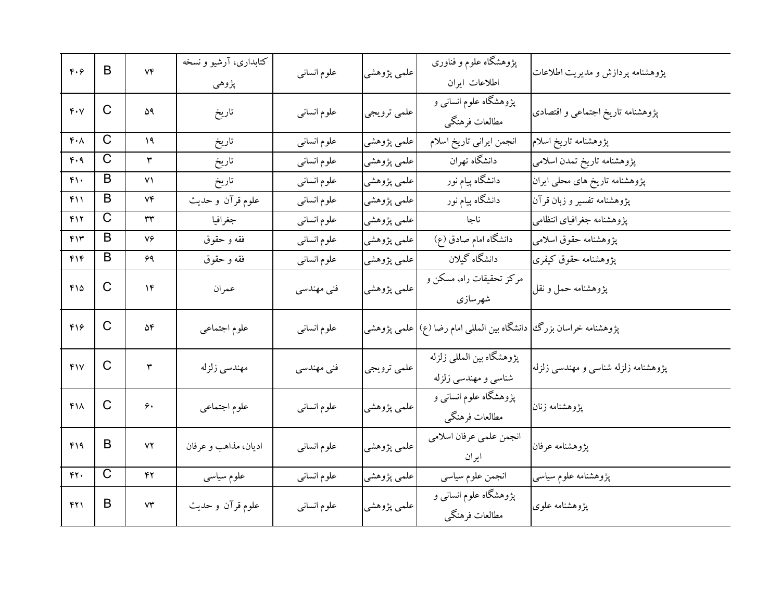| F.9                        | B                     | $V\mathfrak{F}$        | کتابداری، آرشیو و نسخه<br>پژوهي | علوم انسانى | علمي پژوهشي | پژوهشگاه علوم و فناوری<br>اطلاعات ايران                             | پژوهشنامه پردازش و مدیریت اطلاعات    |
|----------------------------|-----------------------|------------------------|---------------------------------|-------------|-------------|---------------------------------------------------------------------|--------------------------------------|
| $f\cdot V$                 | C                     | ۵۹                     | تاريخ                           | علوم انسانى | علمي ترويجي | پژوهشگاه علوم انسانی و<br>مطالعات فرهنگي                            | پژوهشنامه تاریخ اجتماعی و اقتصادی    |
| $\mathfrak{r}\cdot\Lambda$ | C                     | ۱۹                     | تاريخ                           | علوم انسانى | علمي پژوهشي | انجمن ايراني تاريخ اسلام                                            | پژوهشنامه تاریخ اسلام                |
| ۴۰۹                        | $\overline{\text{C}}$ | ٣                      | تاريخ                           | علوم انسانى | علمي پژوهشي | دانشگاه تهران                                                       | پژوهشنامه تاریخ تمدن اسلامی          |
| $f \cap$                   | B                     | ۷۱                     | تاريخ                           | علوم انسانى | علمي پژوهشي | دانشگاه پیام نور                                                    | پژوهشنامه تاریخ های محلی ایران       |
| ۴۱۱                        | B                     | ۷۴                     | علوم قرآن و حديث                | علوم انسانى | علمي پژوهشي | دانشگاه پیام نور                                                    | پژوهشنامه تفسیر و زبان قرآن          |
| ۴۱۲                        | C                     | ٣٣                     | جغرافيا                         | علوم انسانى | علمي پژوهشي | ناجا                                                                | پژوهشنامه جغرافیای انتظامی           |
| ۴۱۳                        | B                     | ٧۶                     | فقه و حقوق                      | علوم انسانى | علمي پژوهشي | دانشگاه امام صادق (ع)                                               | پژوهشنامه حقوق اسلامی                |
| ۴۱۴                        | B                     | ۶۹                     | فقه و حقوق                      | علوم انسانى | علمي پژوهشي | دانشگاه گیلان                                                       | پژوهشنامه حقوق کیفری                 |
| $f\Omega$                  | C                     | ۱۴                     | عمران                           | فنی مهندسی  | علمي پژوهشي | مرکز تحقیقات راه, مسکن و<br>شهرسازى                                 | پژوهشنامه حمل و نقل                  |
| ۴۱۶                        | C                     | ۵۴                     | علوم اجتماعي                    | علوم انسانى |             | پژوهشنامه خراسان بزرگ   دانشگاه بین المللی امام رضا (ع) علمی پژوهشی |                                      |
| YY                         | C                     | ٣                      | مهندسى زلزله                    | فنی مهندسی  | علمي ترويجي | پژوهشگاه بین المللی زلزله<br>شناسی و مهندسی زلزله                   | پژوهشنامه زلزله شناسی و مهندسی زلزله |
| $f\Lambda$                 | C                     | ۶.                     | علوم اجتماعي                    | علوم انسانى | علمي پژوهشي | پژوهشگاه علوم انسانی و<br>مطالعات فرهنگي                            | پژوهشنامه زنان                       |
| ۴۱۹                        | B                     | ٧٢                     | اديان، مذاهب و عرفان            | علوم انسانى | علمي پژوهشي | انجمن علمي عرفان اسلامي<br>ايران                                    | پژوهشنامه عرفان                      |
| rr.                        | $\mathsf{C}$          | ۴۲                     | علوم سیاسی                      | علوم انسانى | علمي پژوهشي | انجمن علوم سياسي                                                    | پژوهشنامه علوم سیاسی                 |
| 421                        | B                     | $\mathsf{Y}\mathsf{Y}$ | علوم قرآن و حديث                | علوم انسانى | علمي پژوهشي | پژوهشگاه علوم انسانی و<br>مطالعات فرهنگي                            | پژوهشنامه علوی                       |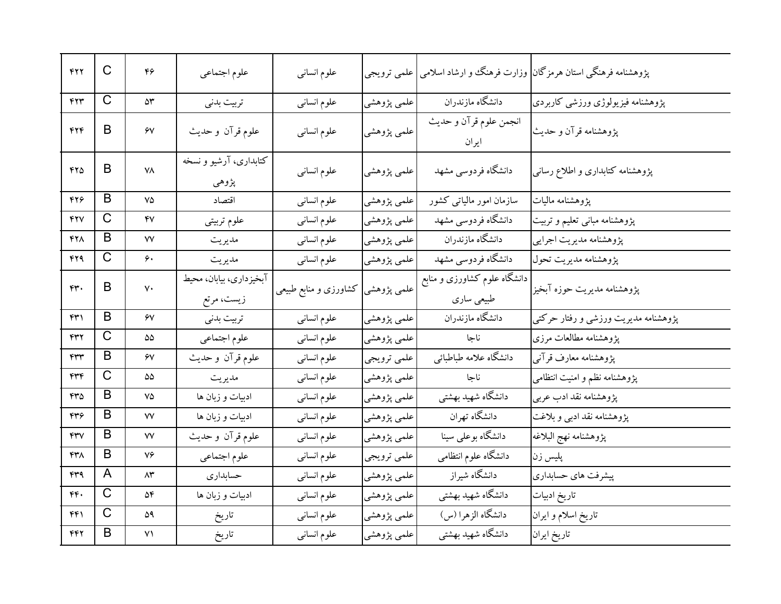| 422                              | C                     | ۴۶                             | علوم اجتماعي                          | علوم انسانى                        | علمي ترويجي |                                                 | پژوهشنامه فرهنگی استان هرمزگان <mark>)</mark> وزارت فرهنگ و ارشاد اسلامی |
|----------------------------------|-----------------------|--------------------------------|---------------------------------------|------------------------------------|-------------|-------------------------------------------------|--------------------------------------------------------------------------|
| 444                              | C                     | ۵۳                             | تربيت بدنى                            | علوم انسانى                        | علمي پژوهشي | دانشگاه مازندران                                | پژوهشنامه فیزیولوژی ورزشی کاربردی                                        |
| ۴۲۴                              | B                     | ۶V                             | علوم قرآن و حديث                      | علوم انسانى                        | علمي پژوهشي | انجمن علوم قرآن و حديث<br>ايران                 | پژوهشنامه قرآن و حدیث                                                    |
| ۴۲۵                              | B                     | ۷۸                             | کتابداری، آرشیو و نسخه<br>پژوهي       | علوم انسانى                        | علمي پژوهشي | دانشگاه فردوسی مشهد                             | پژوهشنامه کتابداری و اطلاع رسانبی                                        |
| ۴۲۶                              | B                     | ٧۵                             | اقتصاد                                | علوم انسانى                        | علمي پژوهشي | سازمان امور مالیاتی کشور                        | يژوهشنامه ماليات                                                         |
| 427                              | C                     | ۴٧                             | علوم تربيتي                           | علوم انسانى                        | علمي پژوهشي | دانشگاه فردوسی مشهد                             | پژوهشنامه مبانی تعلیم و تربیت                                            |
| 428                              | B                     | ٧V                             | مديريت                                | علوم انسانى                        | علمي پژوهشي | دانشگاه مازندران                                | پژوهشنامه مديريت اجرايي                                                  |
| 429                              | C                     | ۶۰                             | مديريت                                | علوم انسانى                        | علمي پژوهشي | دانشگاه فردوسی مشهد                             | پژوهشنامه مدیریت تحول                                                    |
| rr.                              | B                     | $V \cdot$                      | آبخیزداری، بیابان، محیط<br>زيست، مرتع | علمی پژوهشی  کشاورزی و منابع طبیعی |             | ۔<br>دانشگاه علوم کشاورزی و منابع<br>طبیعی ساری | پژوهشنامه مدیریت حوزه آبخیز                                              |
| ۴۳۱                              | B                     | ۶V                             | تربيت بدنى                            | علوم انسانى                        | علمي پژوهشي | دانشگاه مازندران                                | پژوهشنامه مدیریت ورزشی و رفتار حرکتی                                     |
| ۴۳۲                              | C                     | ۵۵                             | علوم اجتماعي                          | علوم انسانى                        | علمي پژوهشي | ناجا                                            | یژوهشنامه مطالعات مرزی                                                   |
| ۴۳۳                              | B                     | ۶٧                             | علوم قرآن و حديث                      | علوم انسانى                        | علمي ترويجي | دانشگاه علامه طباطبائي                          | يژوهشنامه معارف قرآنبي                                                   |
| ۴۳۴                              | C                     | ۵۵                             | مديريت                                | علوم انسانى                        | علمي پژوهشي | ناجا                                            | پژوهشنامه نظم و امنیت انتظامی                                            |
| ۴۳۵                              | B                     | ٧۵                             | ادبیات و زبان ها                      | علوم انسانى                        | علمي پژوهشي | دانشگاه شهید بهشتی                              | پژوهشنامه نقد ادب عربي                                                   |
| ۴۳۶                              | B                     | ۷۷                             | ادبیات و زبان ها                      | علوم انسانى                        | علمي پژوهشي | دانشگاه تهران                                   | پژوهشنامه نقد ادبی و بلاغت                                               |
| $\mathsf{r}\mathsf{r}\mathsf{v}$ | B                     | ٧V                             | علوم قرآن و حديث                      | علوم انسانى                        | علمي پژوهشي | دانشگاه بوعلی سینا                              | پژوهشنامه نهج البلاغه                                                    |
| ۴۳۸                              | B                     | ٧۶                             | علوم اجتماعي                          | علوم انسانى                        | علمي ترويجي | دانشگاه علوم انتظامی                            | پلیس زن                                                                  |
| ۴۳۹                              | A                     | ۸۳                             | حسابداري                              | علوم انسانى                        | علمي پژوهشي | دانشگاه شیراز                                   | پیشرفت های حسابداری                                                      |
| ۴۴.                              | $\mathsf{C}$          | ۵۴                             | ادبیات و زبان ها                      | علوم انسانى                        | علمي پژوهشي | دانشگاه شهید بهشتی                              | تاريخ ادبيات                                                             |
| ۴۴۱                              | $\overline{\text{C}}$ | ۵۹                             | تاريخ                                 | علوم انسانى                        | علمي پژوهشي | دانشگاه الزهرا (س)                              | تاريخ اسلام و ايران                                                      |
| ۴۴۲                              | B                     | $\mathsf{v}\mathsf{\setminus}$ | تاريخ                                 | علوم انسانى                        | علمي پژوهشي | دانشگاه شهید بهشتی                              | تاريخ ايران                                                              |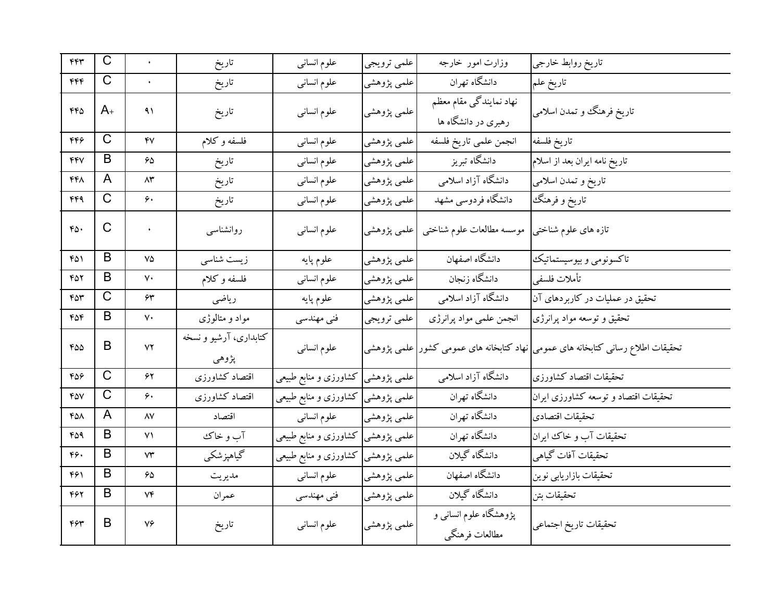| ۴۴٣ | $\mathsf C$           | $\ddot{\phantom{0}}$   | تاريخ                           | علوم انسانى                        | علمي ترويجي | وزارت امور خارجه                                    | تاريخ روابط خارجي                                                               |
|-----|-----------------------|------------------------|---------------------------------|------------------------------------|-------------|-----------------------------------------------------|---------------------------------------------------------------------------------|
| ۴۴۴ | $\mathsf C$           | $\ddot{\phantom{0}}$   | تاريخ                           | علوم انسانى                        | علمي پژوهشي | دانشگاه تهران                                       | تاريخ علم                                                                       |
| ۴۴۵ | $A_{+}$               | ۹۱                     | تاريخ                           | علوم انسانى                        | علمي پژوهشي | ۔<br>نهاد نمایندگی مقام معظم<br>رهبری در دانشگاه ها | تاریخ فرهنگ و تمدن اسلامی                                                       |
| ۴۴۶ | $\mathsf C$           | ۴۷                     | فلسفه وكلام                     | علوم انسانى                        | علمي پژوهشي | انجمن علمي تاريخ فلسفه                              | تاريخ فلسفه                                                                     |
| 447 | B                     | ۶۵                     | تاريخ                           | علوم انسانى                        | علمي پژوهشي | دانشگاه تبریز                                       | تاريخ نامه ايران بعد از اسلام                                                   |
| ۴۴۸ | A                     | ۸۳                     | تاريخ                           | علوم انسانى                        | علمي پژوهشي | دانشگاه آزاد اسلامی                                 | تاريخ و تمدن اسلامي                                                             |
| ۴۴۹ | $\overline{\text{C}}$ | ۶۰                     | تاريخ                           | علوم انسانى                        | علمي پژوهشي | دانشگاه فردوسی مشهد                                 | تاريخ و فرهنگ                                                                   |
| ۴۵۰ | $\mathsf C$           |                        | روانشناسبي                      | علوم انسانبي                       | علمي پژوهشي | موسسه مطالعات علوم شناختبي                          | تازه های علوم شناختی                                                            |
| ۴۵۱ | B                     | ٧۵                     | زیست شناسی                      | علوم پايه                          | علمي پژوهشي | دانشگاه اصفهان                                      | تاكسونومي وبيوسيستماتيك                                                         |
| 452 | B                     | ٧٠                     | فلسفه وكلام                     | علوم انسانى                        | علمي پژوهشي | دانشگاه زنجان                                       | تأملات فلسفى                                                                    |
| ۴۵۳ | $\mathsf C$           | ۶۳                     | رياضي                           | علوم پايه                          | علمي پژوهشي | دانشگاه آزاد اسلامی                                 | تحقیق در عملیات در کاربردهای آن                                                 |
| ۴۵۴ | B                     | ٧٠                     | مواد و متالوژی                  | فنی مهندسی                         | علمي ترويجي | انجمن علمي مواد پرانرژي                             | تحقیق و توسعه مواد پرانرژی                                                      |
| ۴۵۵ | B                     | $\mathsf{Y}\mathsf{Y}$ | کتابداری، آرشیو و نسخه<br>پژوهي | علوم انسانى                        |             |                                                     | تحقیقات اطلاع رسانی کتابخانه های عمومی نهاد کتابخانه های عمومی کشور علمی پژوهشی |
| 689 | $\overline{\text{C}}$ | ۶۲                     | اقتصاد كشاورزى                  | علمی پژوهشی  کشاورزی و منابع طبیعی |             | دانشگاه آزاد اسلامی                                 | تحقيقات اقتصاد كشاورزى                                                          |
| 407 | $\overline{\text{C}}$ | ۶۰                     | اقتصاد كشاورزي                  | علمی پژوهشی  کشاورزی و منابع طبیعی |             | دانشگاه تهران                                       | تحقیقات اقتصاد و توسعه کشاورزی ایران                                            |
| 458 | A                     | ۸۷                     | اقتصاد                          | علوم انسانى                        | علمي پژوهشي | دانشگاه تهران                                       | تحقيقات اقتصادى                                                                 |
| ۴۵۹ | B                     | ۷١                     | آب و خاک                        | علمی پژوهشی کشاورزی و منابع طبیعی  |             | دانشگاه تهران                                       | تحقيقات آب وخاك ايران                                                           |
| ۴۶۰ | B                     | ۷۳                     | گیاهپزشکی                       | علمی پژوهشی کشاورزی و منابع طبیعی  |             | دانشگاه گیلان                                       | تحقيقات آفات گياهي                                                              |
| ۴۶۱ | B                     | ۶۵                     | مديريت                          | علوم انسانى                        | علمي پژوهشي | _<br>دانشگاه اصفهان                                 | تحقیقات بازاریابی نوین                                                          |
| ۴۶۲ | B                     | ۷۴                     | عمران                           | فنی مهندسی                         | علمي پژوهشي | دانشگاه گیلان                                       | تحقيقات بتن                                                                     |
| ۴۶۳ | B                     | ٧۶                     | تاريخ                           | علوم انسانى                        | علمي پژوهشي | پژوهشگاه علوم انسانی و<br>مطالعات فرهنگي            | تحقيقات تاريخ اجتماعي                                                           |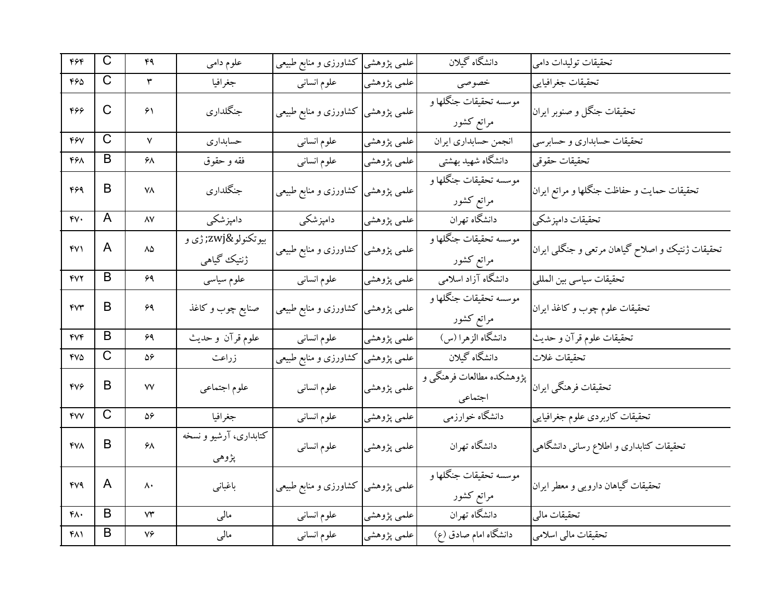| ۴۶۴                              | $\overline{\text{C}}$ | ۴٩                     | علوم دامي                       | كشاورزى و منابع طبيعي | علمي پژوهشي <mark></mark> | دانشگاه گیلان                        | تحقیقات تولیدات دامی                             |
|----------------------------------|-----------------------|------------------------|---------------------------------|-----------------------|---------------------------|--------------------------------------|--------------------------------------------------|
| ۴۶۵                              | C                     | ٣                      | جغرافيا                         | علوم انسانى           | علمي پژوهشي               | خصوصى                                | تحقيقات جغرافيايي                                |
| 466                              | C                     | ۶۱                     | جنگلداري                        | كشاورزى و منابع طبيعى | علمی پژوهشی               | موسسه تحقيقات جنگلها و<br>مراتع كشور | تحقيقات جنگل و صنوبر ايران                       |
| 467                              | $\overline{\text{C}}$ | $\mathsf{V}$           | حسابداري                        | علوم انسانى           | علمي پژوهشي               | انجمن حسابداري ايران                 | تحقیقات حسابداری و حسابرسی                       |
| 468                              | B                     | ۶۸                     | فقه و حقوق                      | علوم انسانى           | علمي پژوهشي               | دانشگاه شهید بهشتی                   | تحقيقات حقوقي                                    |
| 464                              | B                     | ۷۸                     | جنگلداري                        | كشاورزى و منابع طبيعى | علمي پژوهشي               | موسسه تحقيقات جنگلها و<br>مراتع كشور | تحقیقات حمایت و حفاظت جنگلها و مراتع ایران       |
| ۴۷۰                              | A                     | $\Lambda\mathrm{V}$    | دامپزشکی                        | دامپزشکی              | علمي پژوهشي               | دانشگاه تهران                        | تحقيقات دامپزشكي                                 |
| ۴۷۱                              | A                     | $\Lambda\Delta$        | بيوتكنولو‍ ژې و<br>ژنتیک گیاهی  | کشاورزی و منابع طبیعی | علمي پژوهشي               | موسسه تحقيقات جنگلها و<br>مراتع كشور | تحقیقات ژنتیک و اصلاح گیاهان مرتعی و جنگلی ایران |
| 47                               | B                     | 69                     | علوم سياسى                      | علوم انسانى           | علمی پژوهشی               | دانشگاه آزاد اسلامی                  | تحقيقات سياسي بين المللي                         |
| <b>FVT</b>                       | B                     | 69                     | صنایع چوب و کاغذ                | کشاورزی و منابع طبیعی | علمي پژوهشي               | موسسه تحقيقات جنگلها و<br>مراتع كشور | تحقیقات علوم چوب و کاغذ ایران                    |
| $\mathsf{f}\mathsf{V}\mathsf{f}$ | B                     | 69                     | علوم قرآن و حديث                | علوم انسانى           | علمي پژوهشي               | دانشگاه الزهرا (س)                   | تحقيقات علوم قرآن و حديث                         |
| 475                              | $\mathsf C$           | ۵۶                     | زراعت                           | کشاورزی و منابع طبیعی | علمي پژوهشي               | دانشگاه گیلان                        | تحقيقات غلات                                     |
| $\mathsf{f}\mathsf{v}\mathsf{f}$ | B                     | ٧V                     | علوم اجتماعي                    | علوم انسانى           | علمي پژوهشي               | پژوهشکده مطالعات فرهنگی و<br>اجتماعي | تحقيقات فرهنگي ايران                             |
| <b>FVV</b>                       | $\overline{C}$        | ۵۶                     | جغرافيا                         | علوم انسانى           | علمي پژوهشي               | دانشگاه خوارزمي                      | تحقيقات كاربردى علوم جغرافيايي                   |
| <b>FVA</b>                       | B                     | ۶۸                     | کتابداری، آرشیو و نسخه<br>پژوهي | علوم انسانى           | علمي پژوهشي               | دانشگاه تهران                        | تحقیقات کتابداری و اطلاع رسانی دانشگاهی          |
| 479                              | A                     | ۸۰                     | باغباني                         | کشاورزی و منابع طبیعی | علمی پژوهشی ا             | موسسه تحقيقات جنگلها و<br>مراتع كشور | تحقیقات گیاهان دارویی و معطر ایران               |
| ۴۸۰                              | B                     | $\mathsf{Y}\mathsf{Y}$ | مالى                            | علوم انسانى           | علمي پژوهشي               | دانشگاه تهران                        | تحقيقات مالي                                     |
| ۴۸۱                              | B                     | ٧۶                     | مالى                            | علوم انسانى           | علمي پژوهشي               | دانشگاه امام صادق (ع)                | تحقیقات مالی اسلامی                              |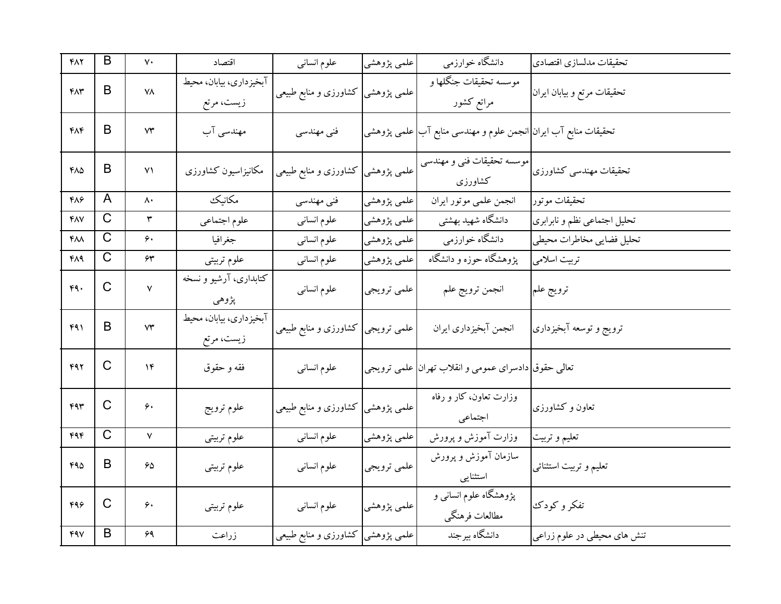| $Y\wedge Y$ | B            | $\mathsf{v}\cdot$      | اقتصاد                                | علوم انسانى                        | علمي پژوهشي | دانشگاه خوارزمي                                                                | تحقيقات مدلسازي اقتصادي      |
|-------------|--------------|------------------------|---------------------------------------|------------------------------------|-------------|--------------------------------------------------------------------------------|------------------------------|
| $FA$ ۳      | B            | ۷٨                     | آبخيزداري، بيابان، محيط<br>زیست، مرتع | علمی پژوهشی  کشاورزی و منابع طبیعی |             | موسسه تحقيقات جنگلها و<br>مراتع كشور                                           | تحقیقات مرتع و بیابان ایران  |
| ۴۸۴         | B            | $\mathsf{Y}\mathsf{Y}$ | مهندسی آب                             | فنی مهندسی                         |             | تحقیقات منابع آب ایران <mark> انجمن علوم و مهندسی منابع آب</mark>  علمی پژوهشی |                              |
| ۴۸۵         | B            | $\mathsf{v}\mathsf{v}$ | مكانيزاسيون كشاورزى                   | کشاورزی و منابع طبیعی              | علمي پژوهشي | موسسه تحقیقات فنی و مهندسی<br>كشاورزى                                          | تحقیقات مهندسی کشاورزی       |
| ۴۸۶         | A            | $\mathsf{A}$           | مكانيك                                | فنی مهندسی                         | علمي پژوهشي | انجمن علمي موتور ايران                                                         | تحقيقات موتور                |
| ۴۸۷         | $\mathsf C$  | ٣                      | علوم اجتماعي                          | علوم انسانى                        | علمي پژوهشي | دانشگاه شهید بهشتی                                                             | تحلیل اجتماعی نظم و نابرابری |
| ۴۸۸         | C            | ۶۰                     | جغرافيا                               | علوم انسانى                        | علمي پژوهشي | دانشگاه خوارزمي                                                                | تحليل فضايي مخاطرات محيطي    |
| 484         | $\mathsf C$  | ۶۳                     | علوم تربيتي                           | علوم انسانى                        | علمي پژوهشي | پژوهشگاه حوزه و دانشگاه                                                        | تربیت اسلامی                 |
| 49.         | $\mathsf{C}$ | $\mathsf{V}$           | کتابداری، آرشیو و نسخه<br>پژوهي       | علوم انسانى                        | علمي ترويجي | انجمن ترويج علم                                                                | ترويج علم                    |
| 491         | B            | $\mathsf{Y}\mathsf{Y}$ | آبخیزداری، بیابان، محیط<br>زیست، مرتع | علمی ترویجی کشاورزی و منابع طبیعی  |             | انجمن آبخيزداري ايران                                                          | ترويج و توسعه آبخيزدارى      |
| 492         | C            | ۱۴                     | فقه و حقوق                            | علوم انسانى                        |             | تعالی حقوق دادسرای عمومی و انقلاب تهران علمی ترویجی                            |                              |
| 44          | C            | ۶۰                     | علوم ترويج                            | كشاورزى و منابع طبيعي              | علمي پژوهشي | وزارت تعاون، کار و رفاه<br>اجتماعي                                             | تعاون و کشاورزی              |
| ۴۹۴         | C            | $\mathsf{V}$           | علوم تربيتي                           | علوم انسانى                        | علمي پژوهشي | وزارت آموزش و پرورش                                                            | تعليم و تربيت                |
| 490         | B            | 65                     | علوم تربيتي                           | علوم انسانى                        | علمي ترويجي | سازمان آموزش و پرورش<br>استثنايي                                               | تعلیم و تربیت استثنائی       |
| ۴۹۶         | $\mathsf{C}$ | ۶۰                     | علوم تربيتى                           | علوم انسانى                        | علمي پژوهشي | پژوهشگاه علوم انسانی و<br>مطالعات فرهنگي                                       | تفكر وكودك                   |
| 497         | B            | ۶۹                     | زراعت                                 | علمی پژوهشی  کشاورزی و منابع طبیعی |             | دانشگاه بیرجند                                                                 | تنش های محیطی در علوم زراعی  |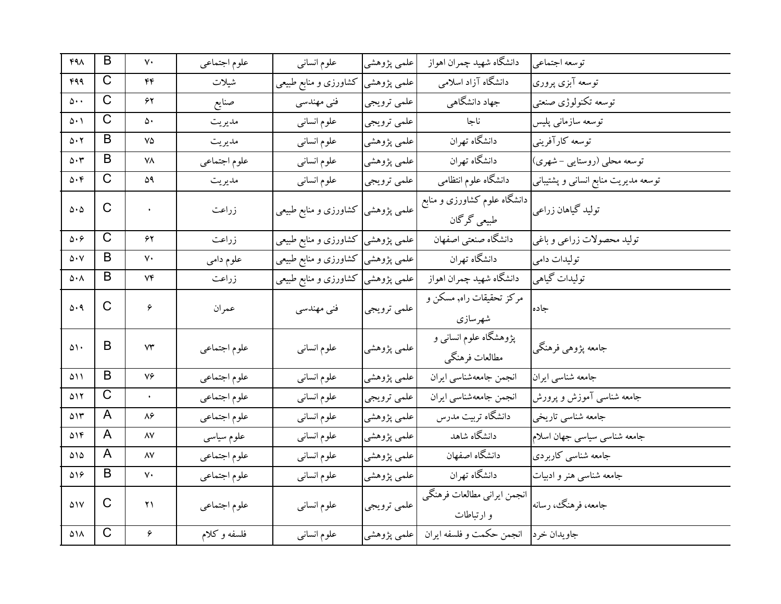| $FA\Lambda$                 | B              | $\mathsf{v}\cdot$ | علوم اجتماعي | علوم انسانبي                       | علمي پژوهشي | دانشگاه شهيد چمران اهواز                    | توسعه اجتماعي                        |
|-----------------------------|----------------|-------------------|--------------|------------------------------------|-------------|---------------------------------------------|--------------------------------------|
| 499                         | $\mathsf{C}$   | $\mathfrak{r}$    | شيلات        | علمی پژوهشی کشاورزی و منابع طبیعی  |             | دانشگاه آزاد اسلامی                         | توسعه آبزي پروري                     |
| $\Delta \cdot \cdot$        | C              | ۶۲                | صنايع        | فنی مهندسی                         | علمي ترويجي | جهاد دانشگاهی                               | توسعه تكنولوژي صنعتبي                |
| $\Delta \cdot \Delta$       | C              | ۵۰                | مديريت       | علوم انسانى                        | علمي ترويجي | ناجا                                        | توسعه سازمانى پليس                   |
| $\Delta \cdot 7$            | B              | ٧۵                | مديريت       | علوم انسانى                        | علمي پژوهشي | ۔<br>دانشگاه تهران                          | توسعه كارآفرينبي                     |
| $\Delta \cdot \tau$         | B              | ۷۸                | علوم اجتماعي | علوم انسانى                        | علمي پژوهشي | دانشگاه تهران                               | توسعه محلبي (روستايي – شهري)         |
| $\Delta \cdot \mathfrak{f}$ | C              | ۵۹                | مديريت       | علوم انسانى                        | علمي ترويجي | دانشگاه علوم انتظامی                        | توسعه مدیریت منابع انسانی و پشتیبانی |
| $\Delta \cdot \Delta$       | $\mathsf{C}$   | ¥.                | زراعت        | علمی پژوهشی کشاورزی و منابع طبیعی  |             | دانشگاه علوم کشاورزی و منابع<br>طبیعی گرگان | تولید گیاهان زراعی                   |
| $\Delta \cdot \varphi$      | $\mathsf{C}$   | ۶۲                | زراعت        | علمی پژوهشی کشاورزی و منابع طبیعی  |             | دانشگاه صنعتبي اصفهان                       | توليد محصولات زراعي و باغي           |
| $\Delta \cdot \mathrm{V}$   | B              | ٧٠                | علوم دامي    | علمی پژوهشی  کشاورزی و منابع طبیعی |             | دانشگاه تهران                               | توليدات دامى                         |
| $\Delta \cdot \Lambda$      | B              | ۷۴                | زراعت        | علمی پژوهشی  کشاورزی و منابع طبیعی |             | دانشگاه شهيد چمران اهواز                    | توليدات گياهي                        |
| $\Delta \cdot 9$            | C              | ۶                 | عمران        | فنی مهندسی                         | علمي ترويجي | مرکز تحقیقات راه, مسکن و<br>شهرسازي         | جاده                                 |
| ۵۱۰                         | B              | ۷۳                | علوم اجتماعي | علوم انسانى                        | علمي پژوهشي | پژوهشگاه علوم انسانبی و<br>مطالعات فرهنگي   | جامعه پژوهیی فرهنگی                  |
| ۵۱۱                         | B              | ٧۶                | علوم اجتماعي | علوم انسانى                        | علمي پژوهشي | انجمن جامعهشناسي ايران                      | جامعه شناسي ايران                    |
| ۵۱۲                         | $\mathsf{C}$   | ¥.                | علوم اجتماعي | علوم انسانى                        | علمي ترويجي | انجمن جامعهشناسي ايران                      | جامعه شناسی آموزش و پرورش            |
| ۵۱۳                         | A              | ۸۶                | علوم اجتماعي | علوم انسانى                        | علمي پژوهشي | دانشگاه تربیت مدرس                          | جامعه شناسي تاريخي                   |
| ۵۱۴                         | A              | ۸۷                | علوم سياسى   | علوم انسانى                        | علمي پژوهشي | دانشگاه شاهد                                | جامعه شناسي سياسي جهان اسلام         |
| ۵۱۵                         | A              | ۸۷                | علوم اجتماعي | علوم انسانى                        | علمي پژوهشي | دانشگاه اصفهان                              | جامعه شناسي كاربردي                  |
| $\Delta \lambda$            | B              | ٧٠                | علوم اجتماعي | علوم انسانى                        | علمي پژوهشي | دانشگاه تهران                               | جامعه شناسی هنر و ادبیات             |
| $\Delta$ \ V                | C              | $\Upsilon$        | علوم اجتماعي | علوم انسانى                        | علمي ترويجي | انجمن ايراني مطالعات فرهنگي<br>و ارتباطات   | جامعه، فرهنگ، رسانه                  |
| ۵۱۸                         | $\overline{C}$ | ۶                 | فلسفه وكلام  | علوم انسانى                        | علمی پژوهشی | انجمن حكمت و فلسفه ايران                    | جاويدان خرد                          |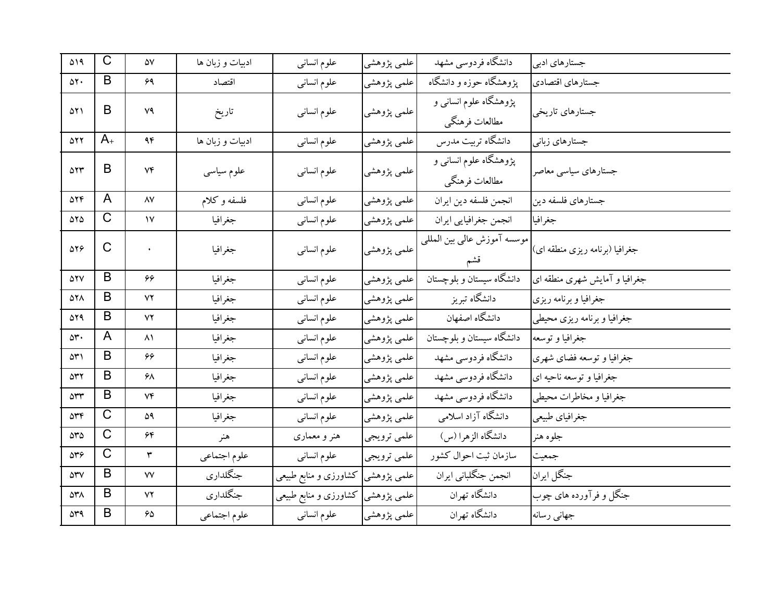| ۵۱۹                            | $\mathsf C$  | ۵٧                  | ادبیات و زبان ها | علوم انساني                       | علمي پژوهشي | دانشگاه فردوسی مشهد                      | جستارهای ادبی                  |
|--------------------------------|--------------|---------------------|------------------|-----------------------------------|-------------|------------------------------------------|--------------------------------|
| $\Delta Y \cdot$               | B            | ۶۹                  | اقتصاد           | علوم انسانى                       | علمي پژوهشي | پژوهشگاه حوزه و دانشگاه                  | جستارهاي اقتصادي               |
| ۵۲۱                            | B            | ٧٩                  | تاريخ            | علوم انسانى                       | علمي پژوهشي | پژوهشگاه علوم انسانی و<br>مطالعات فرهنگي | جستارهاي تاريخي                |
| 522                            | $A_{+}$      | ۹۴                  | ادبیات و زبان ها | علوم انسانى                       | علمي پژوهشي | دانشگاه تربیت مدرس                       | جستارهای زبانی                 |
| ۵۲۳                            | B            | Vf                  | علوم سياسى       | علوم انسانى                       | علمي پژوهشي | پژوهشگاه علوم انسانی و<br>مطالعات فرهنگي | جستارهای سیاسی معاصر           |
| ۵۲۴                            | A            | $\lambda\mathrm{V}$ | فلسفه وكلام      | علوم انسانى                       | علمي پژوهشي | انجمن فلسفه دين ايران                    | جستارهای فلسفه دین             |
| 585                            | C            | $\mathsf{v}$        | جغرافيا          | علوم انسانى                       | علمي پژوهشي | انجمن جغرافيايي ايران                    | جغرافيا                        |
| 576                            | $\mathsf{C}$ | $\bullet$           | جغرافيا          | علوم انسانى                       | علمي پژوهشي | موسسه آموزش عالىي بين المللبي<br>قشم     | جغرافیا (برنامه ریزی منطقه ای) |
| <b>ATV</b>                     | B            | ۶۶                  | جغرافيا          | علوم انساني                       | علمي پژوهشي | ۔<br>دانشگاه سیستان و بلوچستان           | جغرافیا و آمایش شهری منطقه ای  |
| 528                            | B            | ۷۲                  | جغرافيا          | علوم انسانى                       | علمي پژوهشي | دانشگاه تبریز                            | جغرافيا وبرنامه ريزى           |
| 529                            | B            | ۷۲                  | جغرافيا          | علوم انسانى                       | علمي پژوهشي | دانشگاه اصفهان                           | جغرافيا و برنامه ريزي محيطي    |
| ۵۳.                            | A            | ۸۱                  | جغرافيا          | علوم انسانى                       | علمي پژوهشي | دانشگاه سیستان و بلوچستان                | جغرافيا و توسعه                |
| ۵۳۱                            | B            | 66                  | جغرافيا          | علوم انسانى                       | علمي پژوهشي | دانشگاه فردوسی مشهد                      | جغرافیا و توسعه فضای شهری      |
| 532                            | B            | ۶۸                  | جغرافيا          | علوم انسانى                       | علمي پژوهشي | دانشگاه فردوسی مشهد                      | جغرافيا و توسعه ناحيه اي       |
| $\Delta \mathbf{r} \mathbf{r}$ | B            | Vf                  | جغرافيا          | علوم انسانى                       | علمي پژوهشي | دانشگاه فردوسی مشهد                      | جغرافيا و مخاطرات محيطي        |
| $\Delta \mathbf{r} \mathbf{r}$ | $\mathsf C$  | ۵۹                  | جغرافيا          | علوم انسانى                       | علمي پژوهشي | دانشگاه آزاد اسلامی                      | جغرافياي طبيعي                 |
| $\Delta r \Delta$              | C            | ۶۴                  | هنر              | هنر و معماری                      | علمي ترويجي | دانشگاه الزهرا (س)                       | جلوه هنر                       |
| $\Delta r$ ۶                   | C            | ٣                   | علوم اجتماعي     | علوم انسانى                       | علمي ترويجي | سازمان ثبت احوال كشور                    | جمعيت                          |
| $\Delta \mathbf{r} \mathbf{v}$ | B            | ٧V                  | جنگلداري         | کشاورزی و منابع طبیعی             | علمی پژوهشی | انجمن جنگلبانی ایران                     | جنگل ايران                     |
| ۵۳۸                            | B            | ٧٢                  | جنگلداري         | علمی پژوهشی کشاورزی و منابع طبیعی |             | دانشگاه تهران                            | جنگل و فرآورده های چوب         |
| $\Delta r$ ۹                   | B            | ۶۵                  | علوم اجتماعي     | علوم انسانى                       | علمي پژوهشي | دانشگاه تهران                            | جهاني رسانه                    |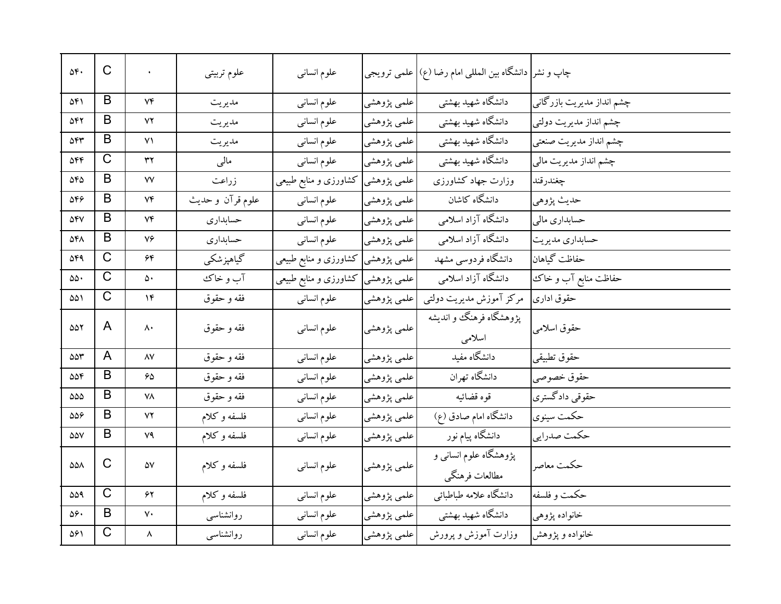| ٥۴.                            | $\mathsf{C}$          | $\bullet$             | علوم تربيتي     | علوم انسانى                        |             | چاپ و نشر  دانشگاه بین المللی امام رضا (ع)  علمی ترویجی |                           |
|--------------------------------|-----------------------|-----------------------|-----------------|------------------------------------|-------------|---------------------------------------------------------|---------------------------|
| ۵۴۱                            | B                     | Vf                    | مديريت          | علوم انسانى                        | علمي پژوهشي | دانشگاه شهید بهشتی                                      | چشم انداز مدیریت بازرگانی |
| 548                            | B                     | ۷۲                    | مديريت          | علوم انسانى                        | علمي پژوهشي | دانشگاه شهید بهشتی                                      | چشم انداز مدیریت دولتی    |
| 544                            | B                     | ۷۱                    | مديريت          | علوم انسانى                        | علمي پژوهشي | دانشگاه شهید بهشتی                                      | چشم انداز مدیریت صنعتی    |
| $\Delta \mathbf{f} \mathbf{f}$ | C                     | ٣٢                    | مالی            | علوم انسانى                        | علمي پژوهشي | دانشگاه شهید بهشتی                                      | چشم انداز مدیریت مالی     |
| $\Delta F \Delta$              | B                     | ٧V                    | زراعت           | علمی پژوهشی  کشاورزی و منابع طبیعی |             | وزارت جهاد كشاورزى                                      | چغندرقند                  |
| $\Delta \mathbf{f} \mathbf{f}$ | B                     | ٧۴                    | علوم قرآن وحديث | علوم انسانى                        | علمي پژوهشي | دانشگاه کاشان                                           | حديث پژوهي                |
| $\Delta \mathbf{f} \mathbf{V}$ | B                     | ٧۴                    | حسابدارى        | علوم انسانى                        | علمي پژوهشي | دانشگاه آزاد اسلامی                                     | حسابداري مالي             |
| ۵۴۸                            | B                     | ٧۶                    | حسابدارى        | علوم انسانى                        | علمي پژوهشي | دانشگاه آزاد اسلامی                                     | حسابداري مديريت           |
| ۵۴۹                            | C                     | ۶۴                    | گیاهپزشکی       | علمی پژوهشی  کشاورزی و منابع طبیعی |             | دانشگاه فردوسی مشهد                                     | حفاظت گياهان              |
| ۵۵۰                            | $\overline{C}$        | ۵۰                    | آب و خاک        | علمی پژوهشی کشاورزی و منابع طبیعی  |             | دانشگاه آزاد اسلامی                                     | حفاظت منابع آب و خاك      |
| ۵۵۱                            | $\mathsf C$           | $\mathcal{N}$         | فقه و حقوق      | علوم انسانى                        | علمي پژوهشي | مرکز آموزش مدیریت دولتبی                                | حقوق ادارى                |
| 557                            | A                     | ۸۰                    | فقه و حقوق      | علوم انسانى                        | علمي پژوهشي | پژوهشگاه فرهنگ و اندیشه<br>اسلامى                       | حقوق اسلامي               |
| $\Delta \Delta \tau$           | A                     | $\lambda V$           | فقه و حقوق      | علوم انساني                        | علمي پژوهشي | دانشگاه مفید                                            | حقوق تطبيقي               |
| 556                            | B                     | 65                    | فقه و حقوق      | علوم انسانى                        | علمي پژوهشي | دانشگاه تهران                                           | حقوق خصوصي                |
| ۵۵۵                            | B                     | ۷۸                    | فقه و حقوق      | علوم انسانى                        | علمي پژوهشي | قوه قضائيه                                              | حقوقبي دادگستري           |
| 556                            | B                     | ۷۲                    | فلسفه وكلام     | علوم انسانى                        | علمي پژوهشي | دانشگاه امام صادق (ع)                                   | حكمت سينوى                |
| $\Delta\Delta\rm{V}$           | B                     | ٧٩                    | فلسفه وكلام     | علوم انسانى                        | علمی پژوهشی | دانشگاه پیام نور                                        | حكمت صدرايي               |
| $\Delta\Delta\Lambda$          | C                     | $\Delta \rm{V}$       | فلسفه وكلام     | علوم انسانى                        | علمي پژوهشي | پژوهشگاه علوم انسانی و<br>مطالعات فرهنگي                | حكمت معاصر                |
| 559                            | $\overline{\text{C}}$ | ۶۲                    | فلسفه وكلام     | علوم انسانى                        | علمي پژوهشي | دانشگاه علامه طباطبائي                                  | حكمت و فلسفه              |
| ۵۶.                            | B                     | $\mathsf{v}\cdot$     | روانشناسبي      | علوم انسانى                        | علمي پژوهشي | دانشگاه شهید بهشتی                                      | خانواده پژوهي             |
| ۵۶۱                            | $\overline{C}$        | $\boldsymbol{\wedge}$ | روانشناسى       | علوم انسانى                        | علمي پژوهشي | وزارت آموزش و پرورش                                     | خانواده و پژوهش           |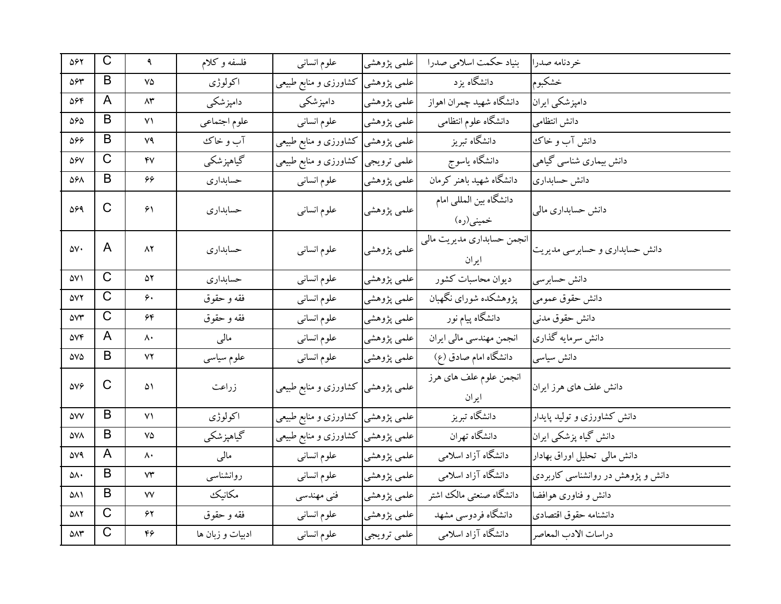| ۵۶۲                    | $\mathsf C$           | ٩                      | فلسفه وكلام      | علوم انساني                        | علمي پژوهشي | بنیاد حکمت اسلامی صدرا               | خردنامه صدرا                      |
|------------------------|-----------------------|------------------------|------------------|------------------------------------|-------------|--------------------------------------|-----------------------------------|
| 594                    | B                     | ٧۵                     | اكولوژى          | علمی پژوهشی کشاورزی و منابع طبیعی  |             | دانشگاه یزد                          | خشكبوم                            |
| ۵۶۴                    | A                     | $\wedge\!\tau$         | دامپزشکی         | دامپزشکی                           | علمي پژوهشي | دانشگاه شهید چمران اهواز             | دامپزشکی ایران                    |
| 565                    | B                     | $\mathsf{v}\mathsf{v}$ | علوم اجتماعي     | علوم انسانى                        | علمي پژوهشي | دانشگاه علوم انتظامی                 | دانش انتظامى                      |
| 566                    | B                     | ٧٩                     | آب و خاک         | علمی پژوهشی کشاورزی و منابع طبیعی  |             | دانشگاه تبریز                        | دانش آب و خاک                     |
| $\Delta \mathcal{F} V$ | C                     | $\mathsf{f}\mathsf{v}$ | گیاهپزشکی        | علمی ترویجی کشاورزی و منابع طبیعی  |             | دانشگاه ياسوج                        | دانش بیماری شناسی گیاهی           |
| ۵۶۸                    | B                     | ۶۶                     | حسابدارى         | علوم انسانى                        | علمي پژوهشي | دانشگاه شهید باهنر کرمان             | دانش حسابداری                     |
| 569                    | $\mathsf{C}$          | $\mathcal{F}\setminus$ | حسابداري         | علوم انسانى                        | علمي پژوهشي | دانشگاه بین المللی امام<br>خميني(ره) | دانش حسابداری مالی                |
| ۵۷۰                    | A                     | ۸۲                     | حسابداري         | علوم انسانبي                       | علمي پژوهشي | انجمن حسابداري مديريت مالي<br>ايران  | دانش حسابداری و حسابرسی مدیریت    |
| ۵۷۱                    | $\mathsf{C}$          | ۵۲                     | حسابداري         | علوم انسانى                        | علمي پژوهشي | ديوان محاسبات كشور                   | دانش حسابرسي                      |
| <b>AVY</b>             | C                     | ۶۰                     | فقه و حقوق       | علوم انسانى                        | علمي پژوهشي | پژوهشکده شورای نگهبان                | دانش حقوق عمومي                   |
| <b>AVT</b>             | C                     | ۶۴                     | فقه و حقوق       | علوم انسانى                        | علمي پژوهشي | دانشگاه پیام نور                     | دانش حقوق مدنبي                   |
| <b>DVF</b>             | A                     | ۸۰                     | مالى             | علوم انسانى                        | علمي پژوهشي | انجمن مهندسي مالي ايران              | دانش سرمايه گذاري                 |
| $\Delta V \Delta$      | B                     | ۷۲                     | علوم سياسى       | علوم انسانى                        | علمي پژوهشي | دانشگاه امام صادق (ع)                | دانش سياسى                        |
| $\Delta V \mathcal{F}$ | C                     | ۵۱                     | زراعت            | علمی پژوهشی  کشاورزی و منابع طبیعی |             | انجمن علوم علف های هرز<br>ايران      | دانش علف های هرز ایران            |
| <b>AVV</b>             | B                     | ۷۱                     | اكولوژي          | علمی پژوهشی کشاورزی و منابع طبیعی  |             | دانشگاه تبریز                        | دانش کشاورزی و تولید پایدار       |
| ۵۷۸                    | B                     | ٧۵                     | گیاهپزشکی        | علمی پژوهشی  کشاورزی و منابع طبیعی |             | دانشگاه تهران                        | دانش گیاه پزشکی ایران             |
| 579                    | A                     | ۸۰                     | مالى             | علوم انسانى                        | علمي پژوهشي | دانشگاه آزاد اسلامی                  | دانش مالی تحلیل اوراق بهادار      |
| ۵۸۰                    | B                     | $\mathsf{Y}\mathsf{Y}$ | روانشناسبي       | علوم انسانى                        | علمي پژوهشي | دانشگاه آزاد اسلامی                  | دانش و پژوهش در روانشناسی کاربردی |
| ۵۸۱                    | B                     | ٧V                     | مكانيك           | فنی مهندسی                         | علمي پژوهشي | دانشگاه صنعتي مالك اشتر              | دانش و فناوری هوافضا              |
| ۵۸۲                    | $\overline{\text{C}}$ | ۶۲                     | فقه و حقوق       | علوم انسانى                        | علمي پژوهشي | دانشگاه فردوسی مشهد                  | دانشنامه حقوق اقتصادى             |
| $\Delta \Lambda \tau$  | $\overline{C}$        | ۴۶                     | ادبیات و زبان ها | علوم انسانى                        | علمي ترويجي | دانشگاه آزاد اسلامی                  | دراسات الادب المعاصر              |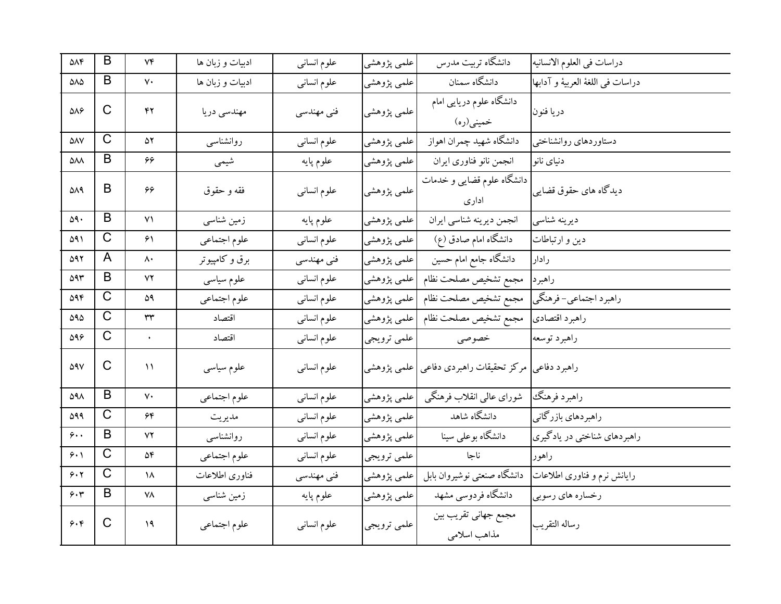| $\Delta \Lambda \mathfrak{F}$ | B                     | Vf                     | ادبیات و زبان ها | علوم انسانى | علمي پژوهشي | دانشگاه تربیت مدرس                    | دراسات في العلوم الانسانيه       |
|-------------------------------|-----------------------|------------------------|------------------|-------------|-------------|---------------------------------------|----------------------------------|
| $\Delta\Lambda\Delta$         | B                     | $\mathsf{v}\cdot$      | ادبیات و زبان ها | علوم انسانى | علمي پژوهشي | دانشگاه سمنان                         | دراسات في اللغة العربية و آدابها |
| $\Delta\Lambda$ ۶             | C                     | ۴۲                     | مهندسی دریا      | فنی مهندسی  | علمي پژوهشي | دانشگاه علوم دریایی امام<br>خمینی(ره) | دريا فنون                        |
| $\Delta \Lambda \rm{V}$       | $\overline{\text{C}}$ | ۵۲                     | روانشناسبي       | علوم انسانى | علمي پژوهشي | دانشگاه شهيد چمران اهواز              | دستاوردهاى روانشناختى            |
| ۵۸۸                           | B                     | 66                     | شيمي             | علوم پايه   | علمي پژوهشي | انجمن نانو فناورى ايران               | دنیای نانو                       |
| ۵۸۹                           | B                     | 66                     | فقه و حقوق       | علوم انسانى | علمي پژوهشي | دانشگاه علوم قضایی و خدمات<br>ادارى   | دیدگاه های حقوق قضایی            |
| ۵۹۰                           | B                     | $\mathsf{V}\mathsf{V}$ | زمین شناسی       | علوم پايه   | علمي پژوهشي | انجمن ديرينه شناسي ايران              | دیرینه شناسی                     |
| ۵۹۱                           | $\mathsf C$           | ۶۱                     | علوم اجتماعي     | علوم انسانى | علمي پژوهشي | دانشگاه امام صادق (ع)                 | دین و ارتباطات                   |
| 592                           | A                     | ۸۰                     | برق و کامپیوتر   | فنی مهندسی  | علمي پژوهشي | دانشگاه جامع امام حسین                | رادار                            |
| 593                           | B                     | ٧٢                     | علوم سياسى       | علوم انسانى | علمي پژوهشي | مجمع تشخيص مصلحت نظام                 | راهبر د                          |
| 594                           | C                     | ۵۹                     | علوم اجتماعي     | علوم انسانى | علمي پژوهشي | مجمع تشخيص مصلحت نظام                 | راهبرد اجتماعي- فرهنگي           |
| ۵۹۵                           | $\mathsf C$           | ٣٣                     | اقتصاد           | علوم انسانى | علمي پژوهشي | مجمع تشخيص مصلحت نظام                 | راهبرد اقتصادي                   |
| $\Delta$ 96                   | $\mathsf C$           | $\bullet$              | اقتصاد           | علوم انسانى | علمي ترويجي | خصوصي                                 | راهبرد توسعه                     |
| <b>DAV</b>                    | C                     | $\mathcal{L}$          | علوم سياسى       | علوم انسانى | علمي پژوهشي | مركز تحقيقات راهبردي دفاعي            | راهبرد دفاعي                     |
| ۵۹۸                           | B                     | $\mathsf{v}\cdot$      | علوم اجتماعي     | علوم انسانى | علمي پژوهشي | شورای عالیی انقلاب فرهنگی             | راهبرد فرهنگك                    |
| 599                           | $\overline{\text{C}}$ | ۶۴                     | مديريت           | علوم انسانى | علمي پژوهشي | دانشگاه شاهد                          | راهبردهاي بازرگاني               |
| 9.1                           | B                     | ۷۲                     | روانشناسبي       | علوم انسانى | علمي پژوهشي | دانشگاه بوعلی سینا                    | راهبردهای شناختی در یادگیری      |
| 9.1                           | C                     | ۵۴                     | علوم اجتماعي     | علوم انسانى | علمي ترويجي | ناجا                                  | راهور                            |
| 9.7                           | $\mathsf{C}$          | ۱۸                     | فناورى اطلاعات   | فنی مهندسی  | علمي پژوهشي | دانشگاه صنعتبي نوشيروان بابل          | رایانش نرم و فناوری اطلاعات      |
| 9.7                           | B                     | ۷۸                     | زمین شناسی       | علوم پايه   | علمي پژوهشي | دانشگاه فردوسی مشهد                   | رخساره هاي رسوبي                 |
| 9.5                           | C                     | 19                     | علوم اجتماعي     | علوم انسانى | علمي ترويجي | مجمع جهاني تقريب بين<br>مذاهب اسلامى  | رساله التقريب                    |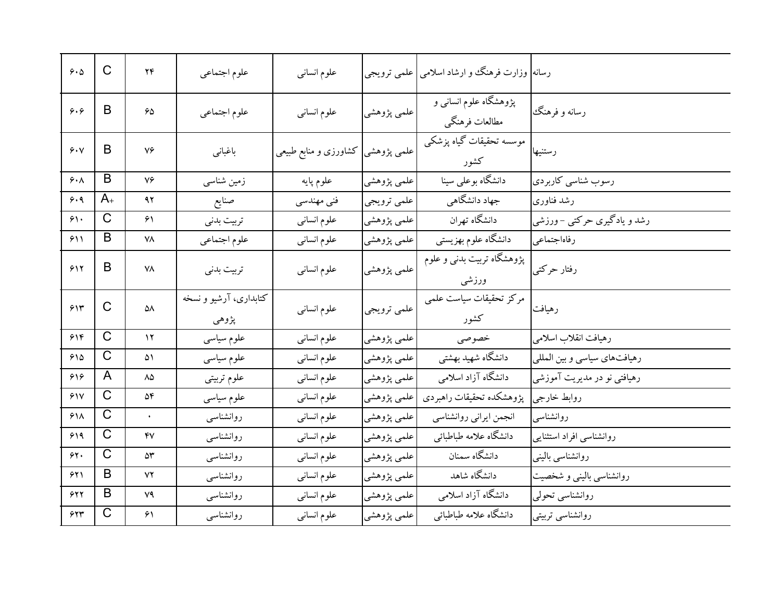| 9.0             | C                          | ۲۴                     | علوم اجتماعي                    | علوم انسانى                       |             | رسانه  وزارت فرهنگ و ارشاد اسلامی علمی ترویجی |                              |
|-----------------|----------------------------|------------------------|---------------------------------|-----------------------------------|-------------|-----------------------------------------------|------------------------------|
| 9.9             | B                          | 50                     | علوم اجتماعي                    | علوم انسانى                       | علمي پژوهشي | پژوهشگاه علوم انسانی و<br>مطالعات فرهنگي      | رسانه و فرهنگ                |
| 9.4             | B                          | ٧۶                     | باغباني                         | علمی پژوهشی کشاورزی و منابع طبیعی |             | موسسه تحقیقات گیاه پزشکی<br>كشور              | رستنيها                      |
| 6.1             | B                          | ٧۶                     | زمین شناسی                      | علوم پايه                         | علمي پژوهشي | دانشگاه بوعلی سینا                            | رسوب شناسي كاربردي           |
| 6.9             | $A_{+}$                    | ۹۲                     | صنايع                           | فني مهندسي                        | علمي ترويجي | جهاد دانشگاهی                                 | رشد فناوری                   |
| $\gamma$        | $\mathsf{C}$               | ۶۱                     | تربيت بدنى                      | علوم انسانى                       | علمي پژوهشي | دانشگاه تهران                                 | رشد و یادگیری حرکتبی – ورزشی |
| 511             | B                          | ٧٨                     | علوم اجتماعي                    | علوم انسانى                       | علمي پژوهشي | دانشگاه علوم بهزيستي                          | رفاهاجتماعي                  |
| 517             | B                          | ٧٨                     | تربيت بدنى                      | علوم انسانى                       | علمي پژوهشي | پژوهشگاه تربیت بدنبی و علوم<br>ورزشى          | رفتار حركتبي                 |
|                 |                            |                        |                                 |                                   |             |                                               |                              |
| 515             | C                          | ۵٨                     | کتابداری، آرشیو و نسخه<br>پژوهي | علوم انسانى                       | علمي ترويجي | مركز تحقيقات سياست علمى<br>كشور               | رهيافت                       |
| 516             | $\mathsf{C}$               | $\gamma$               | علوم سياسى                      | علوم انسانى                       | علمي پژوهشي | خصوصى                                         | رهيافت انقلاب اسلامى         |
| 910             | $\overline{\text{C}}$      | ۵۱                     | علوم سياسى                      | علوم انسانى                       | علمي پژوهشي | دانشگاه شهید بهشتی                            | رهیافتهای سیاسی و بین المللی |
| ۶۱۶             | A                          | ۸۵                     | علوم تربيتي                     | علوم انسانى                       | علمي پژوهشي | دانشگاه آزاد اسلامی                           | رهیافتبی نو در مدیریت آموزشی |
| 51V             | $\overline{\text{C}}$      | ۵۴                     | علوم سياسى                      | علوم انسانى                       | علمي پژوهشي | پژوهشكده تحقيقات راهبردي                      | روابط خارجي                  |
| 51 <sub>A</sub> | C                          | $\bullet$              | روانشناسى                       | علوم انسانى                       | علمي پژوهشي | انجمن ايراني روانشناسي                        | روانشناسبي                   |
| ۶۱۹             | $\mathsf C$                | $\mathsf{f}\mathsf{v}$ | روانشناسبي                      | علوم انسانى                       | علمي پژوهشي | دانشگاه علامه طباطبائي                        | روانشناسی افراد استثنایی     |
| $\gamma$        | C                          | ۵٣                     | روانشناسبي                      | علوم انسانى                       | علمي پژوهشي | دانشگاه سمنان                                 | روانشناسبي بالينبي           |
| ۶۲۱             | B                          | ٧٢                     | روانشناسبي                      | علوم انسانى                       | علمي پژوهشي | دانشگاه شاهد                                  | روانشناسی بالینی و شخصیت     |
| 517             | B<br>$\overline{\text{C}}$ | ٧٩                     | روانشناسبي                      | علوم انسانى                       | علمي پژوهشي | دانشگاه آزاد اسلامی                           | روانشناسی تحولی              |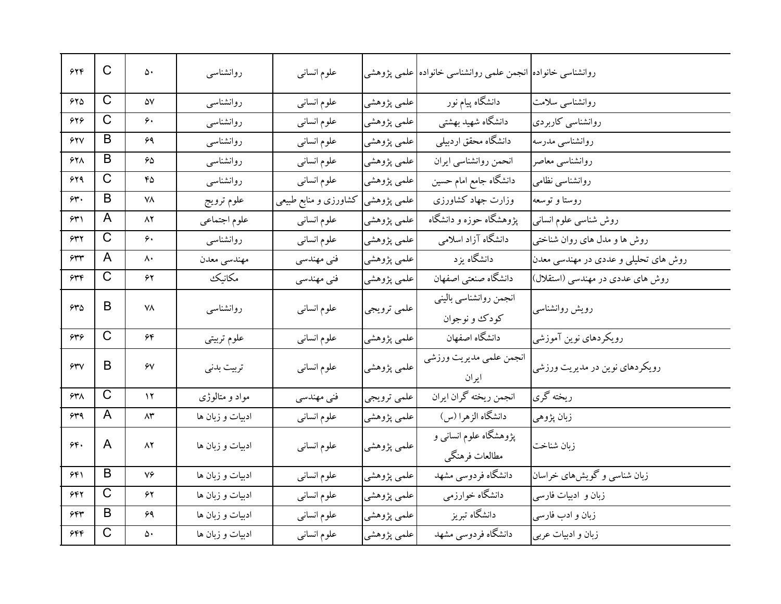| 546               | $\mathsf C$           | ۵۰       | روانشناسبي       | علوم انسانى           |                           | روانشناسی خانواده <mark>  انجمن علمی روانشناسی خانواده  علمی پژوهشی</mark> |                                      |
|-------------------|-----------------------|----------|------------------|-----------------------|---------------------------|----------------------------------------------------------------------------|--------------------------------------|
| 580               | $\overline{\text{C}}$ | ۵٧       | روانشناسى        | علوم انسانى           | علمي پژوهشي               | ۔<br>دانشگاه پیام نور                                                      | روانشناسی سلامت                      |
| 626               | $\mathsf C$           | ۶.       | روانشناسبي       | علوم انسانى           | علمي پژوهشي               | دانشگاه شهید بهشتی                                                         | روانشناسی کاربردی                    |
| <b>677</b>        | B                     | ۶۹       | روانشناسبي       | علوم انسانى           | علمي پژوهشي               | دانشگاه محقق اردبیلی                                                       | روانشناسی مدرسه                      |
| ۶۲۸               | B                     | 65       | روانشناسبي       | علوم انسانى           | علمي پژوهشي               | انحمن روانشناسي ايران                                                      | روانشناسبي معاصر                     |
| 629               | $\mathsf C$           | ۴۵       | روانشناسبي       | علوم انسانى           | علمي پژوهشي               | دانشگاه جامع امام حسین                                                     | روانشناسی نظامی                      |
| ۶۳.               | B                     | ۷۸       | علوم ترويج       | کشاورزی و منابع طبیعی | علمي پژوهشي <mark></mark> | وزارت جهاد كشاورزى                                                         | روستا و توسعه                        |
| ۶۳۱               | A                     | ۸۲       | علوم اجتماعي     | علوم انسانى           | علمي پژوهشي               | یژوهشگاه حوزه و دانشگاه                                                    | روش شناسی علوم انسانی                |
| 632               | $\mathsf C$           | ۶۰       | روانشناسبي       | علوم انسانى           | علمي پژوهشي               | دانشگاه آزاد اسلامی                                                        | روش ها و مدل های روان شناختی         |
| 632               | A                     | ۸۰       | مهندسي معدن      | فنی مهندسی            | علمي پژوهشي               | دانشگاه يز د                                                               | روش های تحلیلی و عددی در مهندسی معدن |
| 636               | $\mathsf C$           | ۶۲       | مكانيك           | فنی مهندسی            | علمي پژوهشي               | دانشگاه صنعتی اصفهان                                                       | روش های عددی در مهندسی (استقلال)     |
| 540               | B                     | ۷۸       | روانشناسبي       | علوم انسانى           | علمي ترويجي               | انجمن روانشناسي باليني<br>کودک و نوجوان                                    | رويش روانشناسي                       |
| ۶۳۶               | $\mathsf C$           | ۶۴       | علوم تربيتي      | علوم انسانى           | علمي پژوهشي               | دانشگاه اصفهان                                                             | رویکردهای نوین آموزشی                |
| 5.5               | B                     | ۶V       | تربيت بدني       | علوم انسانى           | علمی پژوهشی               | انجمن علمي مديريت ورزشي<br>ايران                                           | رویکردهای نوین در مدیریت ورزشی       |
| $54\%$            | $\overline{\text{C}}$ | $\gamma$ | مواد و متالوژی   | فنی مهندسی            | علمي ترويجي               | انجمن ريخته گران ايران                                                     | ربخته گری                            |
| 549               | A                     | ۸۳       | ادبیات و زبان ها | علوم انسانبي          | علمي پژوهشي               | دانشگاه الزهرا (س)                                                         | زبان پژوهي                           |
| $\gamma \gamma$ . | A                     | ۸۲       | ادبیات و زبان ها | علوم انسانى           | علمی پژوهشی               | پژوهشگاه علوم انسانی و<br>مطالعات فرهنگي                                   | زبان شناخت                           |
| ۶۴۱               | B                     | ٧۶       | ادبیات و زبان ها | علوم انسانى           | علمي پژوهشي               | دانشگاه فردوسی مشهد                                                        | زبان شناسی و گویش های خراسان         |
| ۶۴۲               | $\mathsf{C}$          | ۶۲       | ادبیات و زبان ها | علوم انسانى           | علمي پژوهشي               | دانشگاه خوارزمی                                                            | زبان و ادبیات فارسی                  |
| 644               | B                     | ۶۹       | ادبیات و زبان ها | علوم انسانى           | علمي پژوهشي               | دانشگاه تبریز                                                              | زبان و ادب فارسی                     |
| ۶۴۴               | $\overline{\text{C}}$ | ۵۰       | ادبیات و زبان ها | علوم انسانى           | علمي پژوهشي               | دانشگاه فردوسی مشهد                                                        | زبان و ادبیات عربی                   |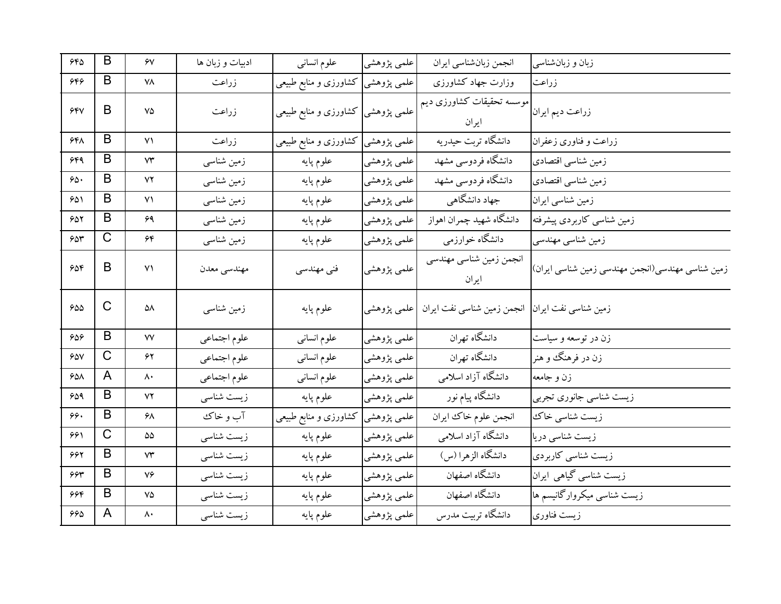| 560 | B            | ۶٧                      | ادبیات و زبان ها | علوم انسانى                        | علمي پژوهشي | انجمن زبانشناسي ايران              | زبان و زبانشناسی                                 |
|-----|--------------|-------------------------|------------------|------------------------------------|-------------|------------------------------------|--------------------------------------------------|
| 556 | B            | ۷۸                      | زراعت            | علمی پژوهشی کشاورزی و منابع طبیعی  |             | وزارت جهاد كشاورزى                 | زراعت                                            |
| 550 | B            | ٧۵                      | زراعت            | علمی پژوهشی  کشاورزی و منابع طبیعی |             | موسسه تحقیقات کشاورزی دیم<br>ايران | زراعت ديم ايران                                  |
| ۶۴۸ | B            | $\vee$                  | زراعت            | كشاورزى و منابع طبيعى              | علمي پژوهشي | دانشگاه تربت حیدریه                | زراعت و فناوري زعفران                            |
| 649 | B            | ٧٣                      | زمین شناسی       | علوم پايه                          | علمي پژوهشي | دانشگاه فردوسی مشهد                | زمین شناسی اقتصادی                               |
| ۶۵۰ | B            | ٧٢                      | زمین شناسی       | علوم پايه                          | علمي پژوهشي | دانشگاه فردوسی مشهد                | زمین شناسی اقتصادی                               |
| ۶۵۱ | B            | ۷۱                      | زمین شناسی       | علوم پايه                          | علمي پژوهشي | جهاد دانشگاهی                      | زمین شناسی ایران                                 |
| 652 | B            | ۶۹                      | زمین شناسی       | علوم پايه                          | علمي پژوهشي | دانشگاه شهيد چمران اهواز           | زمین شناسی کاربردی پیشرفته                       |
| 654 | C            | ۶۴                      | زمین شناسی       | علوم پايه                          | علمي پژوهشي | دانشگاه خوارزمی                    | زمین شناسی مهندسی                                |
| 606 | B            | ۷١                      | مهندسي معدن      | فنی مهندسی                         | علمي پژوهشي | انجمن زمین شناسی مهندسی<br>ايران   | زمین شناسی مهندسی(انجمن مهندسی زمین شناسی ایران) |
| 600 | C            | ۵۸                      | زمین شناسی       | علوم پايه                          | علمي پژوهشي | انجمن زمین شناسی نفت ایران         | زمین شناسی نفت ایران                             |
| 606 | B            | $\mathsf{V}\mathsf{V}$  | علوم اجتماعي     | علوم انسانى                        | علمي پژوهشي | دانشگاه تهران                      | زن در توسعه و سیاست                              |
| 600 | $\mathsf{C}$ | ۶۲                      | علوم اجتماعي     | علوم انسانى                        | علمي پژوهشي | دانشگاه تهران                      | زن در فرهنگ و هنر                                |
| ۶۵۸ | A            | ۸۰                      | علوم اجتماعي     | علوم انسانى                        | علمي پژوهشي | دانشگاه آزاد اسلامی                | زن و جامعه                                       |
| 659 | B            | ۷۲                      | زیست شناسی       | علوم پايه                          | علمي پژوهشي | دانشگاه پیام نور                   | زیست شناسی جانوری تجربی                          |
| ۶۶. | B            | ۶۸                      | آب و خاک         | گشاورزی و منابع طبیعی              | علمي پژوهشي | انجمن علوم خاك ايران               | زیست شناسی خاک                                   |
| ۶۶۱ | C            | ۵۵                      | زیست شناسی       | علوم پايه                          | علمي پژوهشي | دانشگاه آزاد اسلامی                | زیست شناسی دریا                                  |
| 662 | B            | ٧٣                      | زیست شناسی       | علوم پايه                          | علمي پژوهشي | دانشگاه الزهرا (س)                 | زیست شناسی کاربردی                               |
| 994 | B            | ٧۶                      | زیست شناسی       | علوم پايه                          | علمي پژوهشي | دانشگاه اصفهان                     | زیست شناسی گیاهی ایران                           |
| ۶۶۴ | B            | ٧۵                      | زیست شناسی       | علوم پايه                          | علمي پژوهشي | دانشگاه اصفهان                     | زیست شناسی میکروارگانیسم ها                      |
| 669 | A            | $\mathsf{\Lambda}\cdot$ | زیست شناسی       | علوم پايه                          | علمي پژوهشي | دانشگاه تربیت مدرس                 | زيست فناورى                                      |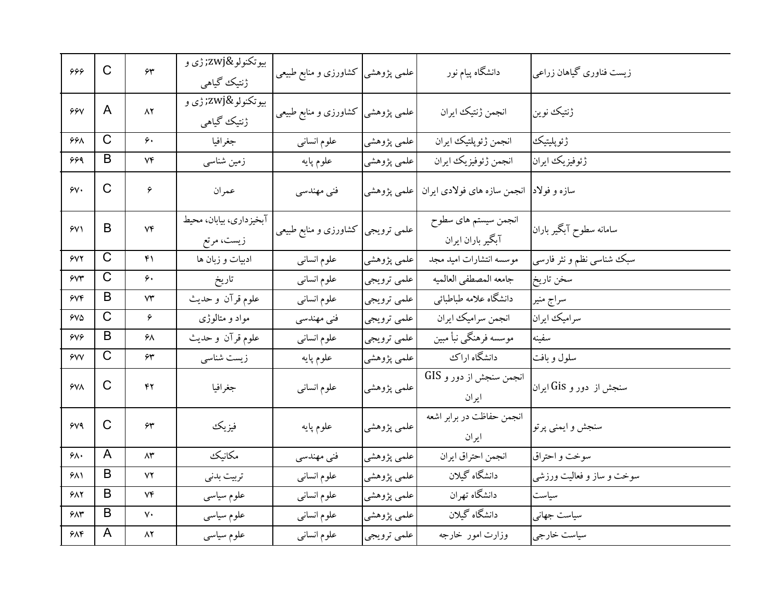| 666             | $\mathsf{C}$            | $\gamma$          | بيوتكنولو‍ ژې و<br>ژنتیک گیاهی        | علمی پژوهشی کشاورزی و منابع طبیعی  |                          | دانشگاه پیام نور                                       | زیست فناوری گیاهان زراعی  |
|-----------------|-------------------------|-------------------|---------------------------------------|------------------------------------|--------------------------|--------------------------------------------------------|---------------------------|
| 99y             | A                       | $\wedge$          | بيوتكنولو‍ ژې و<br>ژنتیک گیاهی        | علمی پژوهشی کشاورزی و منابع طبیعی  |                          | انجمن ژنتيك ايران                                      | ژنتیک نوین                |
| 668             | $\overline{\mathrm{C}}$ | ۶۰                | جغرافيا                               | علوم انسانى                        | علمي پژوهشي <sup>ا</sup> | انجمن ژئوپلتیک ایران                                   | ژئوپلیتیک                 |
| ۶۶۹             | B                       | ٧۴                | زمین شناسی                            | علوم پايه                          | علمي پژوهشي              | انجمن ژئوفیزیک ایران                                   | ژئوفيزيك ايران            |
| $\gamma$        | $\mathsf{C}$            | ۶                 | عمران                                 | فنی مهندسی                         |                          | سازه و فولاد  انجمن سازه های فولادی ایران  علمی پژوهشی |                           |
| $\gamma$        | B                       | $V \mathfrak{F}$  | آبخیزداری، بیابان، محیط<br>زیست، مرتع | علمی ترویجی  کشاورزی و منابع طبیعی |                          | انجمن سیستم های سطوح<br>آبگیر باران ایران              | سامانه سطوح آبگیر باران   |
| $\gamma$        | $\overline{C}$          | ۴۱                | ادبیات و زبان ها                      | علوم انسانى                        | علمي پژوهشي              | موسسه انتشارات اميد مجد                                | سبک شناسی نظم و نثر فارسی |
| $\gamma$        | $\overline{\text{C}}$   | ۶۰                | تاريخ                                 | علوم انسانى                        | علمي ترويجي              | جامعه المصطفى العالميه                                 | سخن تاريخ <mark> </mark>  |
| $\gamma \gamma$ | B                       | ۷۳                | علوم قرآن و حديث                      | علوم انسانى                        | علمي ترويجي              | دانشگاه علامه طباطبائي                                 | سراج منير                 |
| $Y\vee \Delta$  | $\mathsf{C}$            | ۶                 | مواد و متالوژی                        | فنی مهندسی                         | علمي ترويجي              | انجمن سراميك ايران                                     | سرامیک ایران              |
| 609             | B                       | ۶۸                | علوم قرآن و حديث                      | علوم انسانى                        | علمي ترويجي              | موسسه فرهنگى نبأ مبين                                  | سفينه                     |
| $\gamma$        | $\mathsf{C}$            | ۶۳                | زیست شناسی                            | علوم پايه                          | علمي پژوهشي              | دانشگاه اراك                                           | سلول وبافت                |
| $Y^{\prime}$    | C                       | ۴۲                | جغرافيا                               | علوم انسانى                        | علمي پژوهشي              | انجمن سنجش از دور و GIS<br>ايران                       | سنجش از  دور و Gis ایران  |
| 609             | C                       | ۶۳                | فيزيك                                 | علوم پايه                          | علمي پژوهشي              | انجمن حفاظت در برابر اشعه<br>ايران                     | سنجش و ايمني پرتو         |
| ۶۸۰             | A                       | $\wedge\!\tau$    | مكانيك                                | فنی مهندسی                         | علمي پژوهشي              | انجمن احتراق ايران                                     | سوخت و احتراق             |
| ۶۸۱             | B                       | ۷۲                | تربيت بدنى                            | علوم انسانى                        | علمي پژوهشي              | دانشگاه گیلان                                          | سوخت و ساز و فعالیت ورزشی |
| $Y\wedge Y$     | B                       | ٧۴                | علوم سياسى                            | علوم انسانى                        | علمي پژوهشي              | دانشگاه تهران                                          | سياست                     |
| $2\lambda r$    | B                       | $\mathsf{v}\cdot$ | علوم سياسى                            | علوم انسانى                        | علمي پژوهشي              | دانشگاه گیلان                                          | سياست جهاني               |
| ۶۸۴             | A                       | ۸۲                | علوم سياسى                            | علوم انسانبي                       | علمي ترويجي              | وزارت امور خارجه                                       | سیاست خارجی               |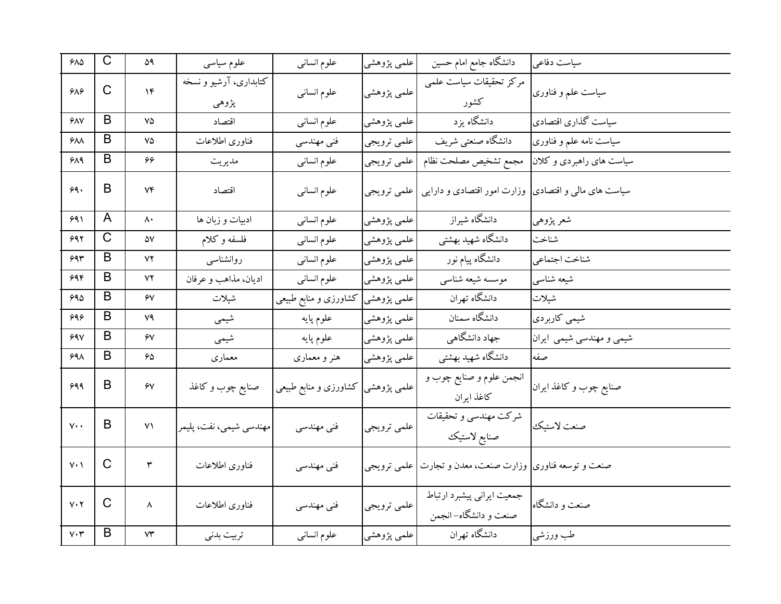| $Y\wedge\Delta$               | $\mathsf{C}$ | ۵۹                           | علوم سياسى                      | علوم انسانى                        | علمي پژوهشي | دانشگاه جامع امام حسین                                           | سياست دفاعي              |
|-------------------------------|--------------|------------------------------|---------------------------------|------------------------------------|-------------|------------------------------------------------------------------|--------------------------|
| ۶۸۶                           | $\mathsf{C}$ | $\mathcal{N}$                | کتابداری، آرشیو و نسخه<br>پژوهي | علوم انسانبي                       | علمي پژوهشي | مركز تحقيقات سياست علمى<br>كشور                                  | سیاست علم و فناوری       |
| YAV                           | B            | ٧۵                           | اقتصاد                          | علوم انسانى                        | علمي پژوهشي | دانشگاه یزد                                                      | سیاست گذاری اقتصادی      |
| $Y\wedge\wedge$               | B            | $\mathsf{V}\mathsf{\Delta}$  | فناوري اطلاعات                  | فني مهندسي                         | علمي ترويجي | دانشگاه صنعتبي شريف                                              | سیاست نامه علم و فناوری  |
| ۶۸۹                           | B            | ۶۶                           | مديريت                          | علوم انسانبي                       | علمي ترويجي | مجمع تشخيص مصلحت نظام                                            | سیاست های راهبردی و کلان |
| ۶۹.                           | B            | $V \mathfrak{F}$             | اقتصاد                          | علوم انسانى                        | علمي ترويجي | سیاست های مال <sub>ی</sub> و اقتصادی وزارت امور اقتصادی و دارایی |                          |
| ۶۹۱                           | A            | $\mathsf{\Lambda}\cdot$      | ادبیات و زبان ها                | علوم انسانى                        | علمي پژوهشي | دانشگاه شیراز                                                    | شعر پژوهي                |
| ۶۹۲                           | $\mathsf{C}$ | ۵۷                           | فلسفه وكلام                     | علوم انسانى                        | علمي پژوهشي | دانشگاه شهید بهشتی                                               | شناخت                    |
| 693                           | B            | ۷۲                           | روانشناسبي                      | علوم انساني                        | علمي پژوهشي | دانشگاه پیام نور                                                 | شناخت اجتماعي            |
| ۶۹۴                           | B            | ۷۲                           | اديان، مذاهب و عرفان            | علوم انسانى                        | علمي پژوهشي | موسسه شيعه شناسي                                                 | شيعه شناسي               |
| 990                           | B            | ۶٧                           | شيلات                           | علمی پژوهشی  کشاورزی و منابع طبیعی |             | دانشگاه تهران                                                    | شيلات                    |
| 696                           | B            | ۷۹                           | شيمي                            | علوم پايه                          | علمي پژوهشي | دانشگاه سمنان                                                    | شیمی کاربردی             |
| 990                           | B            | ۶٧                           | شیمی                            | علوم پايه                          | علمي پژوهشي | جهاد دانشگاهی                                                    | شیمی و مهندسی شیمی ایران |
| $99\lambda$                   | B            | 65                           | معماري                          | هنر و معماری                       | علمي پژوهشي | دانشگاه شهيد بهشتي                                               | صفه                      |
| 999                           | B            | $\hat{\mathsf{y}}\mathsf{V}$ | صنايع چوب و كاغذ                | علمی پژوهشی کشاورزی و منابع طبیعی  |             | انجمن علوم و صنایع چوب و<br>كاغذ ايران                           | صنایع چوب و کاغذ ایران   |
| $v \cdot$                     | B            | $\vee$                       | مهندسي شيمي، نفت، پليمر         | فنی مهندسی                         | علمي ترويجي | شركت مهندسي و تحقيقات<br>صنايع لاستيك                            | صنعت لاستيك              |
| $V \cdot \gamma$              | C            | ٣                            | فناورى اطلاعات                  | فنی مهندسی                         |             | صنعت و توسعه فناوري وزارت صنعت، معدن و تجارت   علمي ترويجي       |                          |
| $V \cdot Y$                   | C            | ٨                            | فناورى اطلاعات                  | فنی مهندسی                         | علمي ترويجي | جمعیت ایرانی پیشبرد ارتباط<br>صنعت و دانشگاه– انجمن              | صنعت و دانشگاه           |
| $\mathsf{v}{\cdot}\mathsf{r}$ | B            | $\mathsf{V}\mathsf{Y}$       | تربيت بدني                      | علوم انسانى                        | علمي پژوهشي | دانشگاه تهران                                                    | طب ورزشي                 |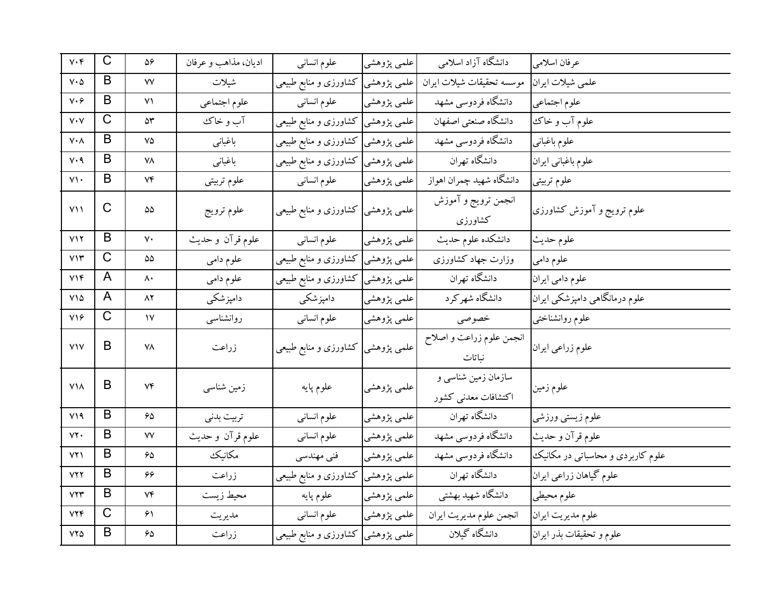| $V \cdot \mathfrak{f}$                   | C           | ۵۶                 | اديان، مذاهب و عرفان | علوم انساني                        | علمي پژوهشي | دانشگاه آزاد اسلامی                        | عرفان اسلامى                      |
|------------------------------------------|-------------|--------------------|----------------------|------------------------------------|-------------|--------------------------------------------|-----------------------------------|
| $V \cdot \Delta$                         | B           | ٧V                 | شيلات                | علمی پژوهشی  کشاورزی و منابع طبیعی |             | موسسه تحقيقات شيلات ايران                  | علمي شيلات ايران                  |
| $v\cdot f$                               | B           | ۷۱                 | علوم اجتماعي         | علوم انسانبي                       | علمی پژوهشی | دانشگاه فردوسی مشهد                        | علوم اجتماعي                      |
| $\mathsf{V}\boldsymbol{\cdot}\mathsf{V}$ | C           | ۵٣                 | آب و خاک             | علمی پژوهشی کشاورزی و منابع طبیعی  |             | دانشگاه صنعتبي اصفهان                      | علوم آب و خاک                     |
| $\mathsf{V}\boldsymbol{\cdot}\mathsf{V}$ | B           | ٧۵                 | باغبانى              | علمی پژوهشی کشاورزی و منابع طبیعی  |             | دانشگاه فردوسی مشهد                        | علوم باغباني                      |
| $V \cdot 9$                              | B           | ۷۸                 | باغباني              | علمی پژوهشی کشاورزی و منابع طبیعی  |             | دانشگاه تهران                              | علوم باغباني ايران                |
| $V\setminus\cdot$                        | B           | ۷۴                 | علوم تربيتي          | علوم انسانى                        | علمي پژوهشي | دانشگاه شهيد چمران اهواز                   | علوم تربيتي                       |
| $Y\setminus\setminus$                    | C           | ۵۵                 | علوم ترويج           | علمی پژوهشی  کشاورزی و منابع طبیعی |             | انجمن ترويج و آموزش<br>كشاورزى             | علوم ترويج و آموزش كشاورزى        |
| $V\setminus Y$                           | B           | $\mathsf{v}\cdot$  | علوم قرآن وحديث      | علوم انسانبي                       | علمی پژوهشی | دانشكده علوم حديث                          | علوم حديث                         |
| $V\Upsilon$                              | C           | ۵۵                 | علوم دامي            | علمی پژوهشی کشاورزی و منابع طبیعی  |             | وزارت جهاد كشاورزى                         | علوم دامي                         |
| VY                                       | A           | $\mathsf{A}$       | علوم دامي            | علمی پژوهشی  کشاورزی و منابع طبیعی |             | دانشگاه تهران                              | علوم دامي ايران                   |
| $V\setminus \Delta$                      | A           | ۸۲                 | دامپزشکی             | دامپزشکی                           | علمی پژوهشی | دانشگاه شهرکرد                             | علوم درمانگاهی دامپزشکی ایران     |
| $V\Omega$                                | $\mathsf C$ | $\mathsf{V}$       | روانشناسبي           | علوم انسانى                        | علمی پژوهشی | خصوصى                                      | علوم روانشناختى                   |
| V <sub>Y</sub>                           | B           | ٧٨                 | زراعت                | علمی پژوهشی  کشاورزی و منابع طبیعی |             | انجمن علوم زراعت و اصلاح<br>نباتات         | علوم زراعي ايران                  |
| $V\Lambda$                               | B           | Vf                 | زمین شناسی           | علوم پايه                          | علمي پژوهشي | سازمان زمین شناسی و<br>اكتشافات معدنى كشور | علوم زمین                         |
| V19                                      | B           | 65                 | تربيت بدنى           | علوم انسانى                        | علمي پژوهشي | دانشگاه تهران                              | علوم زيستى ورزشى                  |
| YY                                       | B           | ٧V                 | علوم قرآن و حديث     | علوم انسانى                        | علمي پژوهشي | دانشگاه فردوسی مشهد                        | علوم قرآن و حديث                  |
| ۷۲۱                                      | B           | 65                 | مكانيك               | فنی مهندسی                         | علمي پژوهشي | دانشگاه فردوسی مشهد                        | علوم کاربردی و محاسباتی در مکانیک |
| YYY                                      | B           | 66                 | زراعت                | علمی پژوهشی کشاورزی و منابع طبیعی  |             | دانشگاه تهران                              | علوم گیاهان زراعی ایران           |
| YYY                                      | B           | ۷۴                 | محيط زيست            | علوم پايه                          | علمی پژوهشی | دانشگاه شهید بهشتی                         | علوم محيطي                        |
| YYF                                      | $\mathsf C$ | ۶۱                 | مديريت               | علوم انسانى                        | علمي پژوهشي | انجمن علوم مديريت ايران                    | علوم مديريت ايران                 |
| $YY\Delta$                               | B           | $\hat{\mathbf{z}}$ | زراعت                | علمی پژوهشی  کشاورزی و منابع طبیعی |             | دانشگاه گیلان                              | علوم و تحقیقات بذر ایران          |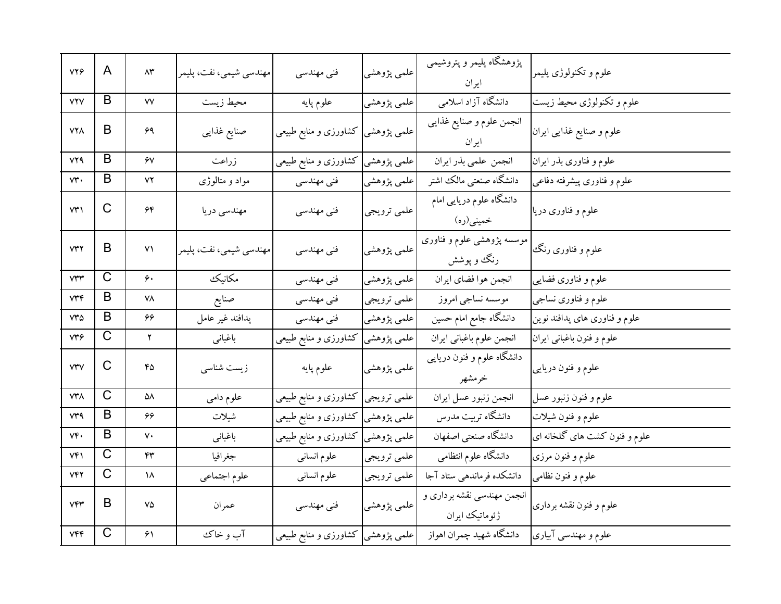| <b>VY9</b>   | A                     | $\wedge\!\tau$              | مهندسي شيمي، نفت، پليمر | فنی مهندسی                         | علمي پژوهشي | پژوهشگاه پلیمر و پتروشیمی<br>ايران           | علوم و تکنولوژی پلیمر         |
|--------------|-----------------------|-----------------------------|-------------------------|------------------------------------|-------------|----------------------------------------------|-------------------------------|
| YYY          | B                     | $\mathsf{V}\mathsf{V}$      | محيط زيست               | علوم پايه                          | علمي پژوهشي | دانشگاه آزاد اسلامی                          | علوم و تکنولوژی محیط زیست     |
| <b>VYA</b>   | B                     | ۶۹                          | صنايع غذايبي            | کشاورزی و منابع طبیعی              | علمي پژوهشي | انجمن علوم و صنایع غذایبی<br>ايران           | علوم و صنایع غذایی ایران      |
| YYQ          | B                     | $\gamma$                    | زراعت                   | علمی پژوهشی کشاورزی و منابع طبیعی  |             | انجمن علمي بذر ايران                         | علوم و فناوری بذر ایران       |
| vr.          | B                     | $\mathsf{Y} \mathsf{Y}$     | مواد و متالوژی          | فنی مهندسی                         | علمي پژوهشي | دانشگاه صنعتي مالك اشتر                      | علوم و فناوری پیشرفته دفاعی   |
| VT           | C                     | $\hat{\gamma}$ ۴            | مهندسي دريا             | فنی مهندسی                         | علمي ترويجي | دانشگاه علوم دریایی امام<br>خمینی(ره)        | علوم و فناوری دریا            |
| VTY          | B                     | $\vee$                      | مهندسي شيمي، نفت، پليمر | فنی مهندسی                         | علمي پژوهشي | موسسه پژوهشی علوم و فناوری<br>رنگ و پوشش     | علوم و فناوری رنگ             |
| $V^{\mu\nu}$ | $\mathsf C$           | ۶۰                          | مكانيك                  | فنی مهندسی                         | علمي پژوهشي | انجمن هوا فضاي ايران                         | علوم و فناوری فضایبی          |
| VTF          | B                     | ۷۸                          | صنايع                   | فني مهندسي                         | علمي ترويجي | موسسه نساجى امروز                            | علوم و فناوری نساجی           |
| <b>V۳۵</b>   | B                     | 66                          | پدافند غير عامل         | فنی مهندسی                         | علمي پژوهشي | دانشگاه جامع امام حسین                       | علوم و فناوری های پدافند نوین |
| vrf          | C                     | ۲                           | باغباني                 | کشاورزی و منابع طبیعی              | علمي پژوهشي | انجمن علوم باغباني ايران                     | علوم و فنون باغبانی ایران     |
| <b>VTV</b>   | C                     | ۴۵                          | زیست شناسی              | علوم پايه                          | علمي پژوهشي | دانشگاه علوم و فنون دریایی<br>خرمشهر         | علوم و فنون دريايي            |
| <b>VYA</b>   | $\overline{\text{C}}$ | ۵۸                          | علوم دامي               | علمی ترویجی  کشاورزی و منابع طبیعی |             | انجمن زنبور عسل ايران                        | علوم و فنون زنبور عسل         |
| v۳۹          | B                     | 66                          | شيلات                   | علمی پژوهشی کشاورزی و منابع طبیعی  |             | دانشگاه تربیت مدرس                           | علوم و فنون شيلات             |
| ٧۴٠          | B                     | ٧٠                          | باغبانى                 | علمی پژوهشی کشاورزی و منابع طبیعی  |             | دانشگاه صنعتی اصفهان                         | علوم و فنون کشت های گلخانه ای |
| Vf           | $\overline{\text{C}}$ | ۴۳                          | جغرافيا                 | علوم انسانى                        | علمي ترويجي | دانشگاه علوم انتظامی                         | علوم و فنون مرزى              |
| VFT          | C                     | ۱۸                          | علوم اجتماعي            | علوم انسانى                        | علمي ترويجي | دانشکده فرماندهی ستاد آجا                    | علوم و فنون نظامی             |
| VFT          | B                     | $\mathsf{V}\mathsf{\Delta}$ | عمران                   | فنی مهندسی                         | علمي پژوهشي | انجمن مهندسی نقشه برداری و<br>ژئوماتیک ایران | علوم و فنون نقشه برداری       |
| VFF          | $\overline{\text{C}}$ | $\hat{\gamma}$              | آب و خاک                | علمی پژوهشی  کشاورزی و منابع طبیعی |             | دانشگاه شهید چمران اهواز                     | علوم و مهندسی آبیاری          |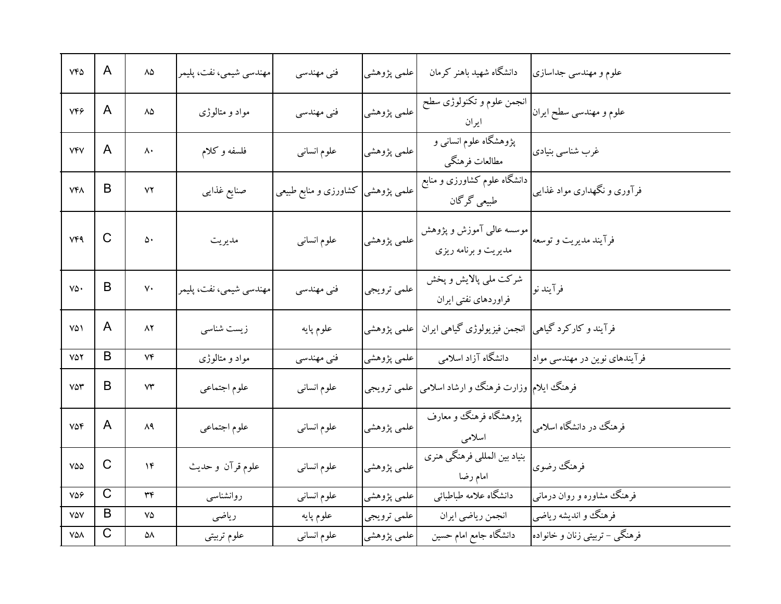| YFA                    | A            | $\Lambda\Delta$ | مهندسي شيمي، نفت، پليمر | فنی مهندسی                        | علمي پژوهشي | دانشگاه شهید باهنر کرمان                              | علوم و مهندسی جداسازی          |
|------------------------|--------------|-----------------|-------------------------|-----------------------------------|-------------|-------------------------------------------------------|--------------------------------|
| VFF                    | A            | ٨۵              | مواد و متالوژی          | فنی مهندسی                        | علمي پژوهشي | انجمن علوم و تکنولوژی سطح<br>ايران                    | علوم و مهندسي سطح ايران        |
| <b>VFV</b>             | A            | ۸۰              | فلسفه وكلام             | علوم انسانى                       | علمي پژوهشي | پژوهشگاه علوم انسانی و<br>مطالعات فرهنگي              | غرب شناسي بنيادي               |
| <b>VFA</b>             | B            | ٧٢              | صنايع غذايبي            | علمی پژوهشی کشاورزی و منابع طبیعی |             | دانشگاه علوم کشاورزی و منابع<br>طبیعی گرگان           | فرآوری و نگهداری مواد غذایی    |
| <b>VF9</b>             | $\mathsf{C}$ | ۵۰              | مديريت                  | علوم انسانى                       | علمی پژوهشی | موسسه عالمی آموزش و پژوهش<br>مدیریت و برنامه ریزی     | فرآیند مدیریت و توسعه          |
| ٧۵٠                    | B            | ٧٠              | مهندسي شيمي، نفت، پليمر | فنی مهندسی                        | علمي ترويجي | شرکت ملي پالايش و پخش<br>فراوردهای نفتی ایران         | فرآيند نو                      |
| ۷۵۱                    | A            | ۸۲              | زیست شناسی              | علوم پايه                         | علمی پژوهشی | انجمن فيزيولوژي گياهي ايران                           | فرآیند و کارکرد گیاهی          |
| 752                    | B            | ۷۴              | مواد و متالوژی          | فنی مهندسی                        | علمي پژوهشي | دانشگاه آزاد اسلامی                                   | فرآیندهای نوین در مهندسی مواد  |
| <b>VST</b>             | B            | ۷۳              | علوم اجتماعي            | علوم انسانبي                      |             | فرهنگ ایلام  وزارت فرهنگ و ارشاد اسلامی   علمی ترویجی |                                |
| $V\Delta \mathfrak{F}$ | A            | ۸۹              | علوم اجتماعي            | علوم انسانى                       | علمي پژوهشي | یژوهشگاه فرهنگ و معارف<br>اسلامى                      | فرهنگ در دانشگاه اسلامی        |
| $V\Delta\Delta$        | $\mathsf C$  | ۱۴              | علوم قرآن و حديث        | علوم انسانبي                      | علمي پژوهشي | بنیاد بین المللی فرهنگی هنری<br>امام رضا              | فرهنگ رضوي                     |
| 756                    | $\mathsf{C}$ | ٣۴              | روانشناسبي              | علوم انسانى                       | علمي پژوهشي | دانشگاه علامه طباطبائي                                | فرهنگ  مشاوره و روان درمانی    |
| VAV                    | B            | ٧۵              | رياضى                   | علوم پايه                         | علمي ترويجي | انجمن رياضي ايران                                     | فرهنگ و اندیشه ریاضی           |
| ۷۵۸                    | $\mathsf C$  | ۵۸              | علوم تربيتي             | علوم انسانى                       | علمي پژوهشي | دانشگاه جامع امام حسین                                | فرهنگی – تربیتی زنان و خانواده |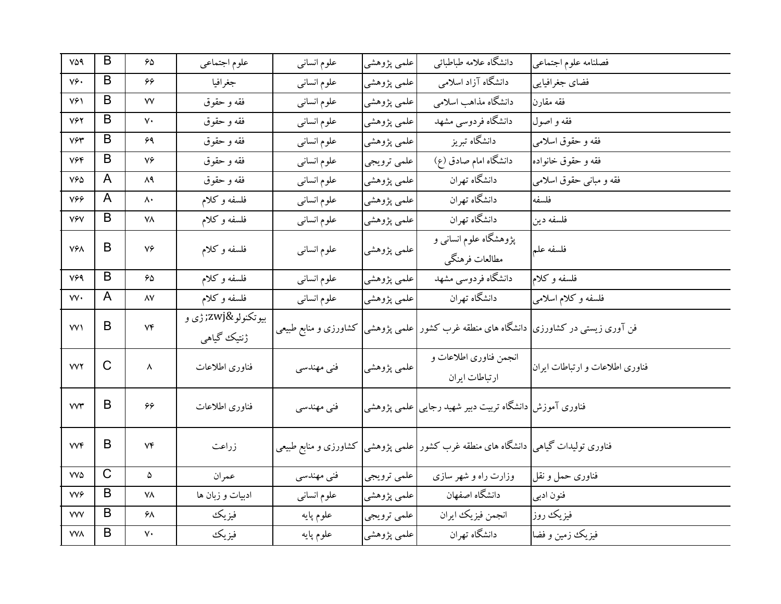| VO9                              | B            | $\hat{\mathbf{z}}$         | علوم اجتماعي     | علوم انساني | علمي پژوهشي | دانشگاه علامه طباطبائبي                                                                 | فصلنامه علوم اجتماعي            |
|----------------------------------|--------------|----------------------------|------------------|-------------|-------------|-----------------------------------------------------------------------------------------|---------------------------------|
| ٧۶.                              | B            | 66                         | جغرافيا          | علوم انسانى | علمي پژوهشي | دانشگاه آزاد اسلامی                                                                     | فضاي جغرافيايي                  |
| ٧۶١                              | B            | ٧V                         | فقه و حقوق       | علوم انسانى | علمي پژوهشي | دانشگاه مذاهب اسلامی                                                                    | فقه مقارن                       |
| VYY                              | B            | $\mathsf{v}\cdot$          | فقه و حقوق       | علوم انسانى | علمي پژوهشي | دانشگاه فردوسی مشهد                                                                     | فقه و اصول                      |
| $V \mathcal{F} \mathcal{F}$      | B            | ۶۹                         | فقه و حقوق       | علوم انسانى | علمي پژوهشي | دانشگاه تبریز                                                                           | فقه و حقوق اسلامی               |
| <b>V۶۴</b>                       | B            | $\mathsf{V}\mathsf{P}$     | فقه و حقوق       | علوم انسانى | علمي ترويجي | دانشگاه امام صادق (ع)                                                                   | فقه و حقوق خانواده              |
| $V^{\varphi}\Delta$              | A            | ۸۹                         | فقه و حقوق       | علوم انسانى | علمي پژوهشي | دانشگاه تهران                                                                           | فقه و مبانی حقوق اسلامی         |
| 766                              | A            | $\mathsf{\Lambda}\cdot$    | فلسفه وكلام      | علوم انسانى | علمي پژوهشي | دانشگاه تهران                                                                           | فلسفه                           |
| VYY                              | B            | ۷۸                         | فلسفه وكلام      | علوم انسانى | علمي پژوهشي | دانشگاه تهران                                                                           | فلسفه دين                       |
| <b>V۶۸</b>                       | B            | ٧۶                         |                  |             |             | پژوهشگاه علوم انسانی و                                                                  |                                 |
|                                  |              |                            | فلسفه وكلام      | علوم انسانى | علمي پژوهشي | مطالعات فرهنگي                                                                          | فلسفه علم                       |
| V99                              | B            | 50                         | فلسفه وكلام      | علوم انسانى | علمي پژوهشي | دانشگاه فردوسی مشهد                                                                     | فلسفه وكلام                     |
| $\forall \forall \cdot$          | A            | ۸۷                         | فلسفه وكلام      | علوم انسانى | علمي پژوهشي | دانشگاه تهران                                                                           | فلسفه و کلام اسلامی             |
| VV                               | B            | $V\mathfrak{F}$            | بيوتكنولو‍ ژې و  |             |             | فن آوری زیستی در کشاورزی  دانشگاه های منطقه غرب کشور علمی پژوهشی  کشاورزی و منابع طبیعی |                                 |
|                                  |              |                            | ژنتیک گیاهی      |             |             |                                                                                         |                                 |
| <b>VVY</b>                       | C            | ٨                          | فناورى اطلاعات   |             | علمي پژوهشي | انجمن فناوری اطلاعات و                                                                  | فناوری اطلاعات و ارتباطات ایران |
|                                  |              |                            |                  | فنی مهندسی  |             | ارتباطات ايران                                                                          |                                 |
| ٧٧٣                              | B            | ۶۶                         | فناوري اطلاعات   | فنی مهندسی  |             | فناوری آموزش <mark> </mark> دانشگاه تربیت دبیر شهید رجایی علمی پژوهشی                   |                                 |
|                                  |              |                            |                  |             |             |                                                                                         |                                 |
| <b>VVF</b>                       | B            | ۷۴                         | زراعت            |             |             | فناوری تولیدات گیاهی  دانشگاه های منطقه غرب کشور   علمی پژوهشی  کشاورزی و منابع طبیعی   |                                 |
|                                  |              |                            |                  |             |             |                                                                                         |                                 |
| $\mathsf{V}\mathsf{V}\mathsf{d}$ | $\mathsf{C}$ | ۵                          | عمران            | فنی مهندسی  | علمي ترويجي | وزارت راه و شهر سازی                                                                    | فناوری حمل و نقل                |
| <b>VVG</b>                       | B            | ۷۸                         | ادبیات و زبان ها | علوم انسانى | علمي پژوهشي | دانشگاه اصفهان                                                                          | فنون ادبي                       |
| <b>VVV</b>                       | B            | ۶۸                         | فيزيك            | علوم پايه   | علمي ترويجي | انجمن فيزيك ايران                                                                       | فيزيك روز                       |
| <b>VVA</b>                       | B            | $\mathsf{v}\mathsf{\cdot}$ | فيزيك            | علوم پايه   | علمي پژوهشي | دانشگاه تهران                                                                           | فيزيك زمين و فضا                |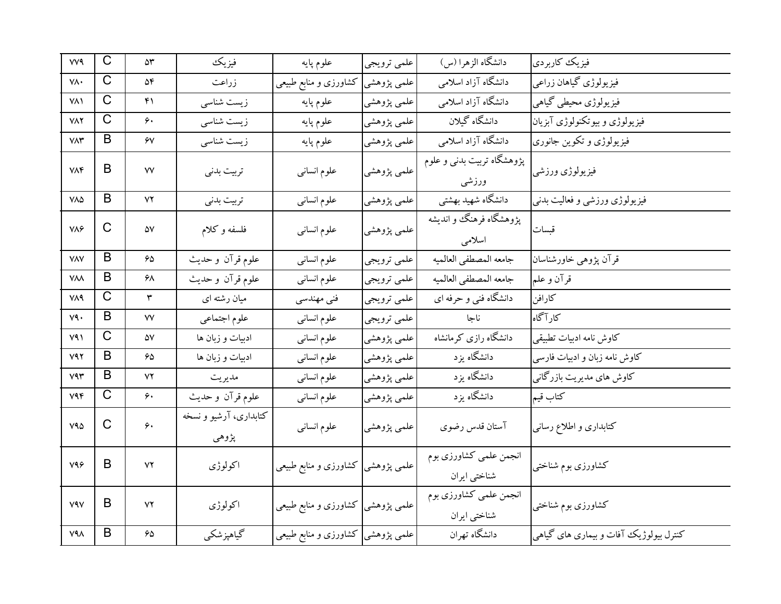| <b>VV9</b>             | $\mathsf{C}$          | ۵۳                       | فيزيك                           | علوم پايه                          | علمي ترويجي                | دانشگاه الزهرا (س)                     | فیزیک کاربردی                          |
|------------------------|-----------------------|--------------------------|---------------------------------|------------------------------------|----------------------------|----------------------------------------|----------------------------------------|
| ٧٨٠                    | $\mathsf C$           | ۵۴                       | زراعت                           | کشاورزی و منابع طبیعی              | علمي پژوهشي <mark>.</mark> | دانشگاه آزاد اسلامی                    | فیزیولوژی گیاهان زراعی                 |
| <b>VA</b>              | C                     | ۴۱                       | زیست شناسی                      | علوم پايه                          | علمي پژوهشي                | دانشگاه آزاد اسلامی                    | فیزیولوژی محیطی گیاهی                  |
| <b>VAY</b>             | $\mathsf C$           | ۶۰                       | زیست شناسی                      | علوم پايه                          | علمي پژوهشي                | دانشگاه گیلان                          | فیزیولوژی و بیوتکنولوژی آبزیان         |
| $V\Lambda \Upsilon$    | B                     | ۶٧                       | زیست شناسی                      | علوم پايه                          | علمي پژوهشي                | دانشگاه آزاد اسلامی                    | فیزیولوژی و تکوین جانوری               |
| <b>VAF</b>             | B                     | ٧V                       | تربيت بدنى                      | علوم انسانى                        | علمي پژوهشي                | پژوهشگاه تربیت بدنی و علوم<br>ورزشى    | فيزيولوژي ورزشي                        |
| $V\Lambda\Delta$       | B                     | YY                       | تربيت بدنى                      | علوم انسانى                        | علمي پژوهشي                | دانشگاه شهید بهشتی                     | فیزیولوژی ورزشی و فعالیت بدنی          |
| $V \wedge \mathcal{G}$ | $\mathsf{C}$          | ۵۷                       | فلسفه و کلام                    | علوم انسانى                        | علمي پژوهشي                | پژوهشگاه فرهنگ و اندیشه<br>اسلامى      | قبسات                                  |
| <b>VAV</b>             | B                     | 50                       | علوم قرآن و حديث                | علوم انساني                        | علمي ترويجي                | جامعه المصطفى العالميه                 | قرآن پژوهی خاورشناسان                  |
| <b>YAA</b>             | B                     | $5\lambda$               | علوم قرآن وحديث                 | علوم انسانى                        | علمي ترويجي                | جامعه المصطفى العالميه                 | قرآن و علم                             |
| <b>VA9</b>             | C                     | ٣                        | میان رشته ای                    | فنی مهندسی                         | علمي ترويجي                | دانشگاه فنی و حرفه ای                  | كارافن                                 |
| ٧٩٠                    | B                     | ٧V                       | علوم اجتماعي                    | علوم انسانى                        | علمي ترويجي                | ناجا                                   | كار آگاه                               |
| Y41                    | $\overline{\text{C}}$ | ۵۷                       | ادبیات و زبان ها                | علوم انسانى                        | علمي پژوهشي                | دانشگاه رازی کرمانشاه                  | كاوش نامه ادبيات تطبيقي                |
| $Y$ ۹۲                 | B                     | 65                       | ادبیات و زبان ها                | علوم انسانى                        | علمي پژوهشي                | دانشگاه يزد                            | كاوش نامه زبان و ادبیات فارسی          |
| V4r                    | B                     | ۷۲                       | مديريت                          | علوم انسانى                        | علمي پژوهشي                | دانشگاه يزد                            | کاوش های مدیریت بازرگانی               |
| $V$ ۹۴                 | $\mathsf C$           | ۶۰                       | علوم قرآن وحديث                 | علوم انسانى                        | علمي پژوهشي                | دانشگاه يزد                            | كتاب قيم                               |
| V40                    | $\mathsf{C}$          | $\hat{\mathbf{y}}$       | کتابداری، آرشیو و نسخه<br>پژوهي | علوم انسانى                        | علمي پژوهشي                | آستان قدس رضوى                         | کتابداری و اطلاع رسانی                 |
| V99                    | B                     | ۷۲                       | اكولوژي                         | علمی پژوهشی  کشاورزی و منابع طبیعی |                            | انجمن علمی کشاورزی بوم<br>شناختي ايران | كشاورزى بوم شناختى                     |
| <b>VAV</b>             | B                     | ۷۲                       | اكولوژى                         | علمی پژوهشی  کشاورزی و منابع طبیعی |                            | انجمن علمی کشاورزی بوم<br>شناختي ايران | كشاورزى بوم شناختبى                    |
| $V4\Lambda$            | B                     | $\mathcal{S}\mathcal{Q}$ | گیاهپزشکی                       | علمی پژوهشی کشاورزی و منابع طبیعی  |                            | دانشگاه تهران                          | کنترل بیولوژیک آفات و بیماری های گیاهی |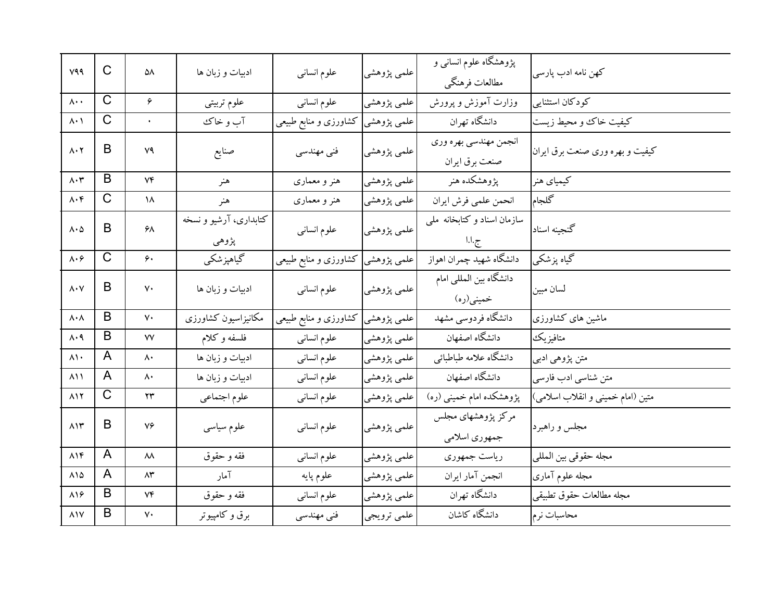| V99                                            | C            | ۵۸           | ادبیات و زبان ها                | علوم انسانبى          | علمي پژوهشي | پژوهشگاه علوم انسانی و<br>مطالعات فرهنگي | كهن نامه ادب پارسى                |
|------------------------------------------------|--------------|--------------|---------------------------------|-----------------------|-------------|------------------------------------------|-----------------------------------|
| $\Lambda \cdot \cdot$                          | $\mathsf{C}$ | ۶            | علوم تربيتي                     | علوم انسانى           | علمي پژوهشي | وزارت آموزش و پرورش                      | كودكان استثنايي                   |
| $\lambda \cdot \lambda$                        | $\mathsf{C}$ | $\bullet$    | آب و خاک                        | کشاورزی و منابع طبیعی | علمي پژوهشي | دانشگاه تهران                            | كيفيت خاك و محيط زيست             |
| $\Lambda \cdot \Upsilon$                       | B            | ۷۹           | صنايع                           | فنی مهندسی            | علمي پژوهشي | انجمن مهندسي بهره وري<br>صنعت برق ايران  | کیفیت و بهره وری صنعت برق ایران   |
| $\Lambda\cdot\mathbf{r}$                       | B            | Vf           | هنر                             | هنر و معماری          | علمي پژوهشي | يژوهشكده هنر                             | كيمياي هنر                        |
| $\Lambda\cdot \mathfrak{f}$                    | C            | ۱۸           | هنر                             | هنر و معماری          | علمي پژوهشي | انحمن علمي فرش ايران                     | كلجام                             |
| $\Lambda \cdot \Delta$                         | B            | ۶۸           | کتابداری، آرشیو و نسخه<br>پژوهي | علوم انسانى           | علمي پژوهشي | سازمان اسناد وكتابخانه ملي<br>ج.ا.ا      | گنجینه اسناد                      |
| $\boldsymbol{\wedge}\cdot\boldsymbol{\varphi}$ | C            | ۶۰           | گیاهپزشکی                       | کشاورزی و منابع طبیعی | علمی پژوهشی | دانشگاه شهید چمران اهواز                 | گیاه پزشکی                        |
| $\Lambda \cdot \mathrm{V}$                     | B            | ٧٠           | ادبيات و زبان ها                | علوم انسانى           | علمي پژوهشي | دانشگاه بین المللی امام<br>خميني(ره)     | لسان مبين                         |
| $\lambda \cdot \lambda$                        | B            | ٧٠           | مكانيزاسيون كشاورزى             | کشاورزی و منابع طبیعی | علمی پژوهشی | دانشگاه فردوسی مشهد                      | ماشین های کشاورزی                 |
| $\Lambda \cdot \mathcal{A}$                    | B            | ۷۷           | فلسفه وكلام                     | علوم انسانى           | علمي پژوهشي | دانشگاه اصفهان                           | متافيزيك                          |
| $\lambda \setminus \cdot$                      | A            | ۸۰           | ادبیات و زبان ها                | علوم انسانى           | علمي پژوهشي | دانشگاه علامه طباطبائي                   | متن پژوهي ادبي                    |
| ۸۱۱                                            | A            | ۸۰           | ادبیات و زبان ها                | علوم انسانى           | علمي پژوهشي | دانشگاه اصفهان                           | متن شناسي ادب فارسي               |
| $\lambda$                                      | C            | $\mathbf{y}$ | علوم اجتماعي                    | علوم انسانى           | علمي پژوهشي | پژوهشکده امام خمینی (ره)                 | متین (امام خمینی و انقلاب اسلامی) |
| $\Lambda$                                      | B            | ٧۶           | علوم سياسى                      | علوم انسانبي          | علمي پژوهشي | مرکز پژوهشهای مجلس<br>جمهوري اسلامي      | مجلس و راهبرد                     |
| $\Lambda$                                      | A            | ۸۸           | فقه و حقوق                      | علوم انسانى           | علمي پژوهشي | رياست جمهوري                             | مجله حقوقي بين المللي             |
| $\lambda\lambda$                               | A            | ۸۳           | آمار                            | علوم پايه             | علمي پژوهشي | انجمن آمار ايران                         | مجله علوم آماري                   |
| $\lambda$ ١۶                                   | B            | ۷۴           | فقه و حقوق                      | علوم انسانى           | علمي پژوهشي | دانشگاه تهران                            | مجله مطالعات حقوق تطبيقي          |
| $\lambda$                                      | B            | ٧٠           | برق و کامپیوتر                  | فنی مهندسی            | علمي ترويجي | دانشگاه کاشان                            | محاسبات نرم                       |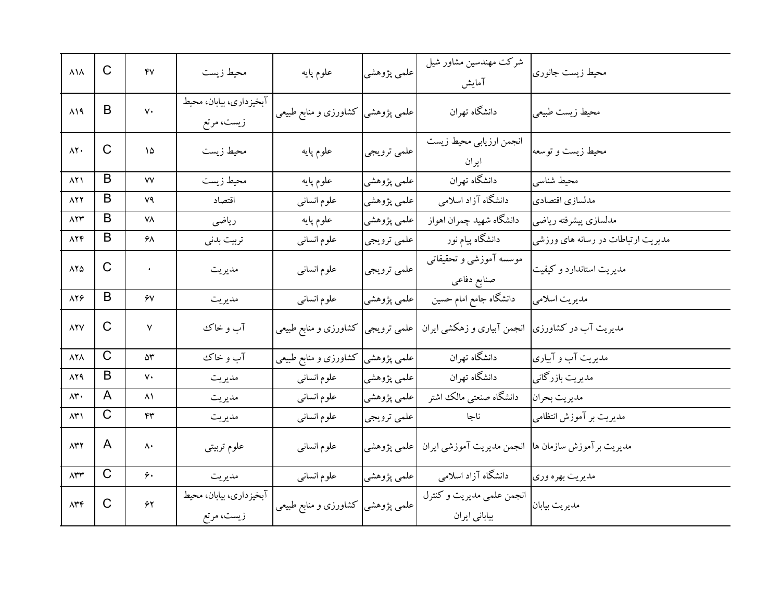| $\lambda\lambda$                | $\mathsf C$  | $\mathsf{f}\mathsf{v}$ | محيط زيست                             | علوم پايه                         | علمي پژوهشي | شرکت مهندسین مشاور شیل<br>آمايش                                   | محيط زيست جانوري                   |
|---------------------------------|--------------|------------------------|---------------------------------------|-----------------------------------|-------------|-------------------------------------------------------------------|------------------------------------|
| $\Lambda$ 19                    | B            | $\mathsf{v}\cdot$      | آبخیزداری، بیابان، محیط<br>زیست، مرتع | علمی پژوهشی کشاورزی و منابع طبیعی |             | دانشگاه تهران                                                     | محيط زيست طبيعي                    |
| $\Lambda$ Y.                    | C            | ۱۵                     | محيط زيست                             | علوم پايه                         | علمي ترويجي | انجمن ارزيابي محيط زيست<br>ايران                                  | محیط زیست و توسعه                  |
| $\Lambda$ $\uparrow$ $\uparrow$ | B            | ٧٧                     | محيط زيست                             | علوم پايه                         | علمي پژوهشي | دانشگاه تهران                                                     | محيط شناسى                         |
| 827                             | B            | ۷۹                     | اقتصاد                                | علوم انسانى                       | علمي پژوهشي | دانشگاه آزاد اسلامی                                               | مدلسازي اقتصادي                    |
| 823                             | B            | ۷۸                     | رياضى                                 | علوم پايه                         | علمي پژوهشي | دانشگاه شهيد چمران اهواز                                          | مدلسازي پيشرفته رياضي              |
| $\Lambda Y \mathfrak{F}$        | B            | ۶۸                     | تربيت بدني                            | علوم انسانبي                      | علمي ترويجي | دانشگاه پیام نور                                                  | مدیریت ارتباطات در رسانه های ورزشی |
| $\lambda Y \Delta$              | $\mathsf C$  | $\bullet$              | مديريت                                | علوم انسانى                       | علمي ترويجي | موسسه آموزشی و تحقیقاتی<br>صنايع دفاعى                            | مدیریت استاندارد و کیفیت           |
| $\lambda Y$ ۶                   | B            | ۶V                     | مديريت                                | علوم انسانى                       | علمي پژوهشي | دانشگاه جامع امام حسین                                            | مديريت اسلامي                      |
| <b>AYV</b>                      | C            | $\mathsf{V}$           | آب و خاک                              | كشاورزى و منابع طبيعي             | علمي ترويجي | انجمن آبیاری و زهکشی ایران                                        | مدیریت آب در کشاورزی               |
| $\Lambda$                       | $\mathsf C$  | $\Delta \mathsf{r}$    | آب و خاک                              | علمی پژوهشی کشاورزی و منابع طبیعی |             | دانشگاه تهران                                                     | مدیریت آب و آبیاری                 |
| 829                             | B            | $\mathsf{v}\cdot$      | مديريت                                | علوم انسانى                       | علمي پژوهشي | دانشگاه تهران                                                     | مدیریت بازرگانی                    |
| $\Lambda$ ۳.                    | A            | $\lambda$              | مديريت                                | علوم انسانى                       | علمي پژوهشي | دانشگاه صنعتي مالك اشتر                                           | مديريت بحران                       |
| $\Lambda$ ۳۱                    | $\mathsf C$  | ۴۳                     | مديريت                                | علوم انسانى                       | علمي ترويجي | ناجا                                                              | مدیریت بر آموزش انتظامی            |
| $\Lambda$ ۳۲                    | A            | ۸۰                     | علوم تربيتي                           | علوم انسانى                       | علمي پژوهشي | مدیریت برآموزش سازمان ها <mark>) انجمن مدیریت آموزشی ایران</mark> |                                    |
| $\Lambda$ ۳۳                    | $\mathsf{C}$ | ۶۰                     | مديريت                                | علوم انسانى                       | علمي پژوهشي | دانشگاه آزاد اسلامی                                               | مديريت بهره وري                    |
| $\Lambda$ ۳۴                    | C            | ۶۲                     | آبخيزداري، بيابان، محيط<br>زیست، مرتع | گشاورزی و منابع طبیعی             | علمي پژوهشي | انجمن علمي مديريت وكنترل<br>بیابانی ایران                         | مديريت بيابان                      |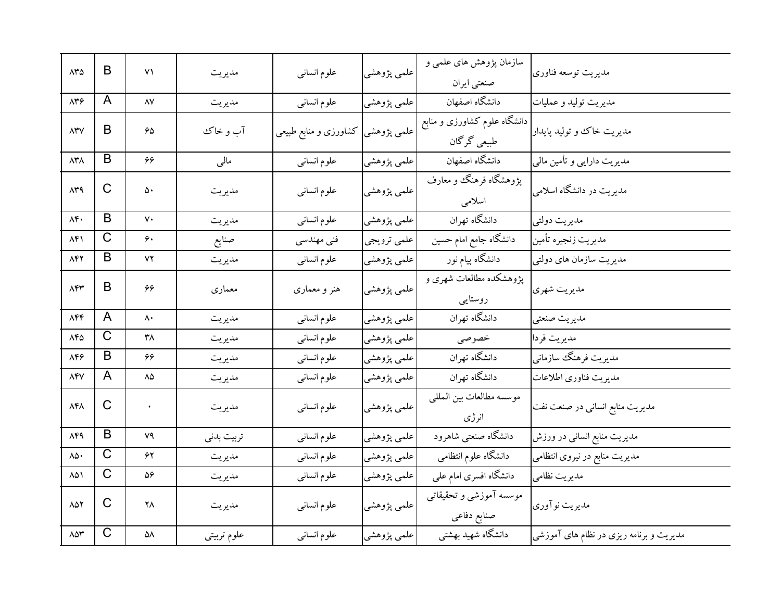| $\Lambda$ ۳۵           | B                     | ۷١                  | مديريت      | علوم انسانى           | علمي پژوهشي | سازمان پژوهش های علمی و<br>صنعتي ايران           | مديريت توسعه فناورى                     |
|------------------------|-----------------------|---------------------|-------------|-----------------------|-------------|--------------------------------------------------|-----------------------------------------|
| $\Lambda$ ۳۶           | A                     | $\Lambda\mathrm{V}$ | مديريت      | علوم انسانى           | علمي پژوهشي | دانشگاه اصفهان                                   | مديريت توليد و عمليات                   |
| $\Lambda$ ۳ $\lor$     | B                     | 65                  | آب و خاک    | کشاورزی و منابع طبیعی | علمي پژوهشي | ۔<br>دانشگاه علوم کشاورزی و منابع<br>طبیعی گرگان | مدیریت خاک و تولید پایدار <sup>ا</sup>  |
| <b>ATA</b>             | B                     | ۶۶                  | مالى        | علوم انسانى           | علمي پژوهشي | دانشگاه اصفهان                                   | مدیریت دارایی و تأمین مالی              |
| ۸۳۹                    | $\mathsf C$           | ۵۰                  | مديريت      | علوم انسانبي          | علمي پژوهشي | پژوهشگاه فرهنگ و معارف<br>اسلامى                 | مدیریت در دانشگاه اسلامی                |
| $\Lambda f$ .          | B                     | $\mathsf{v}\cdot$   | مديريت      | علوم انسانى           | علمي پژوهشي | دانشگاه تهران                                    | مديريت دولتي                            |
| $\Lambda$ ۴۱           | $\overline{\text{C}}$ | ۶۰                  | صنايع       | فنی مهندسی            | علمي ترويجي | دانشگاه جامع امام حسین                           | مديريت زنجيره تأمين                     |
| ۸۴۲                    | B                     | ۷۲                  | مديريت      | علوم انسانبي          | علمي پژوهشي | دانشگاه پیام نور                                 | مدیریت سازمان های دولتی                 |
| 84                     | B                     | 66                  | معماري      | هنر و معماری          | علمي پژوهشي | یژوهشکده مطالعات شهری و<br>روستایبی              | مديريت شهري                             |
| $\Lambda$ ۴۴           | A                     | ۸۰                  | مديريت      | علوم انسانى           | علمي پژوهشي | دانشگاه تهران                                    | مديريت صنعتي                            |
| $\Lambda$ ۴۵           | $\mathsf{C}$          | ۳۸                  | مديريت      | علوم انسانى           | علمي پژوهشي | خصوصى                                            | مديريت فردا                             |
| ۸۴۶                    | B                     | 66                  | مديريت      | علوم انسانى           | علمي پژوهشي | دانشگاه تهران                                    | مديريت فرهنگ سازماني                    |
| $\Lambda$ ۴۷           | A                     | ۸۵                  | مديريت      | علوم انسانبي          | علمي پژوهشي | دانشگاه تهران                                    | مديريت فناوري اطلاعات                   |
| $\Lambda f \Lambda$    | $\mathsf{C}$          | ¥                   | مديريت      | علوم انسانى           | علمي پژوهشي | موسسه مطالعات بين المللي<br>انرژی                | مدیریت منابع انسانی در صنعت نفت         |
| 84                     | B                     | ٧٩                  | تربيت بدنى  | علوم انسانى           | علمي پژوهشي | دانشگاه صنعتبي شاهرود                            | مدیریت منابع انسانی در ورزش             |
| ۸۵۰                    | $\mathsf C$           | ۶۲                  | مديريت      | علوم انسانى           | علمي پژوهشي | دانشگاه علوم انتظامی                             | مدیریت منابع در نیروی انتظامی           |
| ۸۵۱                    | $\mathsf{C}$          | 56                  | مديريت      | علوم انسانبي          | علمي پژوهشي | دانشگاه افسری امام علمی                          | مديريت نظامي                            |
| $\Lambda \Delta Y$     | C                     | ۲٨                  | مديريت      | علوم انسانى           | علمي پژوهشي | موسسه آموزشی و تحقیقاتی<br>صنايع دفاعي           | مديريت نوآوري                           |
| $\wedge \wedge \wedge$ | $\overline{C}$        | ۵۸                  | علوم تربيتي | علوم انسانى           | علمي پژوهشي | دانشگاه شهید بهشتی                               | مدیریت و برنامه ریزی در نظام های آموزشی |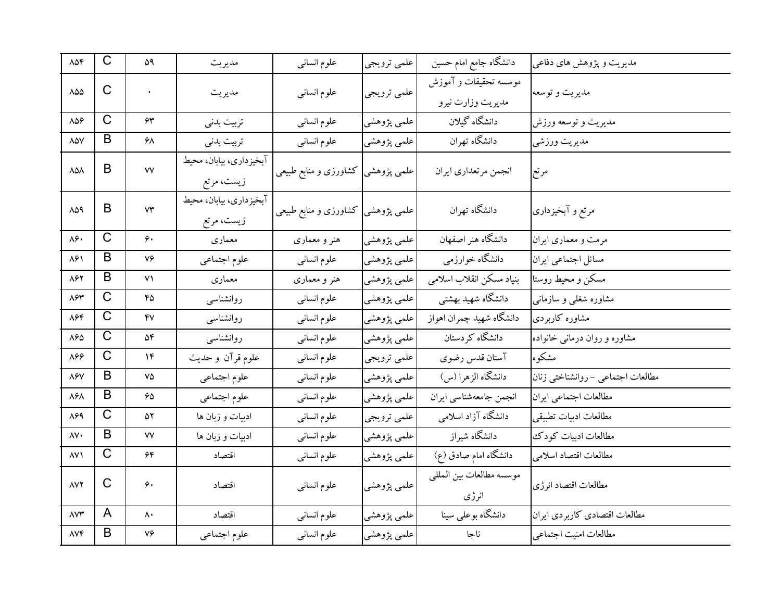| $\lambda \Delta \mathfrak{F}$ | $\mathsf{C}$   | ۵۹                      | مديريت                                | علوم انسانى                        | علمي ترويجي | دانشگاه جامع امام حسین                     | مدیریت و پژوهش های دفاعی          |
|-------------------------------|----------------|-------------------------|---------------------------------------|------------------------------------|-------------|--------------------------------------------|-----------------------------------|
| 858                           | $\mathsf{C}$   |                         | مديريت                                | علوم انسانى                        | علمي ترويجي | موسسه تحقیقات و آموزش<br>مديريت وزارت نيرو | مديريت و توسعه                    |
| $\lambda \Delta \varphi$      | $\mathsf C$    | ۶۳                      | تربيت بدنى                            | علوم انسانى                        | علمي پژوهشي | دانشگاه گیلان                              | مديريت و توسعه ورزش               |
| $\lambda\Delta\rm{V}$         | B              | ۶۸                      | تربيت بدنى                            | علوم انسانى                        | علمي پژوهشي | دانشگاه تهران                              | مديريت ورزشي                      |
| 858                           | B              | ٧V                      | آبخیزداری، بیابان، محیط<br>زيست، مرتع | علمی پژوهشی  کشاورزی و منابع طبیعی |             | انجمن مرتعداري ايران                       | مرتع                              |
| 848                           | B              | $\mathsf{Y}\mathsf{Y}$  | آبخيزداري، بيابان، محيط<br>زيست، مرتع | علمی پژوهشی کشاورزی و منابع طبیعی  |             | دانشگاه تهران                              | مرتع و آبخیزداری                  |
| ۸۶.                           | $\mathsf C$    | ۶۰                      | معماري                                | هنر و معماری                       | علمي پژوهشي | دانشگاه هنر اصفهان                         | مرمت و معماري ايران               |
| ۸۶۱                           | B              | ٧۶                      | علوم اجتماعي                          | علوم انسانى                        | علمي پژوهشي | دانشگاه خوارزمي                            | مسائل اجتماعي ايران               |
| ۸۶۲                           | B              | $\mathsf{V}\mathsf{V}$  | معماري                                | هنر و معماری                       | علمي پژوهشي | بنياد مسكن انقلاب اسلامى                   | مسكن و محيط روستا                 |
| $\lambda$ ۶۳                  | $\mathsf C$    | ۴۵                      | روانشناسبي                            | علوم انسانى                        | علمي پژوهشي | دانشگاه شهید بهشتی                         | مشاوره شغلبی و سازمانبی           |
| ۸۶۴                           | $\mathsf{C}$   | ۴۷                      | روانشناسى                             | علوم انسانى                        | علمي پژوهشي | دانشگاه شهيد چمران اهواز                   | مشاوره کاربردی                    |
| $\lambda\mathcal{S}\Delta$    | $\mathsf C$    | ۵۴                      | روانشناسبي                            | علوم انسانى                        | علمي پژوهشي | دانشگاه کردستان                            | مشاوره و روان درمانی خانواده      |
| 868                           | $\overline{C}$ | ۱۴                      | علوم قرآن وحديث                       | علوم انسانى                        | علمي ترويجي | آستان قدس رضوي                             | مشکو ہ                            |
| ۸۶۷                           | B              | ٧۵                      | علوم اجتماعي                          | علوم انسانى                        | علمي پژوهشي | دانشگاه الزهرا (س)                         | مطالعات اجتماعي - روانشناختي زنان |
| $\lambda$ ۶ $\lambda$         | B              | ۶۵                      | علوم اجتماعي                          | علوم انسانى                        | علمي پژوهشي | انجمن جامعهشناسي ايران                     | مطالعات اجتماعي ايران             |
| 898                           | C              | ۵۲                      | ادبیات و زبان ها                      | علوم انسانى                        | علمي ترويجي | دانشگاه آزاد اسلامی                        | مطالعات ادبيات تطبيقي             |
| $\mathsf{A}\mathsf{V}\cdot$   | B              | ٧V                      | ادبیات و زبان ها                      | علوم انسانى                        | علمي پژوهشي | دانشگاه شیراز                              | مطالعات ادبيات كودك               |
| ۸۷۱                           | $\mathsf C$    | ۶۴                      | اقتصاد                                | علوم انسانى                        | علمي پژوهشي | دانشگاه امام صادق (ع)                      | مطالعات اقتصاد اسلامى             |
| <b>AVY</b>                    | C              | ۶۰                      | اقتصاد                                | علوم انسانى                        | علمي پژوهشي | موسسه مطالعات بين المللي<br>انرژی          | مطالعات اقتصاد انرژى              |
| $\wedge \vee \Upsilon$        | A              | $\mathsf{\Lambda}\cdot$ | اقتصاد                                | علوم انسانى                        | علمي پژوهشي | دانشگاه بوعلی سینا                         | مطالعات اقتصادي كاربردي ايران     |
| $\Lambda V \mathfrak{F}$      | B              | ٧۶                      | علوم اجتماعي                          | علوم انسانى                        | علمي پژوهشي | ناجا                                       | مطالعات امنيت اجتماعي             |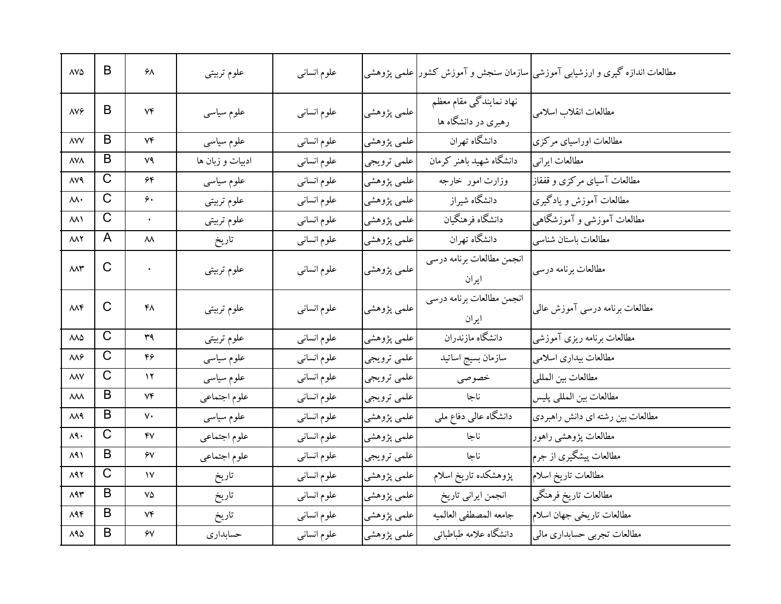| $\triangle V \triangle$ | B                     | ۶۸        | علوم تربيتي      | علوم انسانى  |             |                                                | مطالعات اندازه گیری و ارزشیابی آموزشی سازمان سنجش و آموزش کشور علمی پژوهشی |
|-------------------------|-----------------------|-----------|------------------|--------------|-------------|------------------------------------------------|----------------------------------------------------------------------------|
| $\Delta V$              | B                     | ٧۴        | علوم سیاسی       | علوم انسانبي | علمي پژوهشي | نهاد نمایندگی مقام معظم<br>رهبری در دانشگاه ها | مطالعات انقلاب اسلامي                                                      |
| <b>AVV</b>              | B                     | ۷۴        | علوم سياسى       | علوم انساني  | علمي پژوهشي | دانشگاه تهران                                  | مطالعات اوراسیای مرکزی                                                     |
| <b>AVA</b>              | B                     | ٧٩        | ادبیات و زبان ها | علوم انسانى  | علمي ترويجي | دانشگاه شهید باهنر کرمان                       | مطالعات ايراني                                                             |
| <b>AVA</b>              | $\mathsf C$           | ۶۴        | علوم سياسى       | علوم انسانى  | علمي پژوهشي | وزارت امور خارجه                               | مطالعات آسیای مرکزی و قفقاز                                                |
| ۸۸۰                     | $\mathsf{C}$          | ۶۰        | علوم تربيتي      | علوم انسانى  | علمي پژوهشي | دانشگاه شیراز                                  | مطالعات آموزش و یادگیری                                                    |
| <b>AA1</b>              | $\mathsf{C}$          | $\bullet$ | علوم تربيتي      | علوم انسانى  | علمي پژوهشي | دانشگاه فرهنگيان                               | مطالعات آموزشی و آموزشگاهی                                                 |
| <b>AAY</b>              | A                     | ۸۸        | تاريخ            | علوم انسانى  | علمي پژوهشي | دانشگاه تهران                                  | مطالعات باستان شناسي                                                       |
| $MN^*$                  | $\mathsf{C}$          | $\bullet$ | علوم تربيتي      | علوم انسانى  | علمي پژوهشي | انجمن مطالعات برنامه درسي<br>ايران             | مطالعات برنامه درسي                                                        |
| MNF                     | C                     | ۴۸        | علوم تربيتي      | علوم انسانى  | علمي پژوهشي | انجمن مطالعات برنامه درسي<br>ايران             | مطالعات برنامه درسی آموزش عالمی                                            |
| 888                     | $\overline{C}$        | ۳۹        | علوم تربيتي      | علوم انساني  | علمي پژوهشي | دانشگاه مازندران                               | مطالعات برنامه ريزي آموزشي                                                 |
| ۸۸۶                     | $\overline{\text{C}}$ | ۴۶        | علوم سياسى       | علوم انسانى  | علمي ترويجي | سازمان بسيج اساتيد                             | مطالعات بيداري اسلامى                                                      |
| $\lambda\lambda V$      | $\overline{C}$        | ۱۲        | علوم سياسى       | علوم انسانى  | علمي ترويجي | خصوصى                                          | مطالعات بين المللي                                                         |
| ᄊ                       | B                     | ۷۴        | علوم اجتماعي     | علوم انسانى  | علمي ترويجي | ناجا                                           | مطالعات بين المللي يليس                                                    |
| ۸۸۹                     | B                     | ٧٠        | علوم سياسى       | علوم انسانى  | علمي پژوهشي | دانشگاه عالی دفاع ملی                          | مطالعات بین رشته ای دانش راهبردی                                           |
| $\lambda$ 9.            | $\overline{C}$        | ۴۷        | علوم اجتماعي     | علوم انسانى  | علمي پژوهشي | ناجا                                           | مطالعات پژوهشي راهور                                                       |
| ۸۹۱                     | B                     | ۶٧        | علوم اجتماعي     | علوم انسانى  | علمي ترويجي | ناجا                                           | مطالعات پیشگیری از جرم                                                     |
| 898                     | $\overline{C}$        | ١٧        | تاريخ            | علوم انسانى  | علمي پژوهشي | پژوهشکده تاریخ اسلام                           | مطالعات تاريخ اسلام                                                        |
| 893                     | B                     | ٧۵        | تاريخ            | علوم انسانى  | علمي پژوهشي | انجمن ايراني تاريخ                             | مطالعات تاريخ فرهنگي                                                       |
| $\Lambda$ ۹۴            | B                     | ۷۴        | تاريخ            | علوم انسانى  | علمي پژوهشي | جامعه المصطفى العالميه                         | مطالعات تاريخي جهان اسلام                                                  |
| $\Lambda$ ۹۵            | B                     | ۶٧        | حسابدارى         | علوم انسانى  | علمي پژوهشي | دانشگاه علامه طباطبائي                         | مطالعات تجربي حسابداري مالي                                                |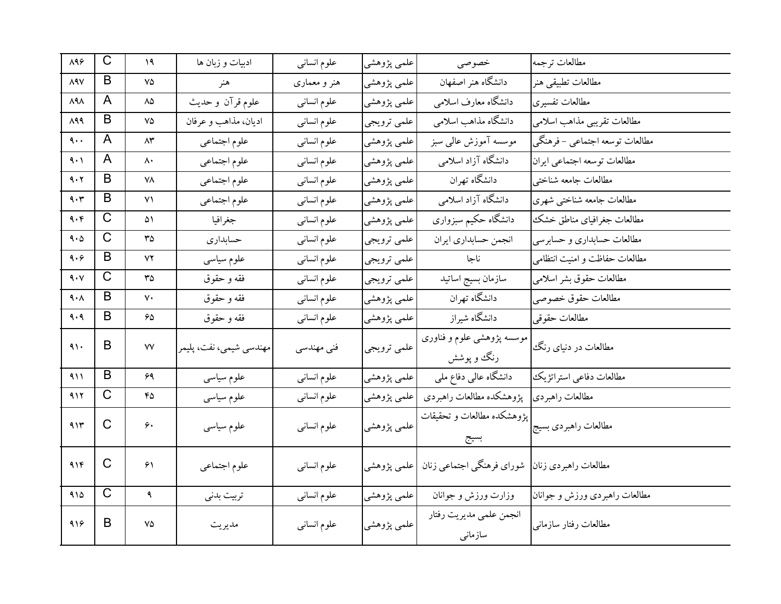| $\lambda$ ٩۶          | $\mathsf C$  | ۱۹                     | ادبیات و زبان ها        | علوم انساني  | علمي پژوهشي | خصوصى                                    | مطالعات ترجمه                  |
|-----------------------|--------------|------------------------|-------------------------|--------------|-------------|------------------------------------------|--------------------------------|
| <b>ARV</b>            | B            | ٧۵                     | هنر                     | هنر و معماری | علمي پژوهشي | دانشگاه هنر اصفهان                       | مطالعات تطبيقي هنر             |
| $\lambda$ ۹ $\lambda$ | A            | ۸۵                     | علوم قرآن و حديث        | علوم انسانى  | علمي پژوهشي | دانشگاه معارف اسلامی                     | مطالعات تفسيري                 |
| 898                   | B            | ٧۵                     | اديان، مذاهب و عرفان    | علوم انسانى  | علمي ترويجي | دانشگاه مذاهب اسلامی                     | مطالعات تقريبي مذاهب اسلامي    |
| ٩.,                   | A            | ۸۳                     | علوم اجتماعي            | علوم انسانى  | علمي پژوهشي | موسسه آموزش عالىي سبز                    | مطالعات توسعه اجتماعي – فرهنگي |
| ۹۰۱                   | A            | ۸۰                     | علوم اجتماعي            | علوم انسانى  | علمي پژوهشي | دانشگاه آزاد اسلامی                      | مطالعات توسعه اجتماعي ايران    |
| 9.7                   | B            | ۷۸                     | علوم اجتماعي            | علوم انسانى  | علمي پژوهشي | دانشگاه تهران                            | مطالعات جامعه شناختبي          |
| 9.7                   | B            | ۷۱                     | علوم اجتماعي            | علوم انسانى  | علمي پژوهشي | دانشگاه آزاد اسلامی                      | مطالعات جامعه شناختبي شهري     |
| 9.6                   | $\mathsf C$  | ۵۱                     | جغرافيا                 | علوم انسانى  | علمي پژوهشي | دانشگاه حکیم سبزواری                     | مطالعات جغرافياي مناطق خشك     |
| 9.0                   | $\mathsf C$  | ٣۵                     | حسابداري                | علوم انسانى  | علمي ترويجي | انجمن حسابداري ايران                     | مطالعات حسابداري و حسابرسي     |
| 9.9                   | B            | ۷۲                     | علوم سياسى              | علوم انسانى  | علمي ترويجي | ناجا                                     | مطالعات حفاظت و امنیت انتظامی  |
| 4.5                   | $\mathsf{C}$ | ٣۵                     | فقه و حقوق              | علوم انسانى  | علمي ترويجي | سازمان بسيج اساتيد                       | مطالعات حقوق بشر اسلامي        |
| ۹۰۸                   | B            | ٧٠                     | فقه و حقوق              | علوم انسانى  | علمي پژوهشي | دانشگاه تهران                            | مطالعات حقوق خصوصي             |
| 9.9                   | B            | 65                     | فقه و حقوق              | علوم انسانى  | علمي پژوهشي | دانشگاه شیراز                            | مطالعات حقوقي                  |
| ۹۱۰                   | B            | $\mathsf{V}\mathsf{V}$ | مهندسي شيمي، نفت، پليمر | فنی مهندسی   | علمي ترويجي | موسسه پژوهشی علوم و فناوری<br>رنگ و پوشش | مطالعات در دنیای رنگ           |
| 411                   | B            | 69                     | علوم سياسي              | علوم انسانى  | علمي پژوهشي | دانشگاه عالی دفاع ملی                    | مطالعات دفاعي استراتژيك        |
| 917                   | $\mathsf{C}$ | ۴۵                     | علوم سیاسی              | علوم انسانى  | علمي پژوهشي | يؤوهشكده مطالعات راهبردي                 | مطالعات راهبر دي               |
| 915                   | $\mathsf{C}$ | ۶۰                     | علوم سياسى              | علوم انسانى  | علمي پژوهشي | پژوهشکده مطالعات و تحقیقات<br>بسيج       | مطالعات راهبردي بسيج           |
| 916                   | $\mathsf{C}$ | ۶۱                     | علوم اجتماعي            | علوم انسانى  | علمي پژوهشي | شوراي فرهنگي اجتماعي زنان                | مطالعات راهبردي زنان           |
| 910                   | $\mathsf{C}$ | $\ddot{\mathbf{a}}$    | تربيت بدني              | علوم انسانى  | علمي پژوهشي | وزارت ورزش و جوانان                      | مطالعات راهبردی ورزش و جوانان  |
| 919                   | B            | ٧۵                     | مديريت                  | علوم انسانى  | علمي پژوهشي | انجمن علمي مديريت رفتار<br>سازمانى       | مطالعات رفتار سازماني          |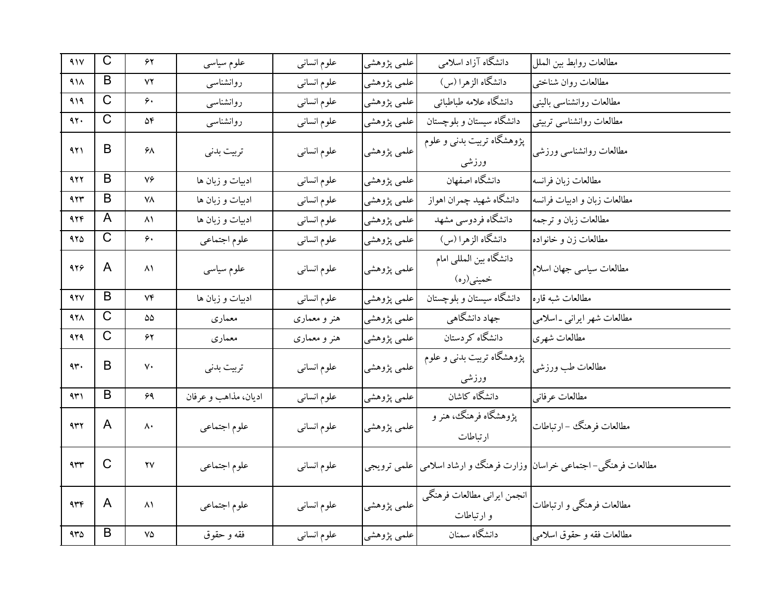| 41V             | $\mathsf{C}$          | ۶۲                          | علوم سياسى           | علوم انساني  | علمي پژوهشي | دانشگاه آزاد اسلامی                       | مطالعات روابط بين الملل                                                  |
|-----------------|-----------------------|-----------------------------|----------------------|--------------|-------------|-------------------------------------------|--------------------------------------------------------------------------|
| 41 <sub>A</sub> | B                     | ۷۲                          | روانشناسبي           | علوم انسانى  | علمي پژوهشي | دانشگاه الزهرا (س)                        | مطالعات روان شناختبي                                                     |
| 919             | C                     | ۶۰                          | روانشناسبي           | علوم انسانى  | علمي پژوهشي | دانشگاه علامه طباطبائي                    | مطالعات روانشناسبي بالينبي                                               |
| ۹۲.             | $\mathsf C$           | ۵۴                          | روانشناسبي           | علوم انسانى  | علمي پژوهشي | دانشگاه سیستان و بلوچستان                 | مطالعات روانشناسي تربيتي                                                 |
| 921             | B                     | ۶۸                          | تربيت بدنى           | علوم انسانى  | علمي پژوهشي | یژوهشگاه تربیت بدنی و علوم<br>ورزشى       | مطالعات روانشناسي ورزشي                                                  |
| 922             | B                     | ٧۶                          | ادبیات و زبان ها     | علوم انساني  | علمي پژوهشي | دانشگاه اصفهان                            | مطالعات زبان فرانسه                                                      |
| ۹۲۳             | B                     | ٧٨                          | ادبیات و زبان ها     | علوم انسانى  | علمي پژوهشي | دانشگاه شهيد چمران اهواز                  | مطالعات زبان و ادبیات فرانسه                                             |
| 974             | A                     | ۸۱                          | ادبیات و زبان ها     | علوم انسانى  | علمي پژوهشي | دانشگاه فردوسی مشهد                       | مطالعات زبان و ترجمه                                                     |
| ۹۲۵             | $\overline{\text{C}}$ | ۶۰                          | علوم اجتماعي         | علوم انسانى  | علمي پژوهشي | دانشگاه الزهرا (س)                        | مطالعات زن و خانواده                                                     |
| 928             | A                     | ۸۱                          | علوم سیاسی           | علوم انسانى  | علمي پژوهشي | دانشگاه بین المللی امام<br>خمینی(ره)      | مطالعات سياسي جهان اسلام                                                 |
| 47V             | B                     | ۷۴                          | ادبیات و زبان ها     | علوم انسانى  | علمي پژوهشي | دانشگاه سیستان و بلوچستان                 | مطالعات شبه قاره                                                         |
| 978             | $\overline{\text{C}}$ | ۵۵                          | معماري               | هنر و معماری | علمي پژوهشي | جهاد دانشگاهی                             | مطالعات شهر ايراني -اسلامي                                               |
| 929             | C                     | ۶۲                          | معمارى               | هنر و معماری | علمي پژوهشي | دانشگاه کر دستان                          | مطالعات شهري                                                             |
| 4r.             | B                     | ٧٠                          | تربيت بدنى           | علوم انسانى  | علمي پژوهشي | پژوهشگاه تربیت بدنی و علوم<br>ورزشى       | مطالعات طب ورزشي                                                         |
| ۹۳۱             | B                     | 69                          | اديان، مذاهب و عرفان | علوم انسانى  | علمي پژوهشي | دانشگاه کاشان                             | مطالعات عرفاني                                                           |
| ۹۳۲             | A                     | ٨٠                          | علوم اجتماعي         | علوم انسانى  | علمي پژوهشي | پژوهشگاه فرهنگ، هنر و<br>ارتباطات         | مطالعات فر هنگك – ارتباطات                                               |
| $4 + 4$         | $\mathsf{C}$          | $\mathsf{Y}\mathsf{V}$      | علوم اجتماعي         | علوم انسانى  | علمي ترويجي |                                           | مطالعات فرهنگی-اجتماعی خراسان <mark> </mark> وزارت فرهنگ وو ارشاد اسلامی |
| 446             | A                     | $\lambda$                   | علوم اجتماعي         | علوم انسانى  | علمي پژوهشي | انجمن ايراني مطالعات فرهنگي<br>و ارتباطات | مطالعات فرهنگي و ارتباطات                                                |
| $4r\Delta$      | B                     | $\mathsf{V}\mathsf{\Delta}$ | فقه و حقوق           | علوم انسانى  | علمي پژوهشي | دانشگاه سمنان                             | مطالعات فقه و حقوق اسلامي                                                |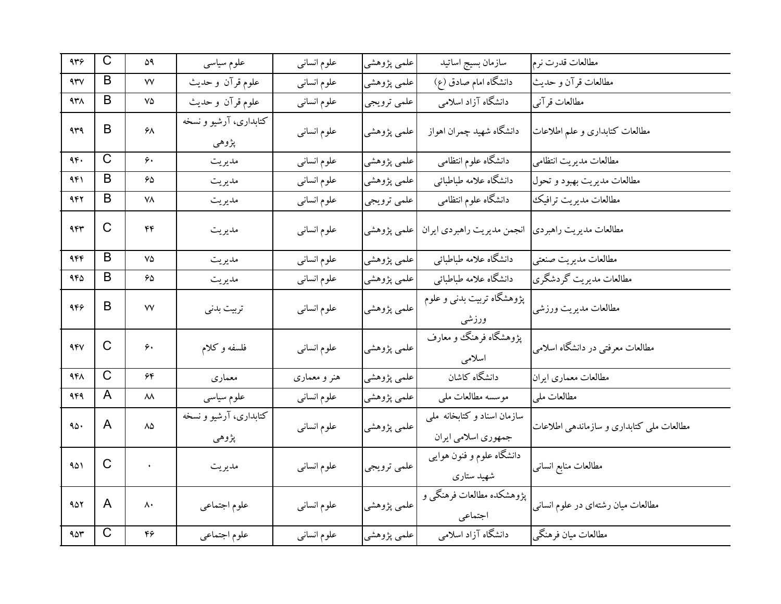| 449    | C                       | ۵۹        | علوم سیاسی                      | علوم انساني  | علمي پژوهشي | سازمان بسيج اساتيد                                | مطالعات قدرت نرم                         |
|--------|-------------------------|-----------|---------------------------------|--------------|-------------|---------------------------------------------------|------------------------------------------|
| $44\%$ | B                       | ٧V        | علوم قرآن وحديث                 | علوم انسانى  | علمي پژوهشي | دانشگاه امام صادق (ع)                             | مطالعات قرآن و حديث                      |
| 938    | B                       | ٧۵        | علوم قرآن و حديث                | علوم انسانى  | علمي ترويجي | دانشگاه آزاد اسلامی                               | مطالعات قرآني                            |
| 939    | B                       | ۶۸        | کتابداری، آرشیو و نسخه<br>پژوهي | علوم انسانى  | علمي پژوهشي | دانشگاه شهید چمران اهواز                          | مطالعات كتابدارى و علم اطلاعات           |
| 96.    | $\overline{\mathrm{C}}$ | ۶۰        | مديريت                          | علوم انسانى  | علمي پژوهشي | دانشگاه علوم انتظامی                              | مطالعات مديريت انتظامى                   |
| ۹۴۱    | B                       | 65        | مديريت                          | علوم انسانى  | علمي پژوهشي | دانشگاه علامه طباطبائي                            | مطالعات مديريت بهبود وتحول               |
| 942    | B                       | ۷۸        | مديريت                          | علوم انسانى  | علمي ترويجي | دانشگاه علوم انتظامی                              | مطالعات مديريت ترافيك                    |
| 455    | C                       | ۴۴        | مديريت                          | علوم انسانى  | علمي پژوهشي | انجمن مديريت راهبردي ايران                        | مطالعات مديريت راهبردي                   |
| ۹۴۴    | B                       | ٧۵        | مديريت                          | علوم انسانى  | علمي پژوهشي | دانشگاه علامه طباطبائي                            | مطالعات مديريت صنعتي                     |
| ۹۴۵    | B                       | ۶۵        | مديريت                          | علوم انسانى  | علمي پژوهشي | دانشگاه علامه طباطبائي                            | مطالعات مديريت گردشگري                   |
| 956    | B                       | ٧V        | تربيت بدني                      | علوم انسانى  | علمي پژوهشي | پژوهشگاه تربیت بدنی و علوم<br>ورزشى               | مطالعات مديريت ورزشي                     |
| 94V    | C                       | ۶۰        | فلسفه وكلام                     | علوم انسانى  | علمي پژوهشي | یژوهشگاه فرهنگ و معارف<br>اسلامى                  | مطالعات معرفتبي در دانشگاه اسلامي        |
| 948    | $\overline{\text{C}}$   | ۶۴        | معماري                          | هنر و معماری | علمي پژوهشي | دانشگاه کاشان                                     | مطالعات معماري ايران                     |
| 949    | A                       | ۸۸        | علوم سياسى                      | علوم انسانى  | علمي پژوهشي | موسسه مطالعات ملي                                 | مطالعات ملي                              |
| 90.    | A                       | ۸۵        | کتابداری، آرشیو و نسخه<br>پژوهي | علوم انسانى  | علمي پژوهشي | سازمان اسناد وكتابخانه ملي<br>جمهوري اسلامي ايران | مطالعات ملي كتابداري و سازماندهي اطلاعات |
| ۹۵۱    | $\mathsf{C}$            | $\bullet$ | مديريت                          | علوم انسانى  | علمي ترويجي | دانشگاه علوم و فنون هوایی<br>شهید ستاری           | مطالعات منابع انسانبي                    |
| 952    | A                       | ۸۰        | علوم اجتماعي                    | علوم انسانى  | علمي پژوهشي | پژوهشکده مطالعات فرهنگی و<br>اجتماعي              | مطالعات میان رشتهای در علوم انسانی       |
| 90r    | $\mathsf C$             | ۴۶        | علوم اجتماعي                    | علوم انسانى  | علمي پژوهشي | دانشگاه آزاد اسلامی                               | مطالعات ميان فرهنگي                      |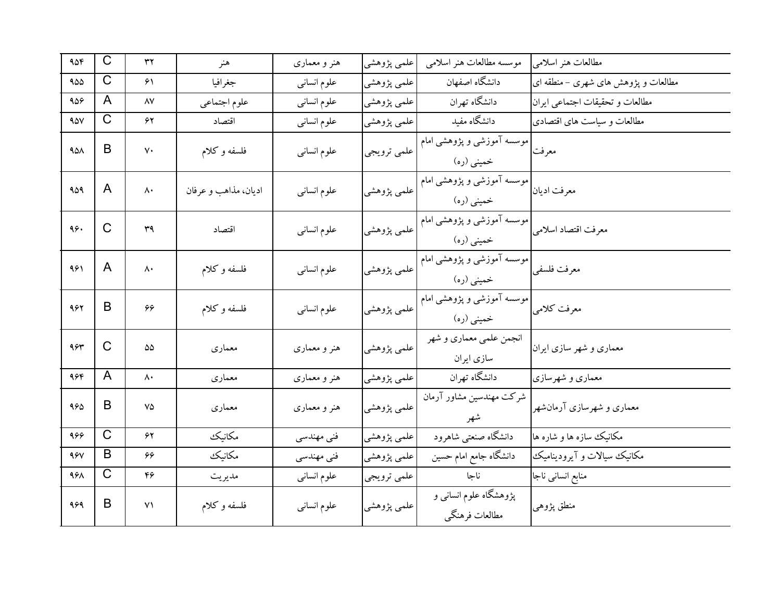| 906             | $\overline{C}$ | ٣٢                     | هنر                  | هنر و معماری | علمي پژوهشي | موسسه مطالعات هنر اسلامي                  | مطالعات هنر اسلامي                  |
|-----------------|----------------|------------------------|----------------------|--------------|-------------|-------------------------------------------|-------------------------------------|
| 900             | C              | ۶١                     | جغرافيا              | علوم انسانى  | علمي پژوهشي | دانشگاه اصفهان                            | مطالعات و پژوهش های شهری – منطقه ای |
| 909             | A              | ۸۷                     | علوم اجتماعي         | علوم انسانى  | علمي پژوهشي | دانشگاه تهران                             | مطالعات وتحقيقات اجتماعي ايران      |
| 90V             | C              | ۶۲                     | اقتصاد               | علوم انسانى  | علمي پژوهشي | دانشگاه مفید                              | مطالعات و سیاست های اقتصادی         |
| 40 <sub>A</sub> | B              | ٧٠                     | فلسفه وكلام          | علوم انسانى  | علمي ترويجي | موسسه آموزشی و پژوهشی امام<br>خمینی (ره)  | معرفت                               |
| ۹۵۹             | A              | ۸۰                     | اديان، مذاهب و عرفان | علوم انسانى  | علمي پژوهشي | موسسه آموزشی و پژوهشی امام<br>خمینی (ره)  | معرفت اديان                         |
| ۹۶.             | $\mathsf{C}$   | ۳۹                     | اقتصاد               | علوم انسانى  | علمي پژوهشي | موسسه آموزشی و پژوهشی امام<br>خمینی (ره)  | معرفت اقتصاد اسلامى                 |
| ۹۶۱             | A              | ۸۰                     | فلسفه و کلام         | علوم انسانى  | علمي پژوهشي | موسسه آموزشی و پژوهشی امام<br>خمینی (ره)  | معرفت فلسفى                         |
| 962             | B              | 66                     | فلسفه و کلام         | علوم انسانى  | علمي پژوهشي | موسسه آموزشی و پژوهشی امام<br>خمینی (ره)  | معرفت كلامى                         |
| 984             | $\mathsf{C}$   | ۵۵                     | معمارى               | هنر و معماری | علمي پژوهشي | انجمن علمي معماري و شهر<br>سازى ايران     | معماری و شهر سازی ایران             |
| ۹۶۴             | A              | ۸۰                     | معمارى               | هنر و معماری | علمي پژوهشي | دانشگاه تهران                             | معماری و شهرسازی                    |
| 980             | B              | ٧۵                     | معماري               | هنر و معماری | علمي پژوهشي | شرکت مهندسین مشاور آرمان<br>شهر           | معماری و شهرسازی آرمانشهر           |
| 966             | $\mathsf{C}$   | ۶۲                     | مكانيك               | فنی مهندسی   | علمي پژوهشي | دانشگاه صنعتبی شاهرود                     | مکانیک سازه ها و شاره ها            |
| 98V             | B              | 66                     | مكانيك               | فنی مهندسی   | علمي پژوهشي | دانشگاه جامع امام حسین                    | مکانیک سیالات و آیرودینامیک         |
| 968             | $\mathsf{C}$   | ۴۶                     | مديريت               | علوم انسانبي | علمي ترويجي | ناجا                                      | منابع انسانی ناجا                   |
| 969             | B              | $\mathsf{v}\mathsf{v}$ | فلسفه وكلام          | علوم انسانى  | علمي پژوهشي | پژوهشگاه علوم انسانبی و<br>مطالعات فرهنگي | منطق پژوهی                          |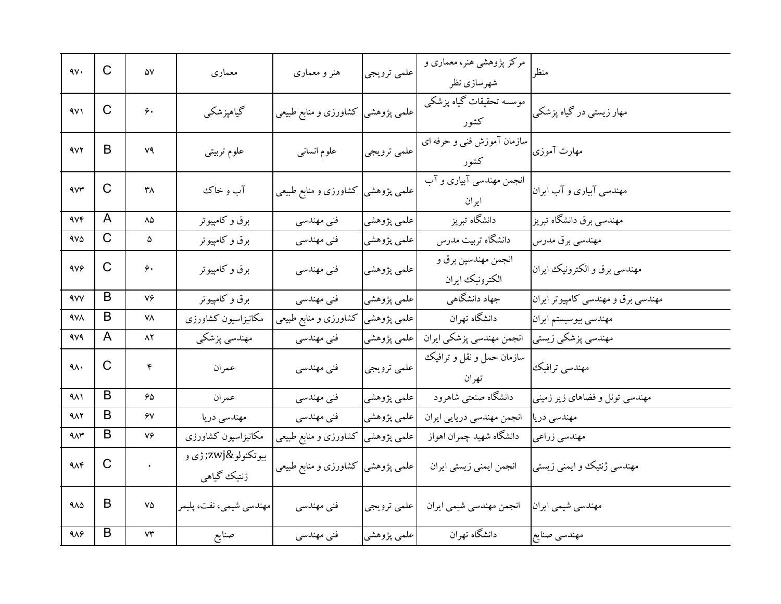| $\gamma$ .       | $\overline{C}$ | ۵٧                          | معماري                         | هنر و معماری                       | علمي ترويجي              | مرکز پژوهشی هنر، معماری و<br>شهرسازي نظر | منظر                               |
|------------------|----------------|-----------------------------|--------------------------------|------------------------------------|--------------------------|------------------------------------------|------------------------------------|
| 4V1              | C              | ۶۰                          | گیاهپزشکی                      | علمی پژوهشی کشاورزی و منابع طبیعی  |                          | موسسه تحقیقات گیاه یزشکی<br>كشور         | مهار زیستی در گیاه پزشکی           |
| 972              | B              | ۷۹                          | علوم تربيتي                    | علوم انسانى                        | علمي ترويجي              | سازمان آموزش فني و حرفه اي<br>كشور       | مهارت آموزی                        |
| 4V <sub>r</sub>  | $\mathsf C$    | ۳۸                          | آب و خاک                       | علمی پژوهشی  کشاورزی و منابع طبیعی |                          | انجمن مهندسی آبیاری و آب<br>ايران        | مهندسی آبیاری و آب ایران           |
| 4Vf              | A              | $\Lambda\Delta$             | برق و کامپیوتر                 | فنی مهندسی                         | علمي پژوهشي              | دانشگاه تبریز                            | مهندسی برق دانشگاه تبریز           |
| $4V\Delta$       | $\mathsf C$    | ۵                           | برق و کامپیوتر                 | فنی مهندسی                         | علمي پژوهشي              | دانشگاه تربیت مدرس                       | مهندسي برق مدرس                    |
| 909              | C              | ۶۰                          | برق و کامپیوتر                 | فنی مهندسی                         | علمي پژوهشي              | انجمن مهندسين برق و<br>الكترونيك ايران   | مهندسي برق و الكترونيك ايران       |
| <b>AVV</b>       | B              | ٧۶                          | برق و کامپیوتر                 | فنی مهندسی                         | علمي پژوهشي              | جهاد دانشگاهی                            | مهندسی برق و مهندسی کامپیوتر ایران |
| 988              | B              | ۷۸                          | مكانيزاسيون كشاورزى            | علمی پژوهشی کشاورزی و منابع طبیعی  |                          | دانشگاه تهران                            | مهندسي بيوسيستم ايران              |
| 979              | A              | ۸۲                          | مهندسي پزشكي                   | فنی مهندسی                         | علمي پژوهشي              | انجمن مهندسي پزشكي ايران                 | مهندسي پزشكي زيستي                 |
| $4\wedge$        | C              | ۴                           | عمران                          | فنی مهندسی                         | علمي ترويجي              | سازمان حمل و نقل و ترافیک<br>تهران       | مهندسي ترافيك                      |
| ۹۸۱              | B              | 50                          | عمران                          | فنی مهندسی                         | علمي پژوهشي <sup>ا</sup> | دانشگاه صنعتبی شاهرود                    | مهندسی تونل و فضاهای زیر زمینی     |
| 982              | B              | ۶٧                          | مهندسي دريا                    | فنی مهندسی                         | علمي پژوهشي              | انجمن مهندسي دريايي ايران                | مهندسي دريا                        |
| 983              | B              | ٧۶                          | مكانيزاسيون كشاورزى            | علمی پژوهشی کشاورزی و منابع طبیعی  |                          | دانشگاه شهید چمران اهواز                 | مهندسی زراعی                       |
| $4\Lambda$ ۴     | $\mathsf C$    | $\mathbf{v}^{\pm}$          | بيوتكنولو‍ ژې و<br>ژنتېك گياهي | علمی پژوهشی کشاورزی و منابع طبیعی  |                          | انجمن ايمني زيستي ايران                  | مهندسی ژنتیک و ایمنی زیستی         |
| $9\lambda\Delta$ | B              | $\mathsf{V}\mathsf{\Delta}$ | مهندسي شيمي، نفت، پليمر        | فنی مهندسی                         | علمي ترويجي              | انجمن مهندسي شيمي ايران                  | مهندسي شيمي ايران                  |
| $4\lambda$ ۶     | B              | $\mathsf{V}\mathsf{Y}$      | صنايع                          | فنی مهندسی                         | علمي پژوهشي              | دانشگاه تهران                            | مهندسي صنايع                       |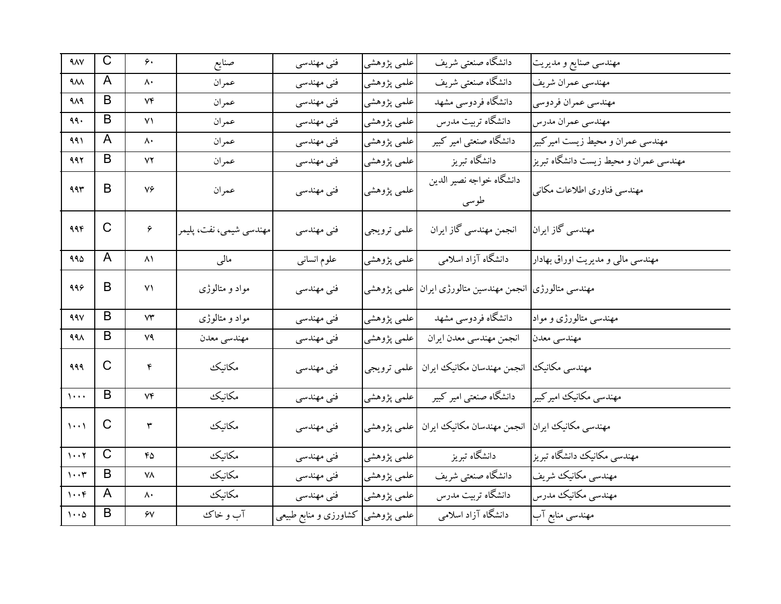| $4\lambda V$                  | $\mathsf{C}$ | ۶۰              | صنايع                   | فنی مهندسی            | علمي پژوهشي | دانشگاه صنعتبي شريف                          | مهندسی صنایع و مدیریت                  |
|-------------------------------|--------------|-----------------|-------------------------|-----------------------|-------------|----------------------------------------------|----------------------------------------|
| ٩٨٨                           | A            | ۸۰              | عمران                   | فنی مهندسی            | علمي پژوهشي | دانشگاه صنعتی شریف                           | مهندسي عمران شريف                      |
| 919                           | B            | ٧۴              | عمران                   | فنی مهندسی            | علمي پژوهشي | دانشگاه فردوسی مشهد                          | مهندسي عمران فردوسي                    |
| ۹۹۰                           | B            | ۷۱              | عمران                   | فنی مهندسی            | علمي پژوهشي | دانشگاه تربیت مدرس                           | مهندسي عمران مدرس                      |
| ۹۹۱                           | A            | ۸۰              | عمران                   | فنی مهندسی            | علمي پژوهشي | دانشگاه صنعتی امیر کبیر                      | مهندسی عمران و محیط زیست امیرکبیر      |
| 992                           | B            | ۷۲              | عمران                   | فنی مهندسی            | علمي پژوهشي | دانشگاه تبریز                                | مهندسی عمران و محیط زیست دانشگاه تبریز |
| 995                           | B            | ٧۶              | عمران                   | فنی مهندسی            | علمي پژوهشي | دانشگاه خواجه نصير الدين<br>طوسى             | مهندسي فناوري اطلاعات مكانى            |
| ۹۹۴                           | $\mathsf{C}$ | ۶               | مهندسی شیمی، نفت، پلیمر | فنی مهندسی            | علمي ترويجي | انجمن مهندسي گاز ايران                       | مهندسی گاز ایران                       |
| ۹۹۵                           | A            | $\lambda$       | مالى                    | علوم انسانى           | علمي پژوهشي | دانشگاه آزاد اسلامی                          | مهندسی مالی و مدیریت اوراق بهادار      |
| 999                           | B            | ۷۱              | مواد و متالوژی          | فنی مهندسی            | علمي پژوهشي | مهندسی متالورژی انجمن مهندسین متالورژی ایران |                                        |
| 99V                           | B            | ۷۳              | مواد و متالوژی          | فنی مهندسی            | علمي پژوهشي | دانشگاه فردوسی مشهد                          | مهندسی متالورژی و مواد                 |
| 998                           | B            | ٧٩              | مهندسي معدن             | فني مهندسي            | علمي پژوهشي | انجمن مهندسي معدن ايران                      | مهندسي معدن                            |
| 999                           | C            | ۴               | مكانيك                  | فنی مهندسی            | علمي ترويجي | انجمن مهندسان مكانيك ايران                   | مهندسی مکانیک                          |
| $\cdots$                      | B            | $V\mathfrak{F}$ | مكانيك                  | فنی مهندسی            | علمي پژوهشي | دانشگاه صنعتی امیر کبیر                      | مهندسي مكانيك اميركبير                 |
| $\cdots$                      | $\mathsf{C}$ | ٣               | مكانيك                  | فني مهندسي            | علمی پژوهشی | انجمن مهندسان مكانيك ايران                   | مهندسی مکانیک ایران                    |
| 1.7                           | $\mathsf{C}$ | ۴۵              | مكانيك                  | فنی مهندسی            | علمي پژوهشي | دانشگاه تبریز                                | مهندسی مکانیک دانشگاه تبریز            |
| $\mathbf{y} \cdot \mathbf{y}$ | B            | ۷۸              | مكانيك                  | فنی مهندسی            | علمي پژوهشي | دانشگاه صنعتبي شريف                          | مهندسي مكانيك شريف                     |
| $1 \cdot \cdot \mathfrak{r}$  | A            | ٨٠              | مكانيك                  | فنی مهندسی            | علمي پژوهشي | دانشگاه تربیت مدرس                           | مهندسي مكانيك مدرس                     |
| $\cdots$                      | B            | ۶٧              | آب و خاک                | کشاورزی و منابع طبیعی | علمی پژوهشی | دانشگاه آزاد اسلامی                          | مهندسی منابع آب                        |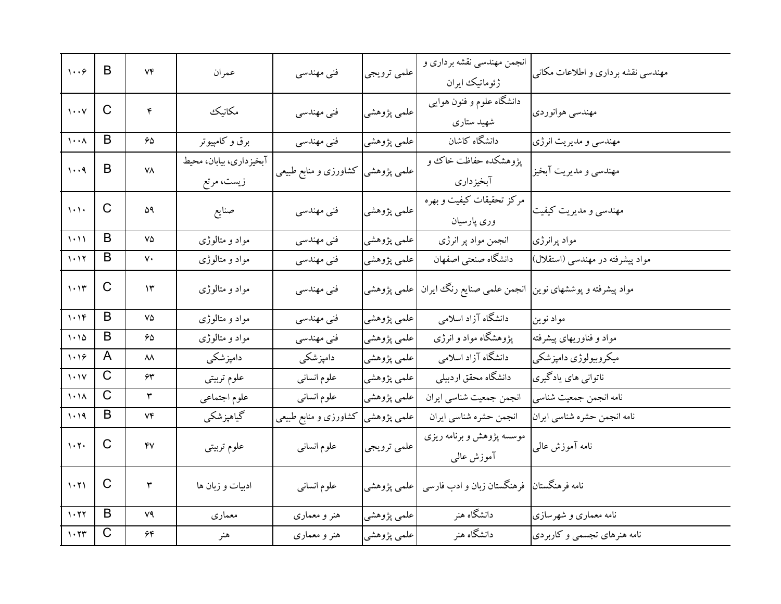| 1.7                             | B            | ۷۴ | عمران                                 | فنی مهندسی                         | علمي ترويجي | انجمن مهندسی نقشه برداری و<br>ژئوماتیک ایران                         | مهندسی نقشه برداری و اطلاعات مکانی |
|---------------------------------|--------------|----|---------------------------------------|------------------------------------|-------------|----------------------------------------------------------------------|------------------------------------|
| $\mathbf{y} \cdot \mathbf{y}$   | $\mathsf{C}$ | ۴  | مكانيك                                | فنی مهندسی                         | علمي پژوهشي | دانشگاه علوم و فنون هوایی<br>شهید ستاری                              | مهندسي هوانوردي                    |
| $\mathbf{1} \cdot \mathbf{1}$   | B            | ۶۵ | برق و کامپیوتر                        | فنی مهندسی                         | علمي پژوهشي | دانشگاه کاشان                                                        | مهندسي و مديريت انرژي              |
| 1.4                             | B            | ۷۸ | آبخیزداری، بیابان، محیط<br>زیست، مرتع | علمی پژوهشی  کشاورزی و منابع طبیعی |             | پژوهشکده حفاظت خاک و<br>آبخيزداري                                    | مهندسي و مديريت آبخيز              |
| $\{\cdot\}$                     | $\mathsf C$  | ۵۹ | صنايع                                 | فنی مهندسی                         | علمي پژوهشي | مرکز تحقیقات کیفیت و بهره<br>وری پارسیان                             | مهندسی و مدیریت کیفیت              |
| $1 - 11$                        | B            | ٧۵ | مواد و متالوژی                        | فني مهندسي                         | علمي پژوهشي | انجمن مواد پر انرژی                                                  | مواد پرانرژی                       |
| 1.11                            | B            | ٧٠ | مواد و متالوژی                        | فنی مهندسی                         | علمي پژوهشي | دانشگاه صنعتبي اصفهان                                                | مواد پیشرفته در مهندسی (استقلال)   |
| 1.15                            | C            | ۱۳ | مواد و متالوژی                        | فنی مهندسی                         |             | مواد پیشرفته و پوششهای نوین  انجمن علمی صنایع رنگ ایران  علمی پژوهشی |                                    |
| 1.19                            | B            | ٧۵ | مواد و متالوژی                        | فني مهندسي                         | علمي پژوهشي | دانشگاه آزاد اسلامی                                                  | مواد نوين                          |
| 1.10                            | B            | 65 | مواد و متالوژی                        | فنی مهندسی                         | علمي پژوهشي | پژوهشگاه مواد و انرژی                                                | مواد و فناوریهای پیشرفته           |
| 1.19                            | A            | ۸۸ | دامپزشکی                              | دامپزشکی                           | علمي پژوهشي | دانشگاه آزاد اسلامی                                                  | میکروبیولوژي دامپزشکي              |
| 1.1V                            | $\mathsf{C}$ | ۶۳ | علوم تربيتي                           | علوم انسانى                        | علمي پژوهشي | دانشگاه محقق اردبیلی                                                 | ناتوانی های یادگیری                |
| $\lambda \cdot \lambda$         | $\mathsf C$  | ٣  | علوم اجتماعي                          | علوم انسانى                        | علمي پژوهشي | انجمن جمعيت شناسي ايران                                              | نامه انجمن جمعيت شناسي             |
| 1.19                            | B            | ۷۴ | گياهپزشكي                             | کشاورزی و منابع طبیعی              | علمي پژوهشي | انجمن حشره شناسي ايران                                               | نامه انجمن حشره شناسي ايران        |
| 1.7.                            | C            | ۴٧ | علوم تربيتي                           | علوم انسانى                        | علمي ترويجي | موسسه پژوهش و برنامه ریزی<br>آموزش عالمی                             | نامه آموزش عالبي                   |
| $\mathcal{N}(\mathcal{X})$      | C            | ٣  | ادبیات و زبان ها                      | علوم انسانى                        | علمي پژوهشي | نامه فرهنگستان  فرهنگستان زبان و ادب فارسی                           |                                    |
| $\mathcal{N} \cdot \mathcal{N}$ | B            | ٧٩ | معماري                                | هنر و معماری                       | علمي پژوهشي | دانشگاه هنر                                                          | نامه معماری و شهرسازی              |
| $\mathcal{N} \cdot \mathcal{Y}$ | $\mathsf C$  | ۶۴ | هنر                                   | هنر و معماری                       | علمي پژوهشي | دانشگاه هنر                                                          | نامه هنرهای تجسمی و کاربردی        |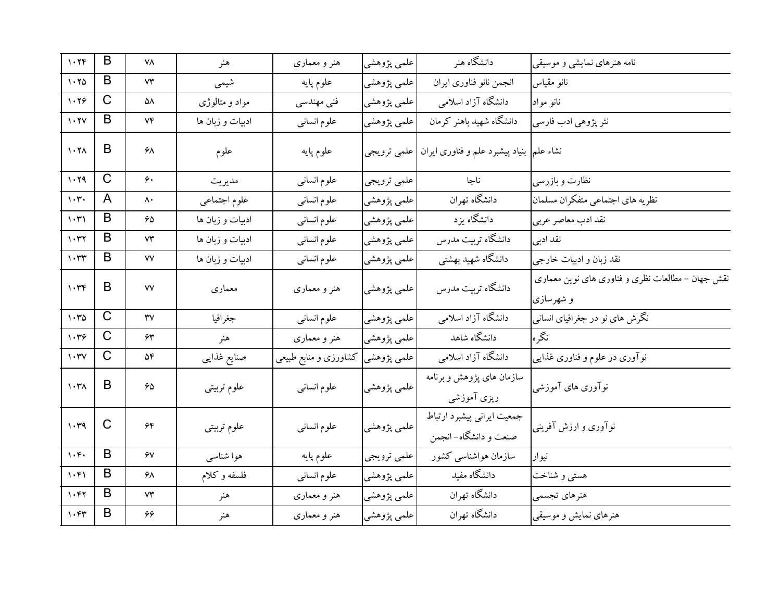| 1.79                                        | B                       | ٧٨                     | هنر              | هنر و معماری          | علمي پژوهشي | دانشگاه هنر                                                                  | نامه هنرهای نمایشی و موسیقی                                   |
|---------------------------------------------|-------------------------|------------------------|------------------|-----------------------|-------------|------------------------------------------------------------------------------|---------------------------------------------------------------|
| 1.70                                        | B                       | ۷۳                     | شيمى             | علوم پايه             | علمي پژوهشي | انجمن نانو فناورى ايران                                                      | نانو مقياس                                                    |
| 1.79                                        | $\mathsf C$             | ۵۸                     | مواد و متالوژی   | فني مهندسي            | علمي پژوهشي | دانشگاه آزاد اسلامی                                                          | نانو مواد                                                     |
| $\mathcal{N} \cdot \mathcal{N}$             | B                       | ۷۴                     | ادبیات و زبان ها | علوم انسانى           | علمي پژوهشي | دانشگاه شهید باهنر کرمان                                                     | نثر پژوهي ادب فارسي                                           |
| $\mathcal{N} \cdot \mathcal{N}$             | B                       | ۶۸                     | علوم             | علوم پايه             |             | نشاء علم <mark>,</mark> بنیاد پیشبرد علم و فناوری ایران <b> </b> علمی ترویجی |                                                               |
| 1.79                                        | $\overline{\mathrm{C}}$ | ۶۰                     | مديريت           | علوم انسانى           | علمي ترويجي | ناجا                                                                         | نظارت و بازرسی                                                |
| $\mathcal{N}$                               | A                       | ۸۰                     | علوم اجتماعي     | علوم انساني           | علمي پژوهشي | دانشگاه تهران                                                                | نظريه هاى اجتماعي متفكران مسلمان                              |
| 1.51                                        | B                       | 65                     | ادبیات و زبان ها | علوم انسانى           | علمي پژوهشي | دانشگاه یزد                                                                  | نقد ادب معاصر عربي                                            |
| $\mathcal{N}$                               | B                       | $\mathsf{V}\mathsf{Y}$ | ادبیات و زبان ها | علوم انساني           | علمي پژوهشي | دانشگاه تربیت مدرس                                                           | نقد ادبی                                                      |
| $\eta \cdot \tau \tau$                      | B                       | ٧V                     | ادبيات و زبان ها | علوم انسانى           | علمي پژوهشي | دانشگاه شهید بهشتی                                                           | نقد زبان و ادبیات خارجی                                       |
| $\mathcal{W}$                               | B                       | ٧V                     | معماري           | هنر و معماری          | علمي پژوهشي | دانشگاه تربیت مدرس                                                           | نقش جهان – مطالعات نظری و فناوری های نوین معماری<br>و شهرسازی |
| 1.70                                        | $\mathsf C$             | ٣٧                     | جغرافيا          | علوم انسانى           | علمي پژوهشي | دانشگاه آزاد اسلامی                                                          | نگرش های نو در جغرافیای انسانبی                               |
| $\mathcal{N} \cdot \mathcal{R}$             | $\overline{C}$          | ۶۳                     | هنر              | هنر و معماری          | علمي پژوهشي | دانشگاه شاهد                                                                 | نگر ه                                                         |
| $\mathcal{N} \cdot \mathcal{N}$             | $\mathsf{C}$            | ۵۴                     | صنايع غذايبي     | كشاورزى و منابع طبيعي | علمی پژوهشی | دانشگاه آزاد اسلامی                                                          | نوآوری در علوم و فناوری غذایی                                 |
| $\mathcal{N} \cdot \mathcal{N}$             | B                       | $60^{\circ}$           | علوم تربيتي      | علوم انسانى           | علمي پژوهشي | سازمان های پژوهش و برنامه<br>ریزی آموزشی                                     | نوآوری های آموزشی                                             |
| 1.49                                        | $\mathsf{C}$            | ۶۴                     | علوم تربيتي      | علوم انسانى           | علمي پژوهشي | جمعیت ایرانی پیشبرد ارتباط<br>صنعت و دانشگاه– انجمن                          | نوآوری و ارزش آفرینی                                          |
| $\mathcal{N}$                               | B                       | ۶٧                     | هوا شناسبي       | علوم پايه             | علمي ترويجي | سازمان هواشناسی کشور                                                         | نيوار                                                         |
| 1.51                                        | B                       | ۶۸                     | فلسفه و کلام     | علوم انسانى           | علمي پژوهشي | دانشگاه مفید                                                                 | هستي و شناخت                                                  |
| $\mathcal{N}$                               | B                       | $\mathsf{Y}\mathsf{Y}$ | هنر              | هنر و معماری          | علمي پژوهشي | دانشگاه تهران                                                                | هنرهاي تجسمي                                                  |
| $\mathcal{N} \cdot \mathcal{F} \mathcal{Y}$ | B                       | 66                     | هنر              | هنر و معماری          | علمي پژوهشي | دانشگاه تهران                                                                | هنرهای نمایش و موسیقی                                         |